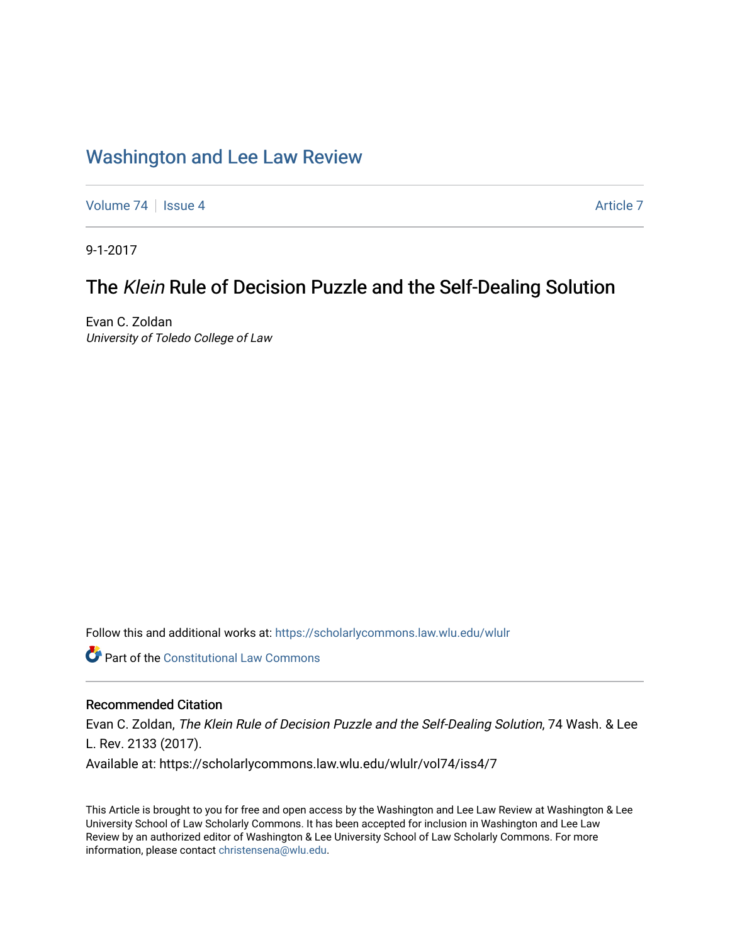# [Washington and Lee Law Review](https://scholarlycommons.law.wlu.edu/wlulr)

[Volume 74](https://scholarlycommons.law.wlu.edu/wlulr/vol74) | [Issue 4](https://scholarlycommons.law.wlu.edu/wlulr/vol74/iss4) [Article 7](https://scholarlycommons.law.wlu.edu/wlulr/vol74/iss4/7) Article 7

9-1-2017

# The Klein Rule of Decision Puzzle and the Self-Dealing Solution

Evan C. Zoldan University of Toledo College of Law

Follow this and additional works at: [https://scholarlycommons.law.wlu.edu/wlulr](https://scholarlycommons.law.wlu.edu/wlulr?utm_source=scholarlycommons.law.wlu.edu%2Fwlulr%2Fvol74%2Fiss4%2F7&utm_medium=PDF&utm_campaign=PDFCoverPages) 

Part of the [Constitutional Law Commons](http://network.bepress.com/hgg/discipline/589?utm_source=scholarlycommons.law.wlu.edu%2Fwlulr%2Fvol74%2Fiss4%2F7&utm_medium=PDF&utm_campaign=PDFCoverPages) 

# Recommended Citation

Evan C. Zoldan, The Klein Rule of Decision Puzzle and the Self-Dealing Solution, 74 Wash. & Lee L. Rev. 2133 (2017). Available at: https://scholarlycommons.law.wlu.edu/wlulr/vol74/iss4/7

This Article is brought to you for free and open access by the Washington and Lee Law Review at Washington & Lee University School of Law Scholarly Commons. It has been accepted for inclusion in Washington and Lee Law Review by an authorized editor of Washington & Lee University School of Law Scholarly Commons. For more information, please contact [christensena@wlu.edu](mailto:christensena@wlu.edu).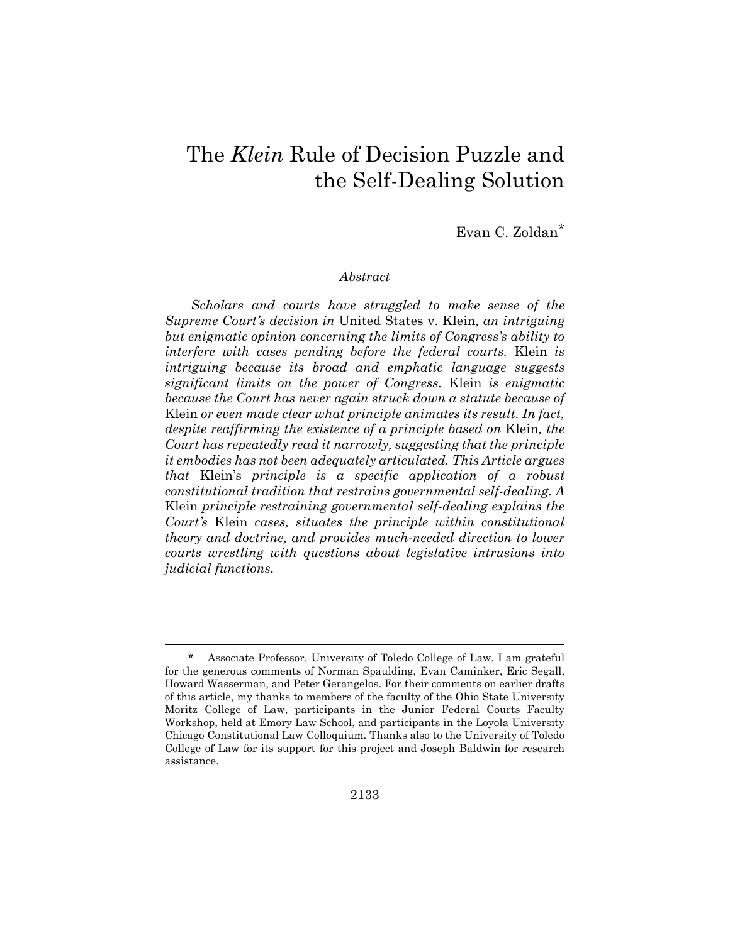# The *Klein* Rule of Decision Puzzle and the Self-Dealing Solution

Evan C. Zoldan\*

# *Abstract*

*Scholars and courts have struggled to make sense of the Supreme Court's decision in* United States v. Klein*, an intriguing but enigmatic opinion concerning the limits of Congress's ability to interfere with cases pending before the federal courts.* Klein *is intriguing because its broad and emphatic language suggests significant limits on the power of Congress.* Klein *is enigmatic because the Court has never again struck down a statute because of*  Klein *or even made clear what principle animates its result. In fact, despite reaffirming the existence of a principle based on* Klein*, the Court has repeatedly read it narrowly, suggesting that the principle it embodies has not been adequately articulated. This Article argues that* Klein's *principle is a specific application of a robust constitutional tradition that restrains governmental self-dealing. A*  Klein *principle restraining governmental self-dealing explains the Court's* Klein *cases, situates the principle within constitutional theory and doctrine, and provides much-needed direction to lower courts wrestling with questions about legislative intrusions into judicial functions.* 

Associate Professor, University of Toledo College of Law. I am grateful for the generous comments of Norman Spaulding, Evan Caminker, Eric Segall, Howard Wasserman, and Peter Gerangelos. For their comments on earlier drafts of this article, my thanks to members of the faculty of the Ohio State University Moritz College of Law, participants in the Junior Federal Courts Faculty Workshop, held at Emory Law School, and participants in the Loyola University Chicago Constitutional Law Colloquium. Thanks also to the University of Toledo College of Law for its support for this project and Joseph Baldwin for research assistance.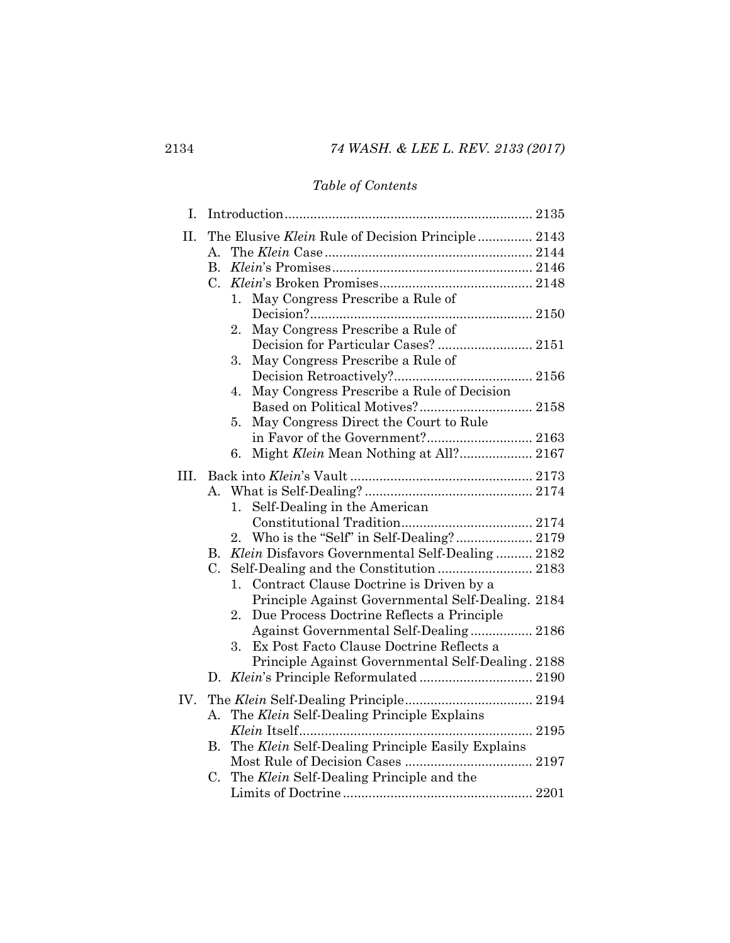# *Table of Contents*

| I.  |                                                          |  |
|-----|----------------------------------------------------------|--|
| П.  | The Elusive <i>Klein</i> Rule of Decision Principle 2143 |  |
|     | $A_{-}$                                                  |  |
|     | $B_{-}$                                                  |  |
|     | C.                                                       |  |
|     | May Congress Prescribe a Rule of<br>1.                   |  |
|     |                                                          |  |
|     | May Congress Prescribe a Rule of<br>2.                   |  |
|     | Decision for Particular Cases?  2151                     |  |
|     | May Congress Prescribe a Rule of<br>3.                   |  |
|     |                                                          |  |
|     | May Congress Prescribe a Rule of Decision<br>4.          |  |
|     |                                                          |  |
|     | May Congress Direct the Court to Rule<br>5.              |  |
|     | in Favor of the Government? 2163                         |  |
|     | 6.                                                       |  |
| Ш.  |                                                          |  |
|     | А.                                                       |  |
|     | Self-Dealing in the American<br>1.                       |  |
|     |                                                          |  |
|     | Who is the "Self" in Self-Dealing? 2179<br>2.            |  |
|     | Klein Disfavors Governmental Self-Dealing 2182<br>В.     |  |
|     | $C_{\cdot}$                                              |  |
|     | Contract Clause Doctrine is Driven by a<br>1.            |  |
|     | Principle Against Governmental Self-Dealing. 2184        |  |
|     | Due Process Doctrine Reflects a Principle<br>$2_{-}$     |  |
|     | Against Governmental Self-Dealing 2186                   |  |
|     | Ex Post Facto Clause Doctrine Reflects a<br>3.           |  |
|     | Principle Against Governmental Self-Dealing. 2188        |  |
|     | $D_{\rm g}$                                              |  |
| IV. |                                                          |  |
|     |                                                          |  |
|     | The Klein Self-Dealing Principle Explains<br>A.          |  |
|     |                                                          |  |
|     | The Klein Self-Dealing Principle Easily Explains<br>В.   |  |
|     |                                                          |  |
|     | The Klein Self-Dealing Principle and the<br>C.           |  |
|     |                                                          |  |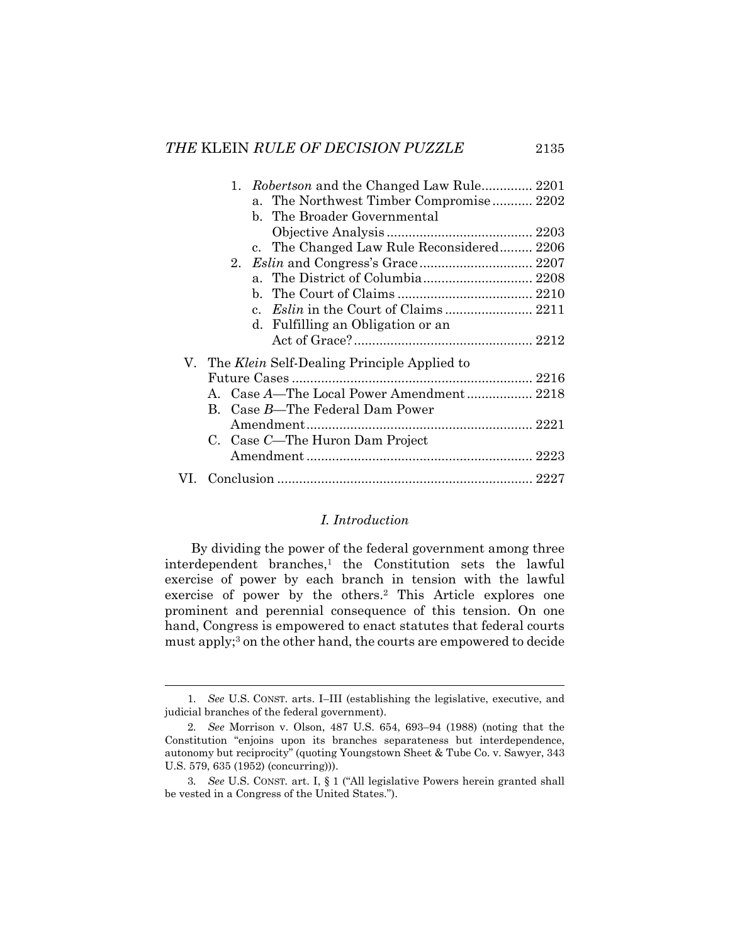| 1. Robertson and the Changed Law Rule 2201            |
|-------------------------------------------------------|
| a. The Northwest Timber Compromise 2202               |
| b. The Broader Governmental                           |
|                                                       |
| c. The Changed Law Rule Reconsidered 2206             |
|                                                       |
| a. The District of Columbia 2208                      |
|                                                       |
|                                                       |
| d. Fulfilling an Obligation or an                     |
|                                                       |
| V. The <i>Klein</i> Self-Dealing Principle Applied to |
|                                                       |
| A. Case A-The Local Power Amendment 2218              |
| B. Case B—The Federal Dam Power                       |
|                                                       |
| C. Case C-The Huron Dam Project                       |
|                                                       |
|                                                       |

# *I. Introduction*

By dividing the power of the federal government among three interdependent branches,<sup>1</sup> the Constitution sets the lawful exercise of power by each branch in tension with the lawful exercise of power by the others.2 This Article explores one prominent and perennial consequence of this tension. On one hand, Congress is empowered to enact statutes that federal courts must apply;<sup>3</sup> on the other hand, the courts are empowered to decide

 <sup>1</sup>*. See* U.S. CONST. arts. I–III (establishing the legislative, executive, and judicial branches of the federal government).

<sup>2</sup>*. See* Morrison v. Olson, 487 U.S. 654, 693–94 (1988) (noting that the Constitution "enjoins upon its branches separateness but interdependence, autonomy but reciprocity" (quoting Youngstown Sheet & Tube Co. v. Sawyer, 343 U.S. 579, 635 (1952) (concurring))).

<sup>3</sup>*. See* U.S. CONST*.* art. I, § 1 ("All legislative Powers herein granted shall be vested in a Congress of the United States.").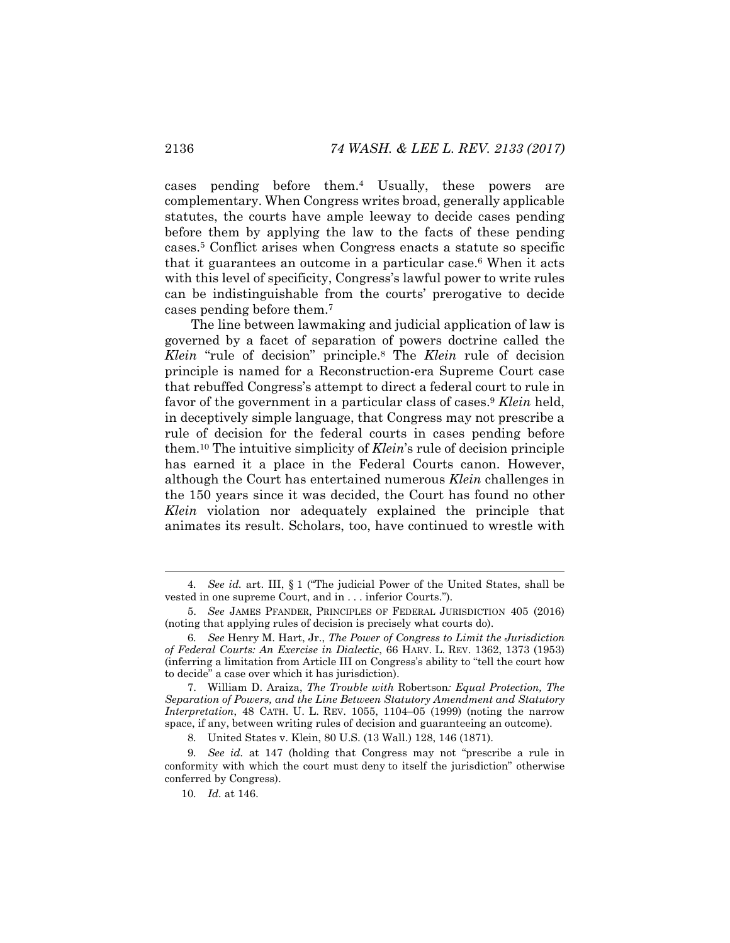cases pending before them.4 Usually, these powers are complementary. When Congress writes broad, generally applicable statutes, the courts have ample leeway to decide cases pending before them by applying the law to the facts of these pending cases.5 Conflict arises when Congress enacts a statute so specific that it guarantees an outcome in a particular case.6 When it acts with this level of specificity, Congress's lawful power to write rules can be indistinguishable from the courts' prerogative to decide cases pending before them.7

The line between lawmaking and judicial application of law is governed by a facet of separation of powers doctrine called the *Klein* "rule of decision" principle.8 The *Klein* rule of decision principle is named for a Reconstruction-era Supreme Court case that rebuffed Congress's attempt to direct a federal court to rule in favor of the government in a particular class of cases.9 *Klein* held, in deceptively simple language, that Congress may not prescribe a rule of decision for the federal courts in cases pending before them.10 The intuitive simplicity of *Klein*'s rule of decision principle has earned it a place in the Federal Courts canon. However, although the Court has entertained numerous *Klein* challenges in the 150 years since it was decided, the Court has found no other *Klein* violation nor adequately explained the principle that animates its result. Scholars, too, have continued to wrestle with

 7. William D. Araiza, *The Trouble with* Robertson*: Equal Protection, The Separation of Powers, and the Line Between Statutory Amendment and Statutory Interpretation*, 48 CATH. U. L. REV. 1055, 1104–05 (1999) (noting the narrow space, if any, between writing rules of decision and guaranteeing an outcome).

8*.* United States v. Klein, 80 U.S. (13 Wall.) 128, 146 (1871).

 <sup>4</sup>*. See id.* art. III, § 1 ("The judicial Power of the United States, shall be vested in one supreme Court, and in . . . inferior Courts.").

 <sup>5.</sup> *See* JAMES PFANDER, PRINCIPLES OF FEDERAL JURISDICTION 405 (2016) (noting that applying rules of decision is precisely what courts do).

<sup>6</sup>*. See* Henry M. Hart, Jr., *The Power of Congress to Limit the Jurisdiction of Federal Courts: An Exercise in Dialectic*, 66 HARV. L. REV. 1362, 1373 (1953) (inferring a limitation from Article III on Congress's ability to "tell the court how to decide" a case over which it has jurisdiction).

<sup>9</sup>*. See id.* at 147 (holding that Congress may not "prescribe a rule in conformity with which the court must deny to itself the jurisdiction" otherwise conferred by Congress).

<sup>10</sup>*. Id.* at 146.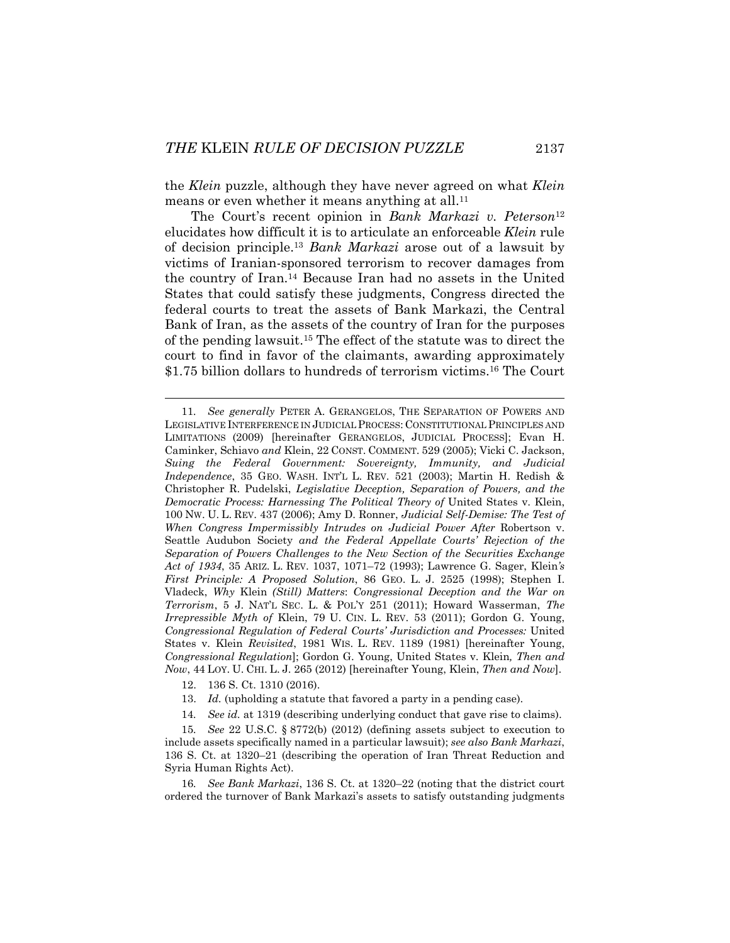the *Klein* puzzle, although they have never agreed on what *Klein*  means or even whether it means anything at all.<sup>11</sup>

The Court's recent opinion in *Bank Markazi v. Peterson*<sup>12</sup> elucidates how difficult it is to articulate an enforceable *Klein* rule of decision principle.13 *Bank Markazi* arose out of a lawsuit by victims of Iranian-sponsored terrorism to recover damages from the country of Iran.14 Because Iran had no assets in the United States that could satisfy these judgments, Congress directed the federal courts to treat the assets of Bank Markazi, the Central Bank of Iran, as the assets of the country of Iran for the purposes of the pending lawsuit.15 The effect of the statute was to direct the court to find in favor of the claimants, awarding approximately \$1.75 billion dollars to hundreds of terrorism victims.16 The Court

- 12. 136 S. Ct. 1310 (2016).
- 13. *Id.* (upholding a statute that favored a party in a pending case).
- 14*. See id.* at 1319 (describing underlying conduct that gave rise to claims).

 <sup>11</sup>*. See generally* PETER A. GERANGELOS, THE SEPARATION OF POWERS AND LEGISLATIVE INTERFERENCE IN JUDICIAL PROCESS: CONSTITUTIONAL PRINCIPLES AND LIMITATIONS (2009) [hereinafter GERANGELOS, JUDICIAL PROCESS]; Evan H. Caminker, Schiavo *and* Klein, 22 CONST. COMMENT. 529 (2005); Vicki C. Jackson, *Suing the Federal Government: Sovereignty, Immunity, and Judicial Independence*, 35 GEO. WASH. INT'L L. REV. 521 (2003); Martin H. Redish & Christopher R. Pudelski, *Legislative Deception, Separation of Powers, and the Democratic Process: Harnessing The Political Theory of United States v. Klein,* 100 NW. U. L. REV. 437 (2006); Amy D. Ronner, *Judicial Self-Demise: The Test of When Congress Impermissibly Intrudes on Judicial Power After* Robertson v. Seattle Audubon Society *and the Federal Appellate Courts' Rejection of the Separation of Powers Challenges to the New Section of the Securities Exchange Act of 1934*, 35 ARIZ. L. REV. 1037, 1071–72 (1993); Lawrence G. Sager, Klein*'s First Principle: A Proposed Solution*, 86 GEO. L. J. 2525 (1998); Stephen I. Vladeck, *Why* Klein *(Still) Matters*: *Congressional Deception and the War on Terrorism*, 5 J. NAT'L SEC. L. & POL'Y 251 (2011); Howard Wasserman, *The Irrepressible Myth of* Klein, 79 U. CIN. L. REV. 53 (2011); Gordon G. Young, *Congressional Regulation of Federal Courts' Jurisdiction and Processes:* United States v. Klein *Revisited*, 1981 WIS. L. REV. 1189 (1981) [hereinafter Young, *Congressional Regulation*]; Gordon G. Young, United States v. Klein*, Then and Now*, 44 LOY. U. CHI. L. J. 265 (2012) [hereinafter Young, Klein, *Then and Now*].

<sup>15</sup>*. See* 22 U.S.C. § 8772(b) (2012) (defining assets subject to execution to include assets specifically named in a particular lawsuit); *see also Bank Markazi*, 136 S. Ct. at 1320–21 (describing the operation of Iran Threat Reduction and Syria Human Rights Act).

<sup>16</sup>*. See Bank Markazi*, 136 S. Ct. at 1320–22 (noting that the district court ordered the turnover of Bank Markazi's assets to satisfy outstanding judgments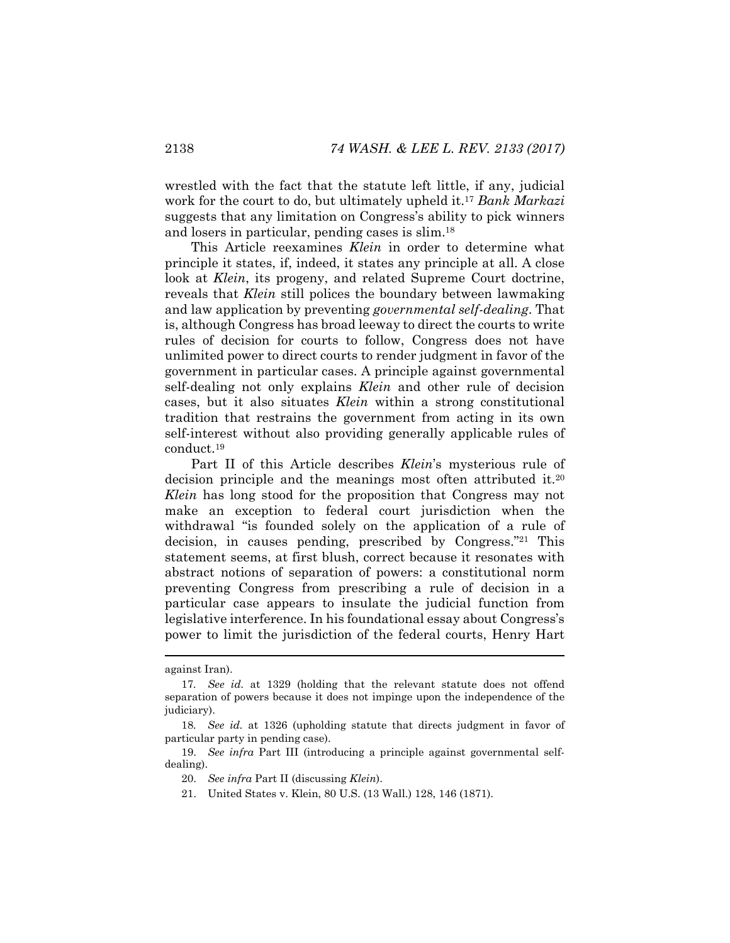wrestled with the fact that the statute left little, if any, judicial work for the court to do, but ultimately upheld it.17 *Bank Markazi* suggests that any limitation on Congress's ability to pick winners and losers in particular, pending cases is slim.18

This Article reexamines *Klein* in order to determine what principle it states, if, indeed, it states any principle at all. A close look at *Klein*, its progeny, and related Supreme Court doctrine, reveals that *Klein* still polices the boundary between lawmaking and law application by preventing *governmental self-dealing*. That is, although Congress has broad leeway to direct the courts to write rules of decision for courts to follow, Congress does not have unlimited power to direct courts to render judgment in favor of the government in particular cases. A principle against governmental self-dealing not only explains *Klein* and other rule of decision cases, but it also situates *Klein* within a strong constitutional tradition that restrains the government from acting in its own self-interest without also providing generally applicable rules of conduct.19

Part II of this Article describes *Klein*'s mysterious rule of decision principle and the meanings most often attributed it.20 *Klein* has long stood for the proposition that Congress may not make an exception to federal court jurisdiction when the withdrawal "is founded solely on the application of a rule of decision, in causes pending, prescribed by Congress."21 This statement seems, at first blush, correct because it resonates with abstract notions of separation of powers: a constitutional norm preventing Congress from prescribing a rule of decision in a particular case appears to insulate the judicial function from legislative interference. In his foundational essay about Congress's power to limit the jurisdiction of the federal courts, Henry Hart

against Iran).

<sup>17</sup>*. See id.* at 1329 (holding that the relevant statute does not offend separation of powers because it does not impinge upon the independence of the judiciary).

<sup>18</sup>*. See id.* at 1326 (upholding statute that directs judgment in favor of particular party in pending case).

 <sup>19.</sup> *See infra* Part III (introducing a principle against governmental selfdealing).

 <sup>20.</sup> *See infra* Part II (discussing *Klein*).

 <sup>21.</sup> United States v. Klein, 80 U.S. (13 Wall.) 128, 146 (1871).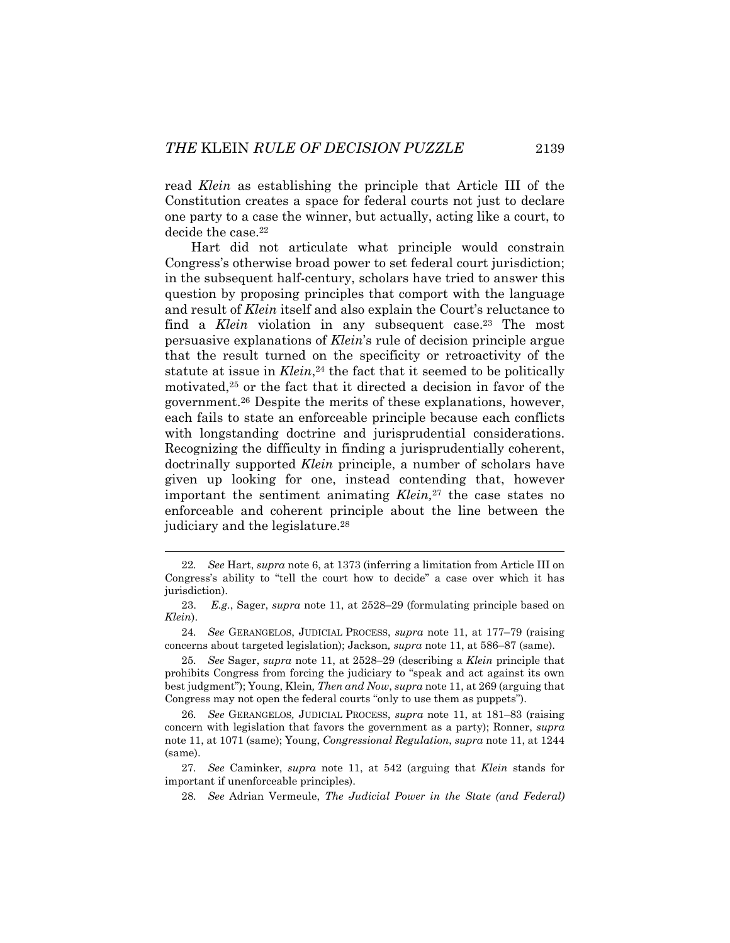read *Klein* as establishing the principle that Article III of the Constitution creates a space for federal courts not just to declare one party to a case the winner, but actually, acting like a court, to decide the case.<sup>22</sup>

Hart did not articulate what principle would constrain Congress's otherwise broad power to set federal court jurisdiction; in the subsequent half-century, scholars have tried to answer this question by proposing principles that comport with the language and result of *Klein* itself and also explain the Court's reluctance to find a *Klein* violation in any subsequent case.<sup>23</sup> The most persuasive explanations of *Klein*'s rule of decision principle argue that the result turned on the specificity or retroactivity of the statute at issue in *Klein*,<sup>24</sup> the fact that it seemed to be politically motivated,25 or the fact that it directed a decision in favor of the government.26 Despite the merits of these explanations, however, each fails to state an enforceable principle because each conflicts with longstanding doctrine and jurisprudential considerations. Recognizing the difficulty in finding a jurisprudentially coherent, doctrinally supported *Klein* principle, a number of scholars have given up looking for one, instead contending that, however important the sentiment animating *Klein,*27 the case states no enforceable and coherent principle about the line between the judiciary and the legislature.<sup>28</sup>

 <sup>22</sup>*. See* Hart, *supra* note 6, at 1373 (inferring a limitation from Article III on Congress's ability to "tell the court how to decide" a case over which it has jurisdiction).

 <sup>23.</sup> *E.g.*, Sager, *supra* note 11, at 2528–29 (formulating principle based on *Klein*).

<sup>24</sup>*. See* GERANGELOS, JUDICIAL PROCESS, *supra* note 11, at 177–79 (raising concerns about targeted legislation); Jackson*, supra* note 11, at 586–87 (same).

<sup>25</sup>*. See* Sager, *supra* note 11, at 2528–29 (describing a *Klein* principle that prohibits Congress from forcing the judiciary to "speak and act against its own best judgment"); Young, Klein*, Then and Now*, *supra* note 11, at 269 (arguing that Congress may not open the federal courts "only to use them as puppets").

<sup>26</sup>*. See* GERANGELOS*,* JUDICIAL PROCESS, *supra* note 11, at 181–83 (raising concern with legislation that favors the government as a party); Ronner, *supra*  note 11, at 1071 (same); Young, *Congressional Regulation*, *supra* note 11, at 1244 (same).

<sup>27</sup>*. See* Caminker, *supra* note 11, at 542 (arguing that *Klein* stands for important if unenforceable principles).

<sup>28</sup>*. See* Adrian Vermeule, *The Judicial Power in the State (and Federal)*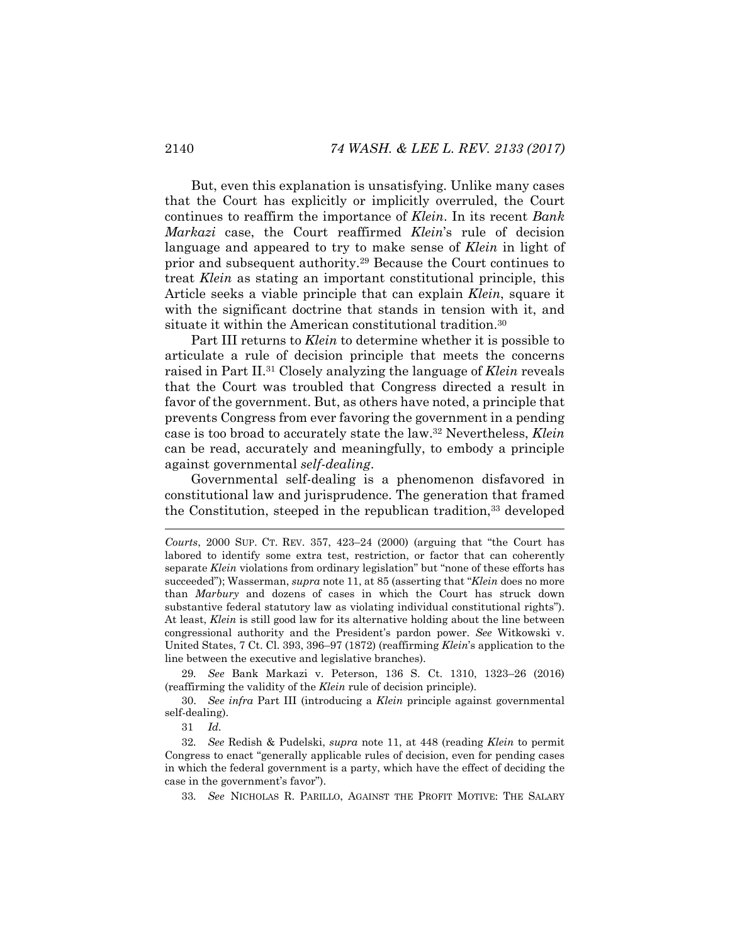But, even this explanation is unsatisfying. Unlike many cases that the Court has explicitly or implicitly overruled, the Court continues to reaffirm the importance of *Klein*. In its recent *Bank Markazi* case, the Court reaffirmed *Klein*'s rule of decision language and appeared to try to make sense of *Klein* in light of prior and subsequent authority.29 Because the Court continues to treat *Klein* as stating an important constitutional principle, this Article seeks a viable principle that can explain *Klein*, square it with the significant doctrine that stands in tension with it, and situate it within the American constitutional tradition.30

Part III returns to *Klein* to determine whether it is possible to articulate a rule of decision principle that meets the concerns raised in Part II.31 Closely analyzing the language of *Klein* reveals that the Court was troubled that Congress directed a result in favor of the government. But, as others have noted, a principle that prevents Congress from ever favoring the government in a pending case is too broad to accurately state the law.32 Nevertheless, *Klein* can be read, accurately and meaningfully, to embody a principle against governmental *self-dealing*.

Governmental self-dealing is a phenomenon disfavored in constitutional law and jurisprudence. The generation that framed the Constitution, steeped in the republican tradition,<sup>33</sup> developed

29*. See* Bank Markazi v. Peterson, 136 S. Ct. 1310, 1323–26 (2016) (reaffirming the validity of the *Klein* rule of decision principle).

 30. *See infra* Part III (introducing a *Klein* principle against governmental self-dealing).

31 *Id.*

l

32*. See* Redish & Pudelski, *supra* note 11, at 448 (reading *Klein* to permit Congress to enact "generally applicable rules of decision, even for pending cases in which the federal government is a party, which have the effect of deciding the case in the government's favor").

33*. See* NICHOLAS R. PARILLO, AGAINST THE PROFIT MOTIVE: THE SALARY

*Courts*, 2000 SUP. CT. REV. 357, 423–24 (2000) (arguing that "the Court has labored to identify some extra test, restriction, or factor that can coherently separate *Klein* violations from ordinary legislation" but "none of these efforts has succeeded"); Wasserman, *supra* note 11, at 85 (asserting that "*Klein* does no more than *Marbury* and dozens of cases in which the Court has struck down substantive federal statutory law as violating individual constitutional rights"). At least, *Klein* is still good law for its alternative holding about the line between congressional authority and the President's pardon power. *See* Witkowski v. United States, 7 Ct. Cl. 393, 396–97 (1872) (reaffirming *Klein*'s application to the line between the executive and legislative branches).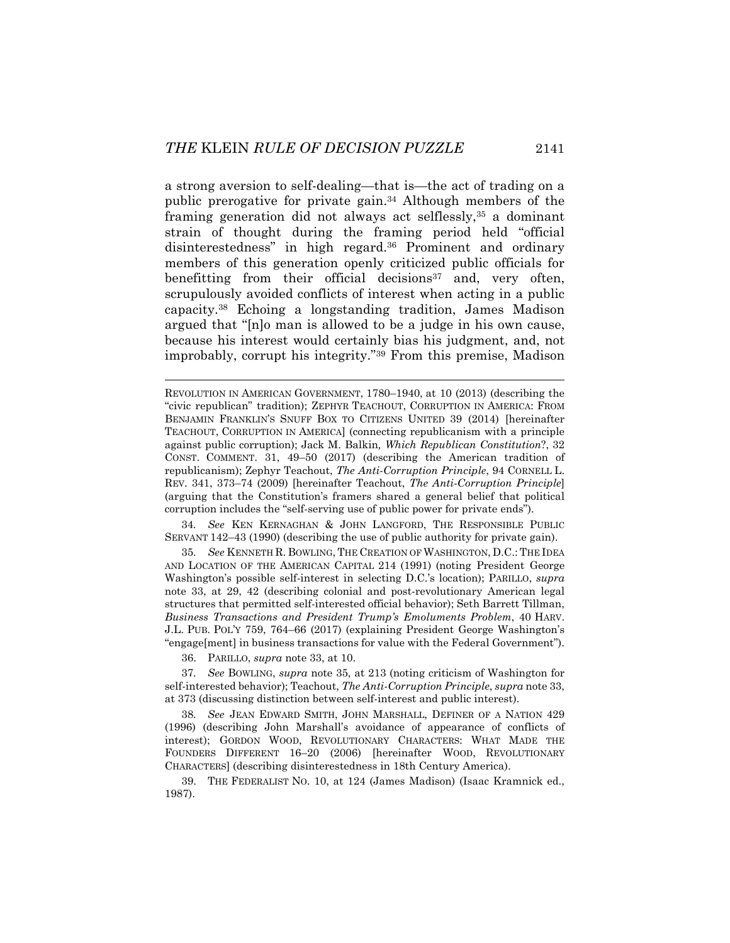a strong aversion to self-dealing—that is—the act of trading on a public prerogative for private gain.34 Although members of the framing generation did not always act selflessly,35 a dominant strain of thought during the framing period held "official disinterestedness" in high regard.36 Prominent and ordinary members of this generation openly criticized public officials for benefitting from their official decisions<sup>37</sup> and, very often, scrupulously avoided conflicts of interest when acting in a public capacity.38 Echoing a longstanding tradition, James Madison argued that "[n]o man is allowed to be a judge in his own cause, because his interest would certainly bias his judgment, and, not improbably, corrupt his integrity."39 From this premise, Madison

34*. See* KEN KERNAGHAN & JOHN LANGFORD, THE RESPONSIBLE PUBLIC SERVANT 142–43 (1990) (describing the use of public authority for private gain).

35*. See* KENNETH R. BOWLING, THE CREATION OF WASHINGTON, D.C.: THE IDEA AND LOCATION OF THE AMERICAN CAPITAL 214 (1991) (noting President George Washington's possible self-interest in selecting D.C.'s location); PARILLO, *supra* note 33, at 29, 42 (describing colonial and post-revolutionary American legal structures that permitted self-interested official behavior); Seth Barrett Tillman, *Business Transactions and President Trump's Emoluments Problem*, 40 HARV. J.L. PUB. POL'Y 759, 764–66 (2017) (explaining President George Washington's "engage[ment] in business transactions for value with the Federal Government").

36. PARILLO, *supra* note 33, at 10.

37*. See* BOWLING, *supra* note 35, at 213 (noting criticism of Washington for self-interested behavior); Teachout, *The Anti-Corruption Principle*, *supra* note 33, at 373 (discussing distinction between self-interest and public interest).

38*. See* JEAN EDWARD SMITH, JOHN MARSHALL, DEFINER OF A NATION 429 (1996) (describing John Marshall's avoidance of appearance of conflicts of interest); GORDON WOOD, REVOLUTIONARY CHARACTERS: WHAT MADE THE FOUNDERS DIFFERENT 16–20 (2006) [hereinafter WOOD, REVOLUTIONARY CHARACTERS] (describing disinterestedness in 18th Century America).

 39. THE FEDERALIST NO. 10, at 124 (James Madison) (Isaac Kramnick ed., 1987).

REVOLUTION IN AMERICAN GOVERNMENT, 1780–1940, at 10 (2013) (describing the "civic republican" tradition); ZEPHYR TEACHOUT, CORRUPTION IN AMERICA: FROM BENJAMIN FRANKLIN'S SNUFF BOX TO CITIZENS UNITED 39 (2014) [hereinafter TEACHOUT, CORRUPTION IN AMERICA] (connecting republicanism with a principle against public corruption); Jack M. Balkin*, Which Republican Constitution*?, 32 CONST. COMMENT. 31, 49–50 (2017) (describing the American tradition of republicanism); Zephyr Teachout, *The Anti-Corruption Principle*, 94 CORNELL L. REV. 341, 373–74 (2009) [hereinafter Teachout, *The Anti-Corruption Principle*] (arguing that the Constitution's framers shared a general belief that political corruption includes the "self-serving use of public power for private ends").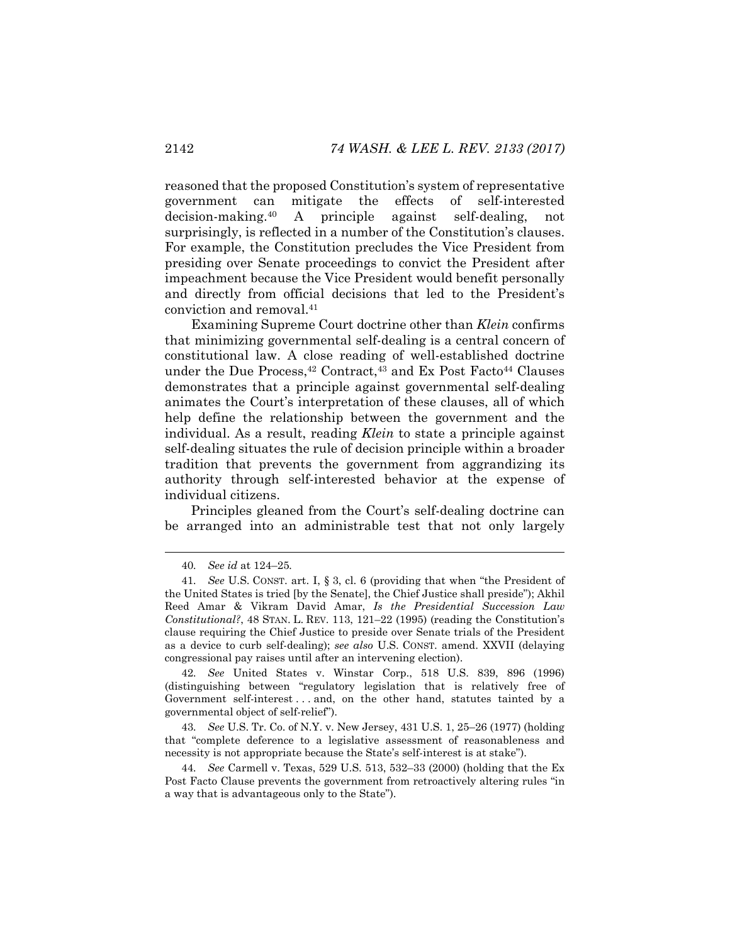reasoned that the proposed Constitution's system of representative government can mitigate the effects of self-interested decision-making.40 A principle against self-dealing, not surprisingly, is reflected in a number of the Constitution's clauses. For example, the Constitution precludes the Vice President from presiding over Senate proceedings to convict the President after impeachment because the Vice President would benefit personally and directly from official decisions that led to the President's conviction and removal.41

Examining Supreme Court doctrine other than *Klein* confirms that minimizing governmental self-dealing is a central concern of constitutional law. A close reading of well-established doctrine under the Due Process, $42$  Contract, $43$  and Ex Post Facto $44$  Clauses demonstrates that a principle against governmental self-dealing animates the Court's interpretation of these clauses, all of which help define the relationship between the government and the individual. As a result, reading *Klein* to state a principle against self-dealing situates the rule of decision principle within a broader tradition that prevents the government from aggrandizing its authority through self-interested behavior at the expense of individual citizens.

Principles gleaned from the Court's self-dealing doctrine can be arranged into an administrable test that not only largely

42*. See* United States v. Winstar Corp., 518 U.S. 839, 896 (1996) (distinguishing between "regulatory legislation that is relatively free of Government self-interest . . . and, on the other hand, statutes tainted by a governmental object of self-relief").

43*. See* U.S. Tr. Co. of N.Y. v. New Jersey, 431 U.S. 1, 25–26 (1977) (holding that "complete deference to a legislative assessment of reasonableness and necessity is not appropriate because the State's self-interest is at stake").

44*. See* Carmell v. Texas, 529 U.S. 513, 532–33 (2000) (holding that the Ex Post Facto Clause prevents the government from retroactively altering rules "in a way that is advantageous only to the State").

 <sup>40</sup>*. See id* at 124–25*.*

<sup>41</sup>*. See* U.S. CONST. art. I, § 3, cl. 6 (providing that when "the President of the United States is tried [by the Senate], the Chief Justice shall preside"); Akhil Reed Amar & Vikram David Amar, *Is the Presidential Succession Law Constitutional?*, 48 STAN. L. REV. 113, 121–22 (1995) (reading the Constitution's clause requiring the Chief Justice to preside over Senate trials of the President as a device to curb self-dealing); *see also* U.S. CONST. amend. XXVII (delaying congressional pay raises until after an intervening election).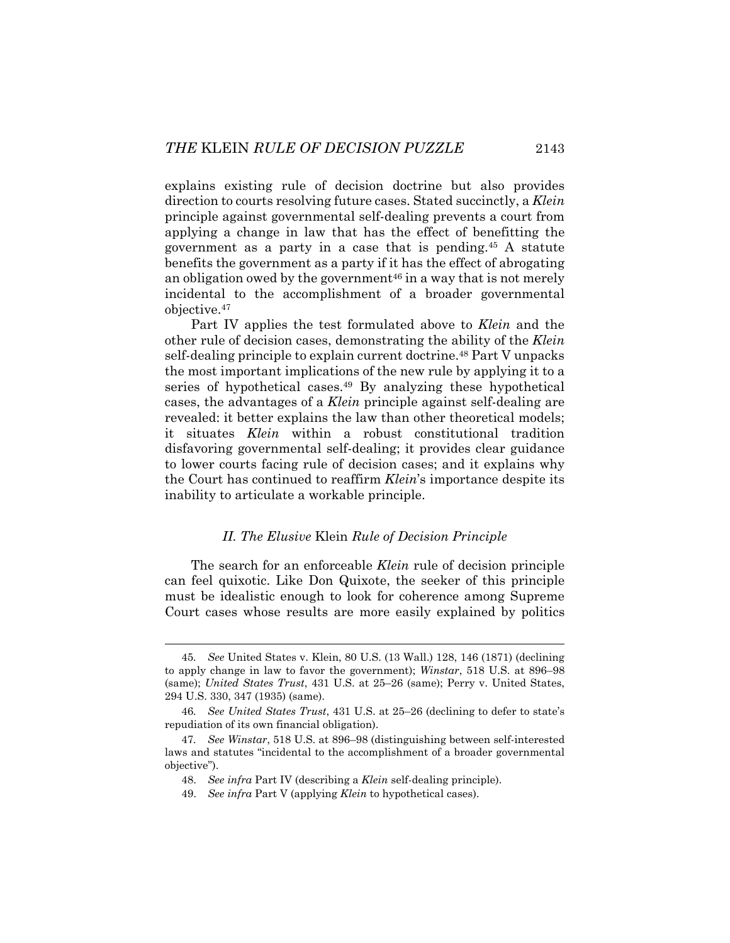explains existing rule of decision doctrine but also provides direction to courts resolving future cases. Stated succinctly, a *Klein* principle against governmental self-dealing prevents a court from applying a change in law that has the effect of benefitting the government as a party in a case that is pending.45 A statute benefits the government as a party if it has the effect of abrogating an obligation owed by the government<sup>46</sup> in a way that is not merely incidental to the accomplishment of a broader governmental objective.47

Part IV applies the test formulated above to *Klein* and the other rule of decision cases, demonstrating the ability of the *Klein* self-dealing principle to explain current doctrine.<sup>48</sup> Part V unpacks the most important implications of the new rule by applying it to a series of hypothetical cases.<sup>49</sup> By analyzing these hypothetical cases, the advantages of a *Klein* principle against self-dealing are revealed: it better explains the law than other theoretical models; it situates *Klein* within a robust constitutional tradition disfavoring governmental self-dealing; it provides clear guidance to lower courts facing rule of decision cases; and it explains why the Court has continued to reaffirm *Klein*'s importance despite its inability to articulate a workable principle.

# *II. The Elusive* Klein *Rule of Decision Principle*

The search for an enforceable *Klein* rule of decision principle can feel quixotic. Like Don Quixote, the seeker of this principle must be idealistic enough to look for coherence among Supreme Court cases whose results are more easily explained by politics

 <sup>45</sup>*. See* United States v. Klein, 80 U.S. (13 Wall.) 128, 146 (1871) (declining to apply change in law to favor the government); *Winstar*, 518 U.S. at 896–98 (same); *United States Trust*, 431 U.S. at 25–26 (same); Perry v. United States, 294 U.S. 330, 347 (1935) (same).

<sup>46</sup>*. See United States Trust*, 431 U.S. at 25–26 (declining to defer to state's repudiation of its own financial obligation).

<sup>47</sup>*. See Winstar*, 518 U.S. at 896–98 (distinguishing between self-interested laws and statutes "incidental to the accomplishment of a broader governmental objective").

<sup>48.</sup> *See infra* Part IV (describing a *Klein* self-dealing principle).

<sup>49.</sup> *See infra* Part V (applying *Klein* to hypothetical cases).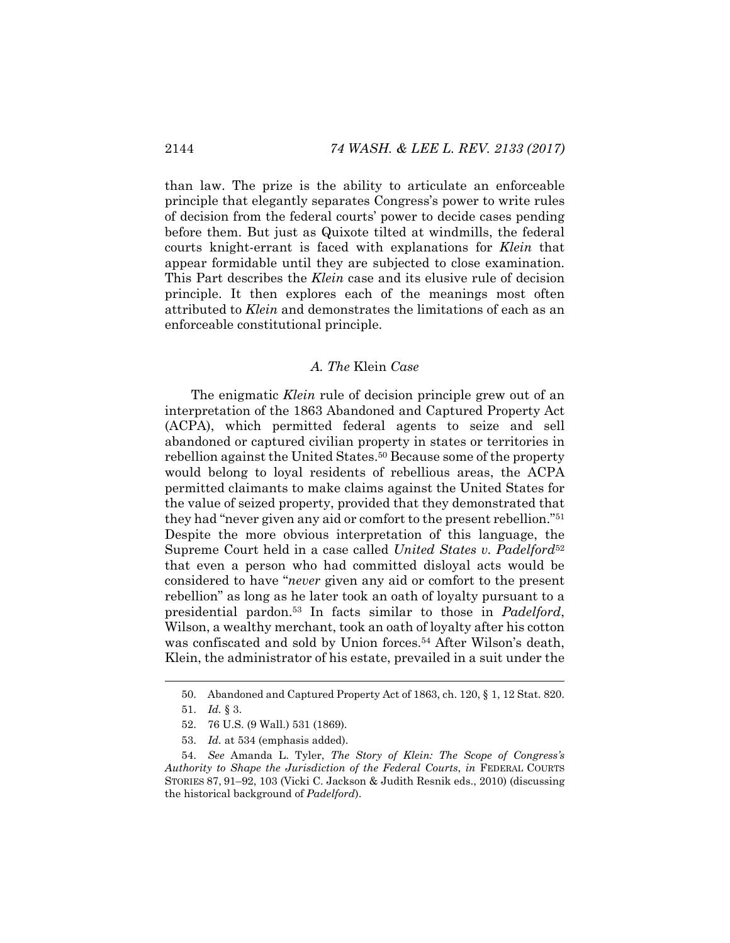than law. The prize is the ability to articulate an enforceable principle that elegantly separates Congress's power to write rules of decision from the federal courts' power to decide cases pending before them. But just as Quixote tilted at windmills, the federal courts knight-errant is faced with explanations for *Klein* that appear formidable until they are subjected to close examination. This Part describes the *Klein* case and its elusive rule of decision principle. It then explores each of the meanings most often attributed to *Klein* and demonstrates the limitations of each as an enforceable constitutional principle.

# *A. The* Klein *Case*

The enigmatic *Klein* rule of decision principle grew out of an interpretation of the 1863 Abandoned and Captured Property Act (ACPA), which permitted federal agents to seize and sell abandoned or captured civilian property in states or territories in rebellion against the United States.<sup>50</sup> Because some of the property would belong to loyal residents of rebellious areas, the ACPA permitted claimants to make claims against the United States for the value of seized property, provided that they demonstrated that they had "never given any aid or comfort to the present rebellion."51 Despite the more obvious interpretation of this language, the Supreme Court held in a case called *United States v. Padelford*<sup>52</sup> that even a person who had committed disloyal acts would be considered to have "*never* given any aid or comfort to the present rebellion" as long as he later took an oath of loyalty pursuant to a presidential pardon.53 In facts similar to those in *Padelford*, Wilson, a wealthy merchant, took an oath of loyalty after his cotton was confiscated and sold by Union forces.<sup>54</sup> After Wilson's death, Klein, the administrator of his estate, prevailed in a suit under the

 <sup>50.</sup> Abandoned and Captured Property Act of 1863, ch. 120, § 1, 12 Stat. 820.

 <sup>51.</sup> *Id.* § 3.

 <sup>52. 76</sup> U.S. (9 Wall.) 531 (1869).

 <sup>53.</sup> *Id.* at 534 (emphasis added).

 <sup>54.</sup> *See* Amanda L. Tyler, *The Story of Klein: The Scope of Congress's Authority to Shape the Jurisdiction of the Federal Courts*, *in* FEDERAL COURTS STORIES 87, 91–92, 103 (Vicki C. Jackson & Judith Resnik eds., 2010) (discussing the historical background of *Padelford*).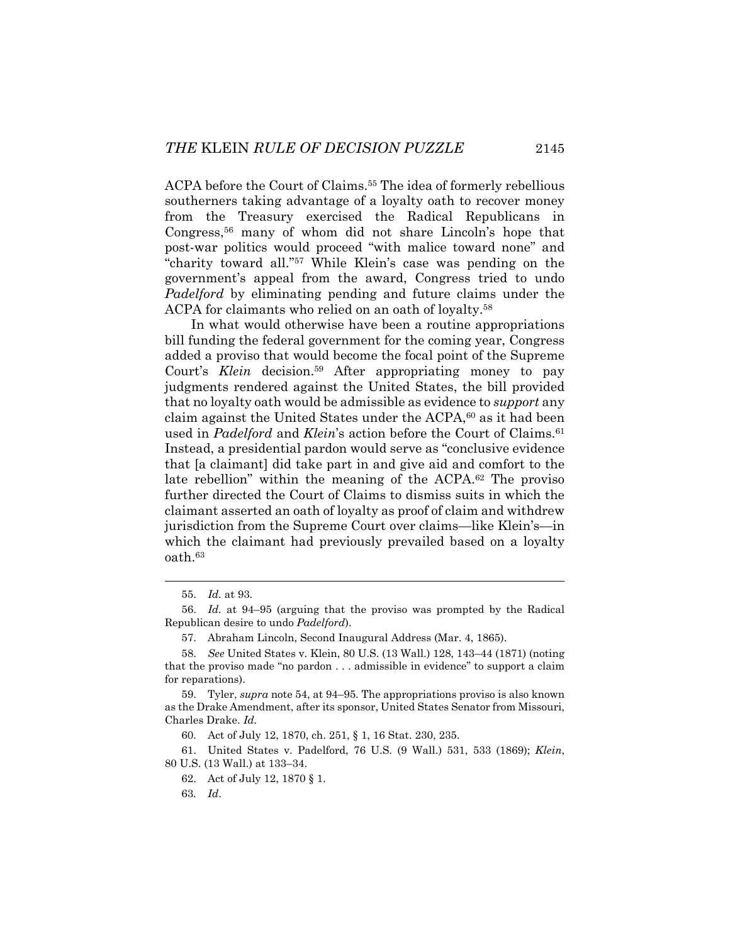ACPA before the Court of Claims.55 The idea of formerly rebellious southerners taking advantage of a loyalty oath to recover money from the Treasury exercised the Radical Republicans in Congress,56 many of whom did not share Lincoln's hope that post-war politics would proceed "with malice toward none" and "charity toward all."57 While Klein's case was pending on the government's appeal from the award, Congress tried to undo *Padelford* by eliminating pending and future claims under the ACPA for claimants who relied on an oath of loyalty.58

In what would otherwise have been a routine appropriations bill funding the federal government for the coming year, Congress added a proviso that would become the focal point of the Supreme Court's *Klein* decision.59 After appropriating money to pay judgments rendered against the United States, the bill provided that no loyalty oath would be admissible as evidence to *support* any claim against the United States under the ACPA,<sup>60</sup> as it had been used in *Padelford* and *Klein*'s action before the Court of Claims.<sup>61</sup> Instead, a presidential pardon would serve as "conclusive evidence that [a claimant] did take part in and give aid and comfort to the late rebellion" within the meaning of the ACPA.62 The proviso further directed the Court of Claims to dismiss suits in which the claimant asserted an oath of loyalty as proof of claim and withdrew jurisdiction from the Supreme Court over claims—like Klein's—in which the claimant had previously prevailed based on a loyalty oath.63

l

60. Act of July 12, 1870, ch. 251, § 1, 16 Stat. 230, 235.

 61. United States v. Padelford, 76 U.S. (9 Wall.) 531, 533 (1869); *Klein*, 80 U.S. (13 Wall.) at 133–34.

 <sup>55.</sup> *Id.* at 93.

 <sup>56.</sup> *Id.* at 94–95 (arguing that the proviso was prompted by the Radical Republican desire to undo *Padelford*).

 <sup>57.</sup> Abraham Lincoln, Second Inaugural Address (Mar. 4, 1865).

 <sup>58.</sup> *See* United States v. Klein, 80 U.S. (13 Wall.) 128, 143–44 (1871) (noting that the proviso made "no pardon . . . admissible in evidence" to support a claim for reparations).

 <sup>59.</sup> Tyler, *supra* note 54, at 94–95. The appropriations proviso is also known as the Drake Amendment, after its sponsor, United States Senator from Missouri, Charles Drake. *Id.* 

 <sup>62.</sup> Act of July 12, 1870 § 1.

<sup>63</sup>*. Id*.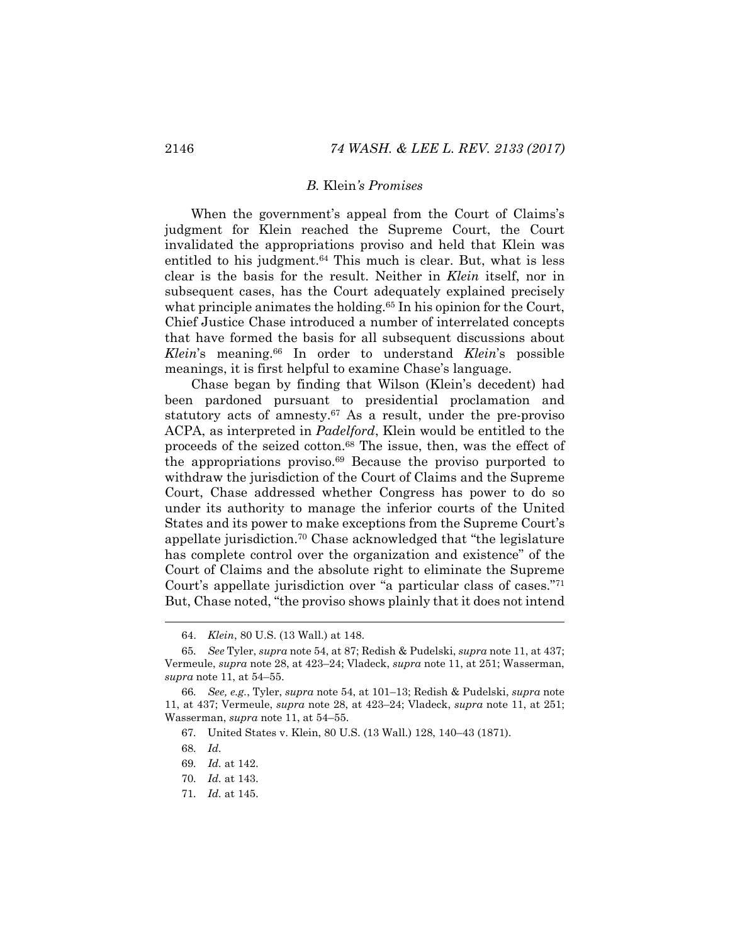#### *B.* Klein*'s Promises*

When the government's appeal from the Court of Claims's judgment for Klein reached the Supreme Court, the Court invalidated the appropriations proviso and held that Klein was entitled to his judgment.<sup>64</sup> This much is clear. But, what is less clear is the basis for the result. Neither in *Klein* itself, nor in subsequent cases, has the Court adequately explained precisely what principle animates the holding.<sup>65</sup> In his opinion for the Court, Chief Justice Chase introduced a number of interrelated concepts that have formed the basis for all subsequent discussions about *Klein*'s meaning.66 In order to understand *Klein*'s possible meanings, it is first helpful to examine Chase's language.

Chase began by finding that Wilson (Klein's decedent) had been pardoned pursuant to presidential proclamation and statutory acts of amnesty.<sup>67</sup> As a result, under the pre-proviso ACPA, as interpreted in *Padelford*, Klein would be entitled to the proceeds of the seized cotton.68 The issue, then, was the effect of the appropriations proviso.69 Because the proviso purported to withdraw the jurisdiction of the Court of Claims and the Supreme Court, Chase addressed whether Congress has power to do so under its authority to manage the inferior courts of the United States and its power to make exceptions from the Supreme Court's appellate jurisdiction.70 Chase acknowledged that "the legislature has complete control over the organization and existence" of the Court of Claims and the absolute right to eliminate the Supreme Court's appellate jurisdiction over "a particular class of cases."71 But, Chase noted, "the proviso shows plainly that it does not intend

68*. Id.*

 <sup>64.</sup> *Klein*, 80 U.S. (13 Wall.) at 148.

<sup>65</sup>*. See* Tyler, *supra* note 54, at 87; Redish & Pudelski, *supra* note 11, at 437; Vermeule, *supra* note 28, at 423–24; Vladeck, *supra* note 11, at 251; Wasserman, *supra* note 11, at 54–55.

<sup>66</sup>*. See, e.g.*, Tyler, *supra* note 54, at 101–13; Redish & Pudelski, *supra* note 11, at 437; Vermeule, *supra* note 28, at 423–24; Vladeck, *supra* note 11, at 251; Wasserman, *supra* note 11, at 54–55.

<sup>67</sup>*.* United States v. Klein, 80 U.S. (13 Wall.) 128, 140–43 (1871).

<sup>69</sup>*. Id.* at 142.

<sup>70</sup>*. Id.* at 143.

<sup>71</sup>*. Id.* at 145.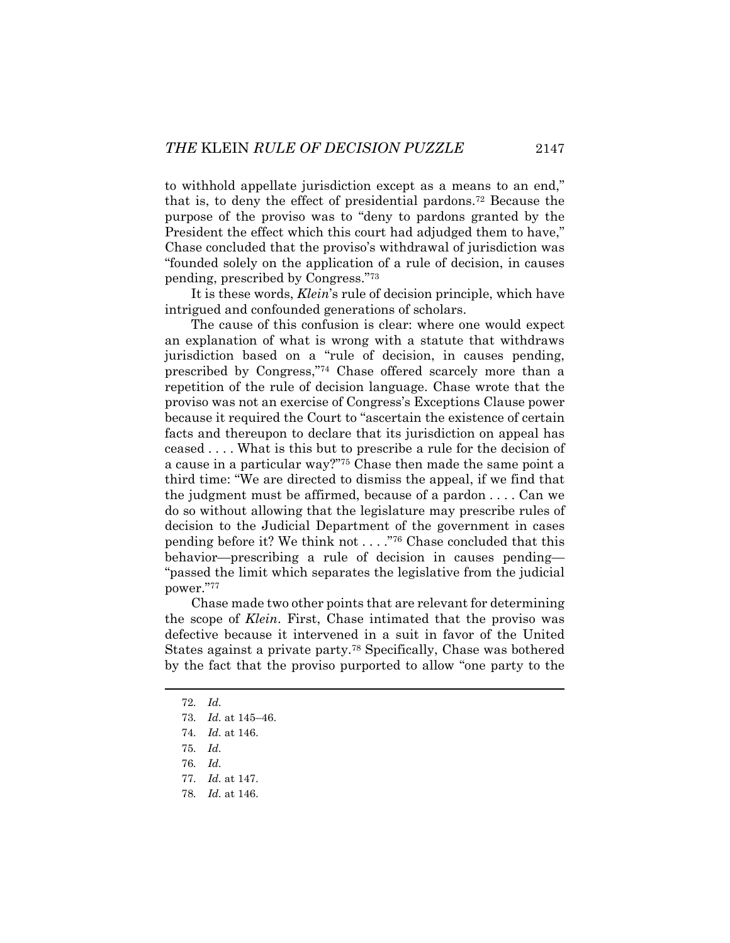to withhold appellate jurisdiction except as a means to an end," that is, to deny the effect of presidential pardons.72 Because the purpose of the proviso was to "deny to pardons granted by the President the effect which this court had adjudged them to have," Chase concluded that the proviso's withdrawal of jurisdiction was "founded solely on the application of a rule of decision, in causes pending, prescribed by Congress."73

It is these words, *Klein*'s rule of decision principle, which have intrigued and confounded generations of scholars.

The cause of this confusion is clear: where one would expect an explanation of what is wrong with a statute that withdraws jurisdiction based on a "rule of decision, in causes pending, prescribed by Congress,"74 Chase offered scarcely more than a repetition of the rule of decision language. Chase wrote that the proviso was not an exercise of Congress's Exceptions Clause power because it required the Court to "ascertain the existence of certain facts and thereupon to declare that its jurisdiction on appeal has ceased . . . . What is this but to prescribe a rule for the decision of a cause in a particular way?"75 Chase then made the same point a third time: "We are directed to dismiss the appeal, if we find that the judgment must be affirmed, because of a pardon . . . . Can we do so without allowing that the legislature may prescribe rules of decision to the Judicial Department of the government in cases pending before it? We think not . . . ."76 Chase concluded that this behavior—prescribing a rule of decision in causes pending— "passed the limit which separates the legislative from the judicial power."77

Chase made two other points that are relevant for determining the scope of *Klein*. First, Chase intimated that the proviso was defective because it intervened in a suit in favor of the United States against a private party.78 Specifically, Chase was bothered by the fact that the proviso purported to allow "one party to the

 <sup>72</sup>*. Id.*

<sup>73</sup>*. Id.* at 145–46.

<sup>74</sup>*. Id.* at 146.

<sup>75</sup>*. Id.*

<sup>76</sup>*. Id.*

<sup>77</sup>*. Id.* at 147.

<sup>78</sup>*. Id.* at 146.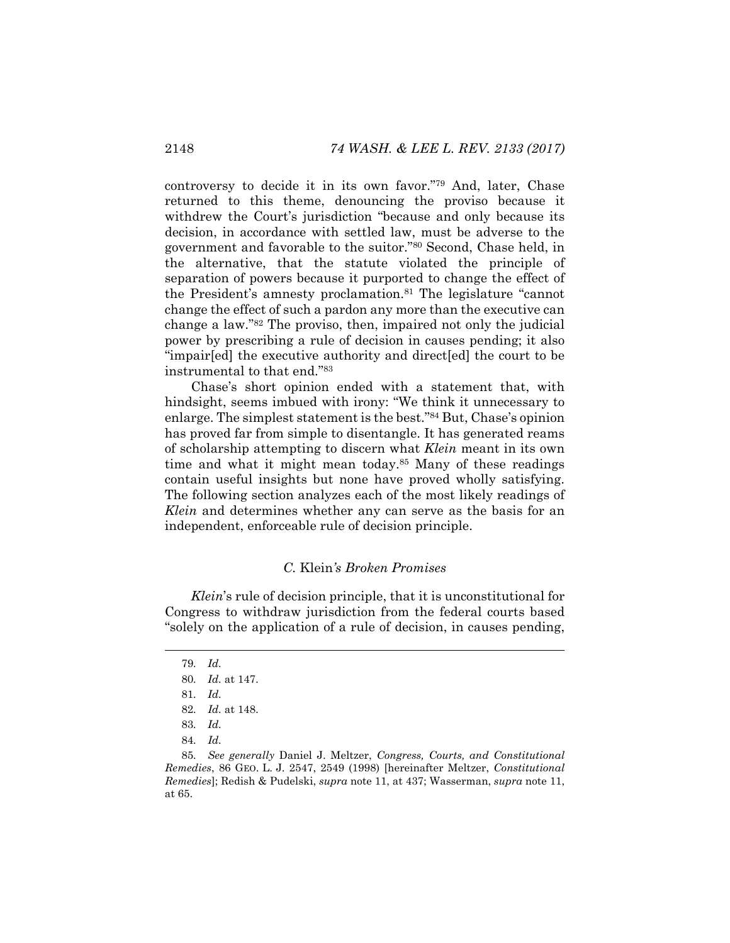controversy to decide it in its own favor."79 And, later, Chase returned to this theme, denouncing the proviso because it withdrew the Court's jurisdiction "because and only because its decision, in accordance with settled law, must be adverse to the government and favorable to the suitor."80 Second, Chase held, in the alternative, that the statute violated the principle of separation of powers because it purported to change the effect of the President's amnesty proclamation.81 The legislature "cannot change the effect of such a pardon any more than the executive can change a law."82 The proviso, then, impaired not only the judicial power by prescribing a rule of decision in causes pending; it also "impair[ed] the executive authority and direct[ed] the court to be instrumental to that end."83

Chase's short opinion ended with a statement that, with hindsight, seems imbued with irony: "We think it unnecessary to enlarge. The simplest statement is the best."84 But, Chase's opinion has proved far from simple to disentangle. It has generated reams of scholarship attempting to discern what *Klein* meant in its own time and what it might mean today.85 Many of these readings contain useful insights but none have proved wholly satisfying. The following section analyzes each of the most likely readings of *Klein* and determines whether any can serve as the basis for an independent, enforceable rule of decision principle.

#### *C.* Klein*'s Broken Promises*

*Klein*'s rule of decision principle, that it is unconstitutional for Congress to withdraw jurisdiction from the federal courts based "solely on the application of a rule of decision, in causes pending,

 <sup>79</sup>*. Id.*

<sup>80</sup>*. Id.* at 147.

<sup>81</sup>*. Id.*

<sup>82</sup>*. Id.* at 148.

<sup>83</sup>*. Id.*

<sup>84</sup>*. Id.*

<sup>85</sup>*. See generally* Daniel J. Meltzer, *Congress, Courts, and Constitutional Remedies*, 86 GEO. L. J. 2547, 2549 (1998) [hereinafter Meltzer, *Constitutional Remedies*]; Redish & Pudelski, *supra* note 11, at 437; Wasserman, *supra* note 11, at 65.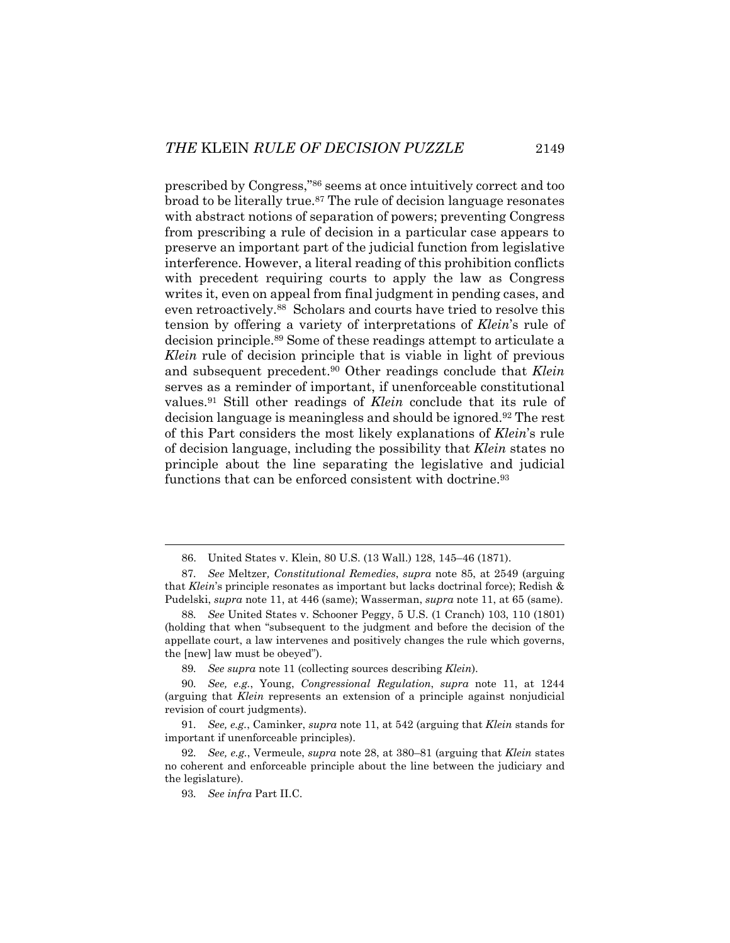prescribed by Congress,"86 seems at once intuitively correct and too broad to be literally true.87 The rule of decision language resonates with abstract notions of separation of powers; preventing Congress from prescribing a rule of decision in a particular case appears to preserve an important part of the judicial function from legislative interference. However, a literal reading of this prohibition conflicts with precedent requiring courts to apply the law as Congress writes it, even on appeal from final judgment in pending cases, and even retroactively.88 Scholars and courts have tried to resolve this tension by offering a variety of interpretations of *Klein*'s rule of decision principle.89 Some of these readings attempt to articulate a *Klein* rule of decision principle that is viable in light of previous and subsequent precedent.90 Other readings conclude that *Klein* serves as a reminder of important, if unenforceable constitutional values.91 Still other readings of *Klein* conclude that its rule of decision language is meaningless and should be ignored.92 The rest of this Part considers the most likely explanations of *Klein*'s rule of decision language, including the possibility that *Klein* states no principle about the line separating the legislative and judicial functions that can be enforced consistent with doctrine.<sup>93</sup>

 <sup>86.</sup> United States v. Klein, 80 U.S. (13 Wall.) 128, 145–46 (1871).

<sup>87</sup>*. See* Meltzer*, Constitutional Remedies*, *supra* note 85, at 2549 (arguing that *Klein*'s principle resonates as important but lacks doctrinal force); Redish & Pudelski, *supra* note 11, at 446 (same); Wasserman, *supra* note 11, at 65 (same).

<sup>88</sup>*. See* United States v. Schooner Peggy, 5 U.S. (1 Cranch) 103, 110 (1801) (holding that when "subsequent to the judgment and before the decision of the appellate court, a law intervenes and positively changes the rule which governs, the [new] law must be obeyed").

<sup>89</sup>*. See supra* note 11 (collecting sources describing *Klein*).

<sup>90</sup>*. See, e.g.*, Young, *Congressional Regulation*, *supra* note 11, at 1244 (arguing that *Klein* represents an extension of a principle against nonjudicial revision of court judgments).

<sup>91</sup>*. See, e.g.*, Caminker, *supra* note 11, at 542 (arguing that *Klein* stands for important if unenforceable principles).

<sup>92</sup>*. See, e.g.*, Vermeule, *supra* note 28, at 380–81 (arguing that *Klein* states no coherent and enforceable principle about the line between the judiciary and the legislature).

<sup>93</sup>*. See infra* Part II.C.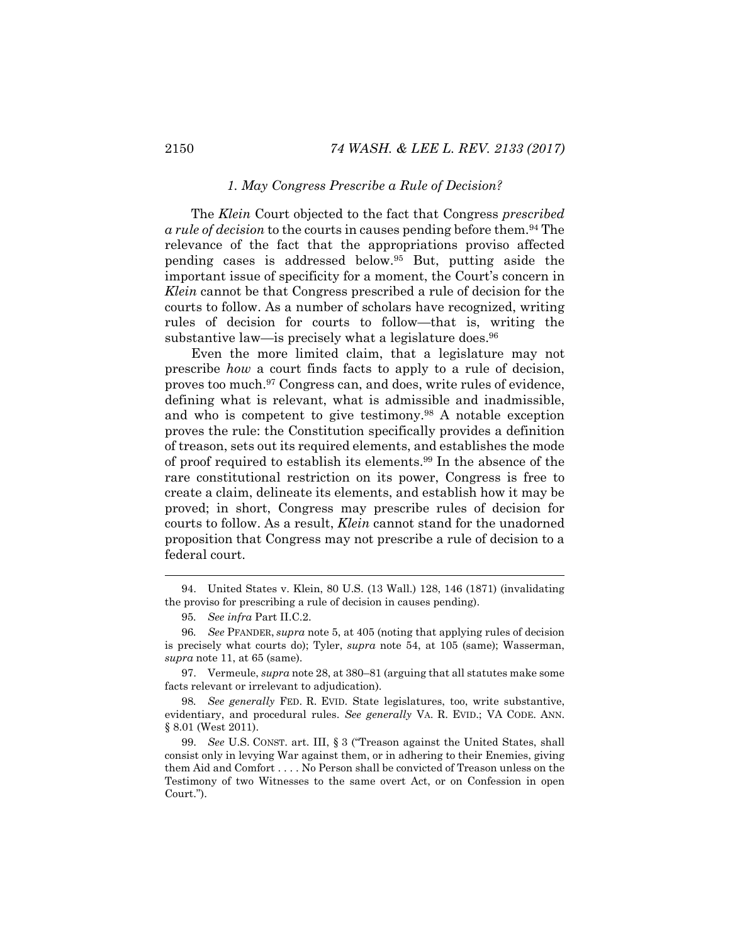## *1. May Congress Prescribe a Rule of Decision?*

The *Klein* Court objected to the fact that Congress *prescribed a rule of decision* to the courts in causes pending before them.94 The relevance of the fact that the appropriations proviso affected pending cases is addressed below.95 But, putting aside the important issue of specificity for a moment, the Court's concern in *Klein* cannot be that Congress prescribed a rule of decision for the courts to follow. As a number of scholars have recognized, writing rules of decision for courts to follow—that is, writing the substantive law—is precisely what a legislature does.<sup>96</sup>

Even the more limited claim, that a legislature may not prescribe *how* a court finds facts to apply to a rule of decision, proves too much.97 Congress can, and does, write rules of evidence, defining what is relevant, what is admissible and inadmissible, and who is competent to give testimony.98 A notable exception proves the rule: the Constitution specifically provides a definition of treason, sets out its required elements, and establishes the mode of proof required to establish its elements.99 In the absence of the rare constitutional restriction on its power, Congress is free to create a claim, delineate its elements, and establish how it may be proved; in short, Congress may prescribe rules of decision for courts to follow. As a result, *Klein* cannot stand for the unadorned proposition that Congress may not prescribe a rule of decision to a federal court.

 <sup>94.</sup> United States v. Klein, 80 U.S. (13 Wall.) 128, 146 (1871) (invalidating the proviso for prescribing a rule of decision in causes pending).

<sup>95</sup>*. See infra* Part II.C.2.

<sup>96</sup>*. See* PFANDER, *supra* note 5, at 405 (noting that applying rules of decision is precisely what courts do); Tyler, *supra* note 54, at 105 (same); Wasserman, *supra* note 11, at 65 (same).

 <sup>97.</sup> Vermeule, *supra* note 28, at 380–81 (arguing that all statutes make some facts relevant or irrelevant to adjudication).

<sup>98</sup>*. See generally* FED. R. EVID. State legislatures, too, write substantive, evidentiary, and procedural rules. *See generally* VA. R. EVID.; VA CODE. ANN. § 8.01 (West 2011).

 <sup>99.</sup> *See* U.S. CONST. art. III, § 3 ("Treason against the United States, shall consist only in levying War against them, or in adhering to their Enemies, giving them Aid and Comfort . . . . No Person shall be convicted of Treason unless on the Testimony of two Witnesses to the same overt Act, or on Confession in open Court.").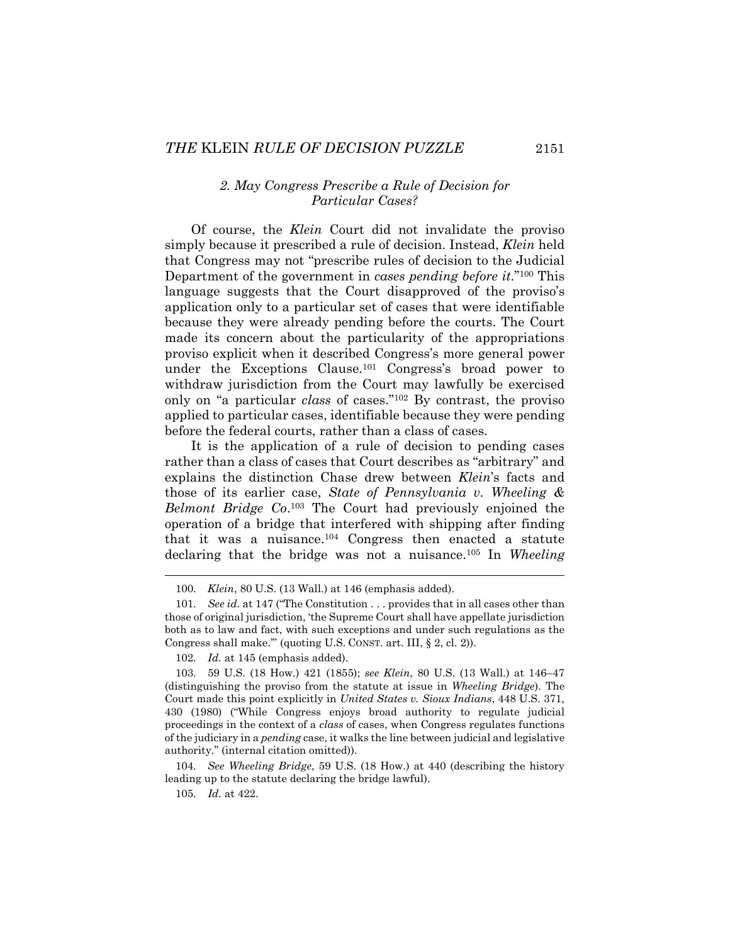# *2. May Congress Prescribe a Rule of Decision for Particular Cases?*

Of course, the *Klein* Court did not invalidate the proviso simply because it prescribed a rule of decision. Instead, *Klein* held that Congress may not "prescribe rules of decision to the Judicial Department of the government in *cases pending before it*."100 This language suggests that the Court disapproved of the proviso's application only to a particular set of cases that were identifiable because they were already pending before the courts. The Court made its concern about the particularity of the appropriations proviso explicit when it described Congress's more general power under the Exceptions Clause.101 Congress's broad power to withdraw jurisdiction from the Court may lawfully be exercised only on "a particular *class* of cases."102 By contrast, the proviso applied to particular cases, identifiable because they were pending before the federal courts, rather than a class of cases.

It is the application of a rule of decision to pending cases rather than a class of cases that Court describes as "arbitrary" and explains the distinction Chase drew between *Klein*'s facts and those of its earlier case, *State of Pennsylvania v. Wheeling & Belmont Bridge Co*.103 The Court had previously enjoined the operation of a bridge that interfered with shipping after finding that it was a nuisance.<sup>104</sup> Congress then enacted a statute declaring that the bridge was not a nuisance.105 In *Wheeling* 

104*. See Wheeling Bridge*, 59 U.S. (18 How.) at 440 (describing the history leading up to the statute declaring the bridge lawful).

105*. Id.* at 422.

<sup>100</sup>*. Klein*, 80 U.S. (13 Wall.) at 146 (emphasis added).

<sup>101</sup>*. See id.* at 147 ("The Constitution . . . provides that in all cases other than those of original jurisdiction, 'the Supreme Court shall have appellate jurisdiction both as to law and fact, with such exceptions and under such regulations as the Congress shall make.'" (quoting U.S. CONST. art. III, § 2, cl. 2)).

<sup>102</sup>*. Id.* at 145 (emphasis added).

<sup>103</sup>*.* 59 U.S. (18 How.) 421 (1855); *see Klein*, 80 U.S. (13 Wall.) at 146–47 (distinguishing the proviso from the statute at issue in *Wheeling Bridge*). The Court made this point explicitly in *United States v. Sioux Indians*, 448 U.S. 371, 430 (1980) ("While Congress enjoys broad authority to regulate judicial proceedings in the context of a *class* of cases, when Congress regulates functions of the judiciary in a *pending* case, it walks the line between judicial and legislative authority." (internal citation omitted)).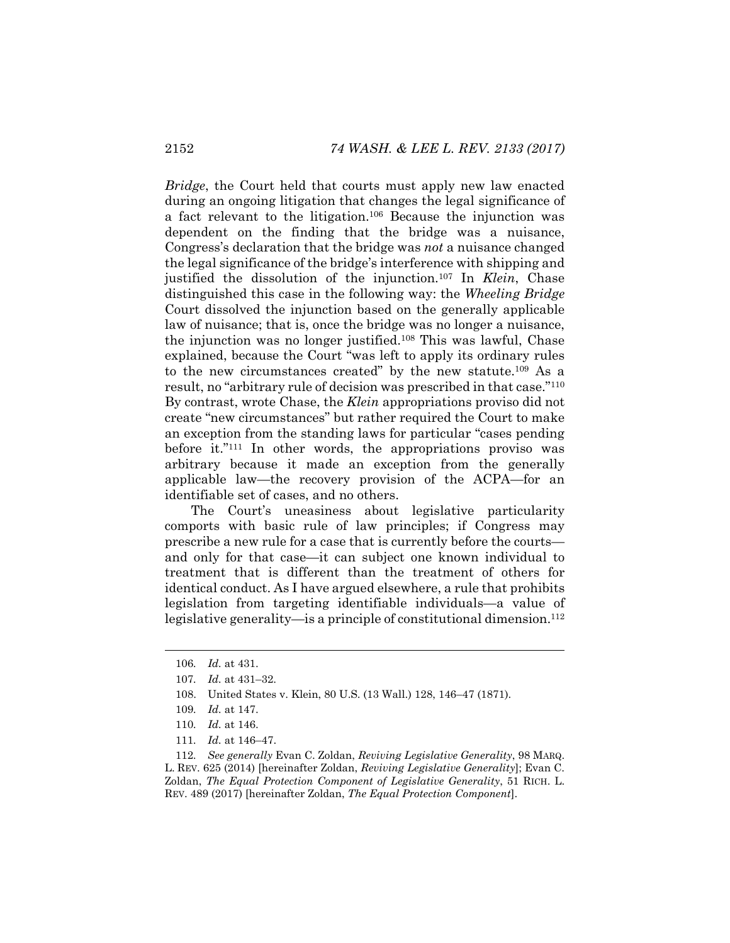*Bridge*, the Court held that courts must apply new law enacted during an ongoing litigation that changes the legal significance of a fact relevant to the litigation.106 Because the injunction was dependent on the finding that the bridge was a nuisance, Congress's declaration that the bridge was *not* a nuisance changed the legal significance of the bridge's interference with shipping and justified the dissolution of the injunction.107 In *Klein*, Chase distinguished this case in the following way: the *Wheeling Bridge* Court dissolved the injunction based on the generally applicable law of nuisance; that is, once the bridge was no longer a nuisance, the injunction was no longer justified.108 This was lawful, Chase explained, because the Court "was left to apply its ordinary rules to the new circumstances created" by the new statute.109 As a result, no "arbitrary rule of decision was prescribed in that case."110 By contrast, wrote Chase, the *Klein* appropriations proviso did not create "new circumstances" but rather required the Court to make an exception from the standing laws for particular "cases pending before it."111 In other words, the appropriations proviso was arbitrary because it made an exception from the generally applicable law—the recovery provision of the ACPA—for an identifiable set of cases, and no others.

The Court's uneasiness about legislative particularity comports with basic rule of law principles; if Congress may prescribe a new rule for a case that is currently before the courts and only for that case—it can subject one known individual to treatment that is different than the treatment of others for identical conduct. As I have argued elsewhere, a rule that prohibits legislation from targeting identifiable individuals—a value of legislative generality—is a principle of constitutional dimension.<sup>112</sup>

<sup>106</sup>*. Id.* at 431.

<sup>107</sup>*. Id.* at 431–32.

 <sup>108.</sup> United States v. Klein, 80 U.S. (13 Wall.) 128, 146–47 (1871).

<sup>109</sup>*. Id.* at 147.

<sup>110</sup>*. Id.* at 146.

<sup>111</sup>*. Id.* at 146–47.

<sup>112</sup>*. See generally* Evan C. Zoldan, *Reviving Legislative Generality*, 98 MARQ. L. REV. 625 (2014) [hereinafter Zoldan, *Reviving Legislative Generality*]; Evan C. Zoldan, *The Equal Protection Component of Legislative Generality*, 51 RICH. L. REV. 489 (2017) [hereinafter Zoldan, *The Equal Protection Component*].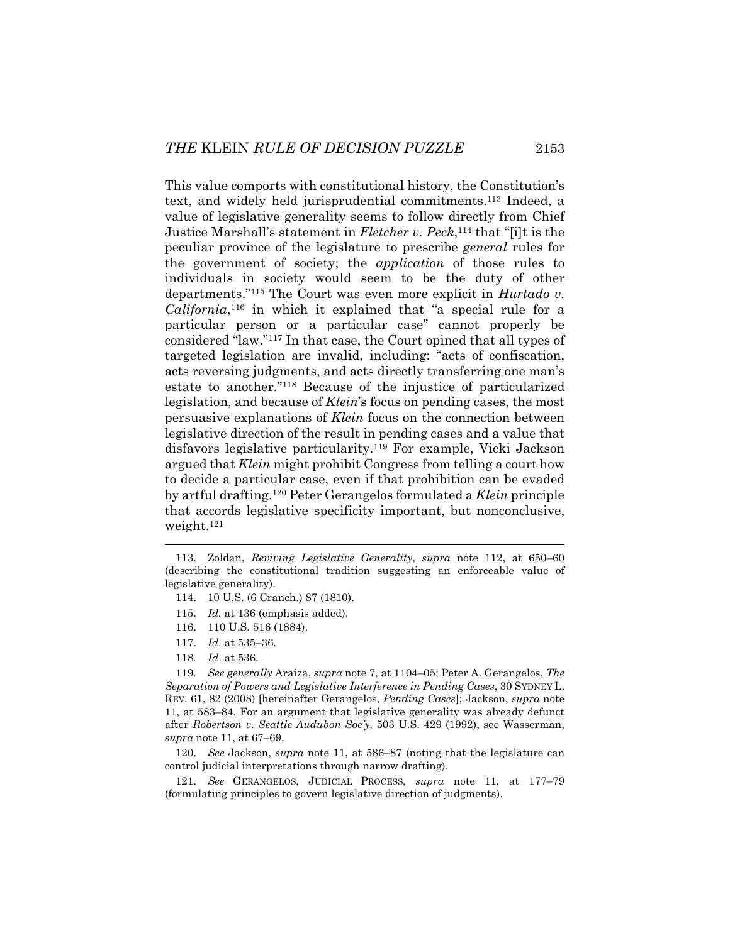This value comports with constitutional history, the Constitution's text, and widely held jurisprudential commitments.113 Indeed, a value of legislative generality seems to follow directly from Chief Justice Marshall's statement in *Fletcher v. Peck*,114 that "[i]t is the peculiar province of the legislature to prescribe *general* rules for the government of society; the *application* of those rules to individuals in society would seem to be the duty of other departments."115 The Court was even more explicit in *Hurtado v. California*,116 in which it explained that "a special rule for a particular person or a particular case" cannot properly be considered "law."117 In that case, the Court opined that all types of targeted legislation are invalid, including: "acts of confiscation, acts reversing judgments, and acts directly transferring one man's estate to another."118 Because of the injustice of particularized legislation, and because of *Klein*'s focus on pending cases, the most persuasive explanations of *Klein* focus on the connection between legislative direction of the result in pending cases and a value that disfavors legislative particularity.119 For example, Vicki Jackson argued that *Klein* might prohibit Congress from telling a court how to decide a particular case, even if that prohibition can be evaded by artful drafting.120 Peter Gerangelos formulated a *Klein* principle that accords legislative specificity important, but nonconclusive, weight.121

- 116. 110 U.S. 516 (1884).
- 117. *Id.* at 535–36.
- 118*. Id*. at 536.

119*. See generally* Araiza, *supra* note 7, at 1104–05; Peter A. Gerangelos, *The Separation of Powers and Legislative Interference in Pending Cases*, 30 SYDNEY L. REV. 61, 82 (2008) [hereinafter Gerangelos, *Pending Cases*]; Jackson, *supra* note 11, at 583–84. For an argument that legislative generality was already defunct after *Robertson v. Seattle Audubon Soc'y,* 503 U.S. 429 (1992), see Wasserman, *supra* note 11, at 67–69.

 120. *See* Jackson, *supra* note 11, at 586–87 (noting that the legislature can control judicial interpretations through narrow drafting).

 121. *See* GERANGELOS, JUDICIAL PROCESS, *supra* note 11, at 177–79 (formulating principles to govern legislative direction of judgments).

 <sup>113.</sup> Zoldan, *Reviving Legislative Generality*, *supra* note 112, at 650–60 (describing the constitutional tradition suggesting an enforceable value of legislative generality).

 <sup>114. 10</sup> U.S. (6 Cranch.) 87 (1810).

 <sup>115.</sup> *Id.* at 136 (emphasis added).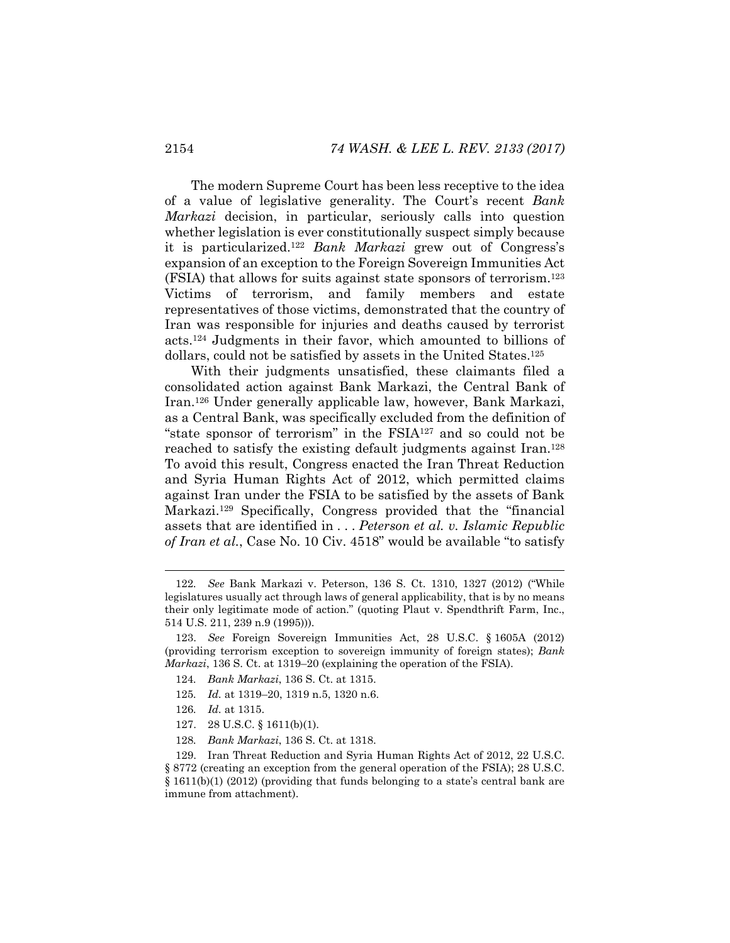The modern Supreme Court has been less receptive to the idea of a value of legislative generality. The Court's recent *Bank Markazi* decision, in particular, seriously calls into question whether legislation is ever constitutionally suspect simply because it is particularized.122 *Bank Markazi* grew out of Congress's expansion of an exception to the Foreign Sovereign Immunities Act (FSIA) that allows for suits against state sponsors of terrorism.123 Victims of terrorism, and family members and estate representatives of those victims, demonstrated that the country of Iran was responsible for injuries and deaths caused by terrorist acts.124 Judgments in their favor, which amounted to billions of dollars, could not be satisfied by assets in the United States.125

With their judgments unsatisfied, these claimants filed a consolidated action against Bank Markazi, the Central Bank of Iran.126 Under generally applicable law, however, Bank Markazi, as a Central Bank, was specifically excluded from the definition of "state sponsor of terrorism" in the FSIA127 and so could not be reached to satisfy the existing default judgments against Iran.128 To avoid this result, Congress enacted the Iran Threat Reduction and Syria Human Rights Act of 2012, which permitted claims against Iran under the FSIA to be satisfied by the assets of Bank Markazi.129 Specifically, Congress provided that the "financial assets that are identified in . . . *Peterson et al. v. Islamic Republic of Iran et al.*, Case No. 10 Civ. 4518" would be available "to satisfy

- 124*. Bank Markazi*, 136 S. Ct. at 1315.
- 125*. Id.* at 1319–20, 1319 n.5, 1320 n.6.
- 126*. Id.* at 1315.

- 127. 28 U.S.C. § 1611(b)(1).
- 128*. Bank Markazi*, 136 S. Ct. at 1318.

<sup>122</sup>*. See* Bank Markazi v. Peterson, 136 S. Ct. 1310, 1327 (2012) ("While legislatures usually act through laws of general applicability, that is by no means their only legitimate mode of action." (quoting Plaut v. Spendthrift Farm, Inc., 514 U.S. 211, 239 n.9 (1995))).

 <sup>123.</sup> *See* Foreign Sovereign Immunities Act, 28 U.S.C. § 1605A (2012) (providing terrorism exception to sovereign immunity of foreign states); *Bank Markazi*, 136 S. Ct. at 1319–20 (explaining the operation of the FSIA).

 <sup>129.</sup> Iran Threat Reduction and Syria Human Rights Act of 2012, 22 U.S.C. § 8772 (creating an exception from the general operation of the FSIA); 28 U.S.C. § 1611(b)(1) (2012) (providing that funds belonging to a state's central bank are immune from attachment).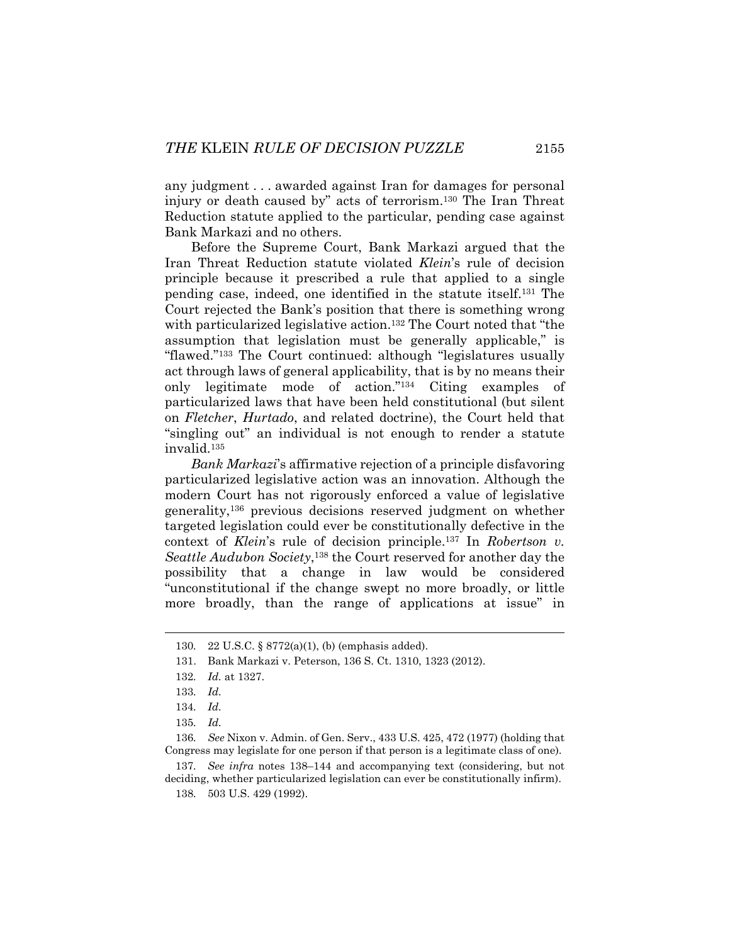any judgment . . . awarded against Iran for damages for personal injury or death caused by" acts of terrorism.130 The Iran Threat Reduction statute applied to the particular, pending case against Bank Markazi and no others.

Before the Supreme Court, Bank Markazi argued that the Iran Threat Reduction statute violated *Klein*'s rule of decision principle because it prescribed a rule that applied to a single pending case, indeed, one identified in the statute itself.131 The Court rejected the Bank's position that there is something wrong with particularized legislative action.<sup>132</sup> The Court noted that "the assumption that legislation must be generally applicable," is "flawed."133 The Court continued: although "legislatures usually act through laws of general applicability, that is by no means their only legitimate mode of action."134 Citing examples of particularized laws that have been held constitutional (but silent on *Fletcher*, *Hurtado*, and related doctrine), the Court held that "singling out" an individual is not enough to render a statute invalid.135

*Bank Markazi*'s affirmative rejection of a principle disfavoring particularized legislative action was an innovation. Although the modern Court has not rigorously enforced a value of legislative generality,136 previous decisions reserved judgment on whether targeted legislation could ever be constitutionally defective in the context of *Klein*'s rule of decision principle.137 In *Robertson v. Seattle Audubon Society*,138 the Court reserved for another day the possibility that a change in law would be considered "unconstitutional if the change swept no more broadly, or little more broadly, than the range of applications at issue" in

l

136*. See* Nixon v. Admin. of Gen. Serv., 433 U.S. 425, 472 (1977) (holding that Congress may legislate for one person if that person is a legitimate class of one).

137*. See infra* notes 138–144 and accompanying text (considering, but not deciding, whether particularized legislation can ever be constitutionally infirm). 138*.* 503 U.S. 429 (1992).

<sup>130</sup>*.* 22 U.S.C. § 8772(a)(1), (b) (emphasis added).

 <sup>131.</sup> Bank Markazi v. Peterson, 136 S. Ct. 1310, 1323 (2012).

<sup>132</sup>*. Id.* at 1327.

<sup>133</sup>*. Id.*

<sup>134</sup>*. Id.*

<sup>135</sup>*. Id.*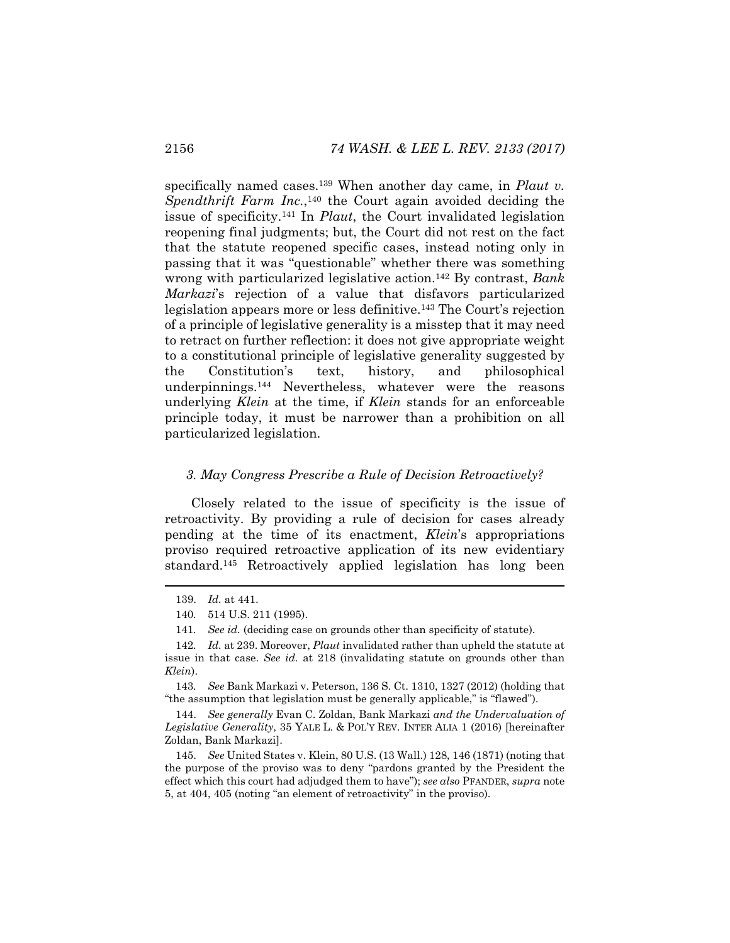specifically named cases.<sup>139</sup> When another day came, in *Plaut v*. Spendthrift Farm Inc.,<sup>140</sup> the Court again avoided deciding the issue of specificity.141 In *Plaut*, the Court invalidated legislation reopening final judgments; but, the Court did not rest on the fact that the statute reopened specific cases, instead noting only in passing that it was "questionable" whether there was something wrong with particularized legislative action.142 By contrast, *Bank Markazi*'s rejection of a value that disfavors particularized legislation appears more or less definitive.143 The Court's rejection of a principle of legislative generality is a misstep that it may need to retract on further reflection: it does not give appropriate weight to a constitutional principle of legislative generality suggested by the Constitution's text, history, and philosophical underpinnings.144 Nevertheless, whatever were the reasons underlying *Klein* at the time, if *Klein* stands for an enforceable principle today, it must be narrower than a prohibition on all particularized legislation.

#### *3. May Congress Prescribe a Rule of Decision Retroactively?*

Closely related to the issue of specificity is the issue of retroactivity. By providing a rule of decision for cases already pending at the time of its enactment, *Klein*'s appropriations proviso required retroactive application of its new evidentiary standard.145 Retroactively applied legislation has long been

 <sup>139.</sup> *Id.* at 441.

<sup>140</sup>*.* 514 U.S. 211 (1995).

<sup>141</sup>*. See id.* (deciding case on grounds other than specificity of statute).

<sup>142</sup>*. Id.* at 239. Moreover, *Plaut* invalidated rather than upheld the statute at issue in that case. *See id.* at 218 (invalidating statute on grounds other than *Klein*).

<sup>143</sup>*. See* Bank Markazi v. Peterson, 136 S. Ct. 1310, 1327 (2012) (holding that "the assumption that legislation must be generally applicable," is "flawed").

 <sup>144.</sup> *See generally* Evan C. Zoldan, Bank Markazi *and the Undervaluation of Legislative Generality*, 35 YALE L. & POL'Y REV. INTER ALIA 1 (2016) [hereinafter Zoldan, Bank Markazi].

 <sup>145.</sup> *See* United States v. Klein, 80 U.S. (13 Wall.) 128, 146 (1871) (noting that the purpose of the proviso was to deny "pardons granted by the President the effect which this court had adjudged them to have"); *see also* PFANDER, *supra* note 5, at 404, 405 (noting "an element of retroactivity" in the proviso).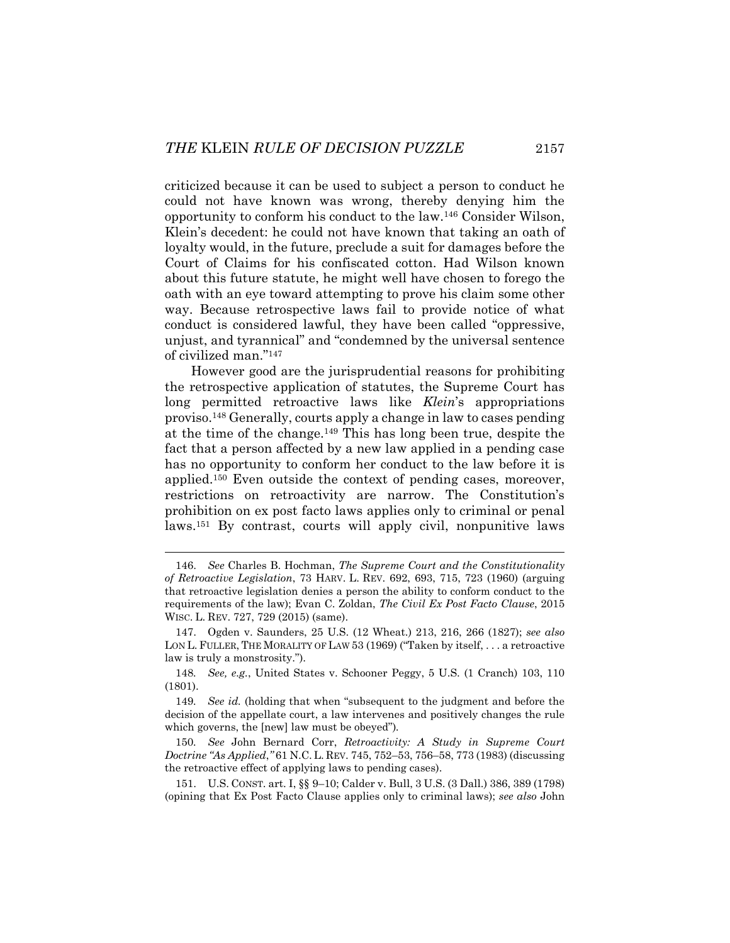criticized because it can be used to subject a person to conduct he could not have known was wrong, thereby denying him the opportunity to conform his conduct to the law.146 Consider Wilson, Klein's decedent: he could not have known that taking an oath of loyalty would, in the future, preclude a suit for damages before the Court of Claims for his confiscated cotton. Had Wilson known about this future statute, he might well have chosen to forego the oath with an eye toward attempting to prove his claim some other way. Because retrospective laws fail to provide notice of what conduct is considered lawful, they have been called "oppressive, unjust, and tyrannical" and "condemned by the universal sentence of civilized man."147

However good are the jurisprudential reasons for prohibiting the retrospective application of statutes, the Supreme Court has long permitted retroactive laws like *Klein*'s appropriations proviso.148 Generally, courts apply a change in law to cases pending at the time of the change.149 This has long been true, despite the fact that a person affected by a new law applied in a pending case has no opportunity to conform her conduct to the law before it is applied.150 Even outside the context of pending cases, moreover, restrictions on retroactivity are narrow. The Constitution's prohibition on ex post facto laws applies only to criminal or penal laws.151 By contrast, courts will apply civil, nonpunitive laws

 <sup>146.</sup> *See* Charles B. Hochman, *The Supreme Court and the Constitutionality of Retroactive Legislation*, 73 HARV. L. REV. 692, 693, 715, 723 (1960) (arguing that retroactive legislation denies a person the ability to conform conduct to the requirements of the law); Evan C. Zoldan, *The Civil Ex Post Facto Clause*, 2015 WISC. L. REV. 727, 729 (2015) (same).

 <sup>147.</sup> Ogden v. Saunders, 25 U.S. (12 Wheat.) 213, 216, 266 (1827); *see also*  LON L. FULLER, THE MORALITY OF LAW 53 (1969) ("Taken by itself, . . . a retroactive law is truly a monstrosity.").

<sup>148</sup>*. See, e.g.*, United States v. Schooner Peggy, 5 U.S. (1 Cranch) 103, 110 (1801).

<sup>149</sup>*. See id.* (holding that when "subsequent to the judgment and before the decision of the appellate court, a law intervenes and positively changes the rule which governs, the [new] law must be obeyed")*.*

<sup>150</sup>*. See* John Bernard Corr, *Retroactivity: A Study in Supreme Court Doctrine "As Applied*,*"* 61 N.C. L. REV. 745, 752–53, 756–58, 773 (1983) (discussing the retroactive effect of applying laws to pending cases).

 <sup>151.</sup> U.S. CONST. art. I, §§ 9–10; Calder v. Bull, 3 U.S. (3 Dall.) 386, 389 (1798) (opining that Ex Post Facto Clause applies only to criminal laws); *see also* John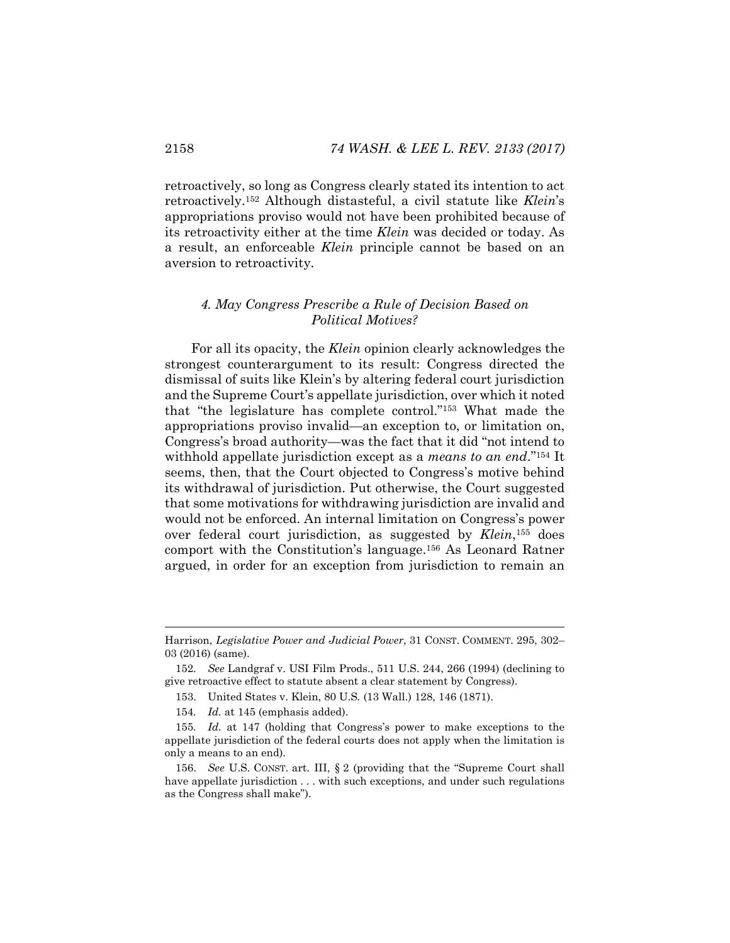retroactively, so long as Congress clearly stated its intention to act retroactively.152 Although distasteful, a civil statute like *Klein*'s appropriations proviso would not have been prohibited because of its retroactivity either at the time *Klein* was decided or today. As a result, an enforceable *Klein* principle cannot be based on an aversion to retroactivity.

# *4. May Congress Prescribe a Rule of Decision Based on Political Motives?*

For all its opacity, the *Klein* opinion clearly acknowledges the strongest counterargument to its result: Congress directed the dismissal of suits like Klein's by altering federal court jurisdiction and the Supreme Court's appellate jurisdiction, over which it noted that "the legislature has complete control."153 What made the appropriations proviso invalid—an exception to, or limitation on, Congress's broad authority—was the fact that it did "not intend to withhold appellate jurisdiction except as a *means to an end*."154 It seems, then, that the Court objected to Congress's motive behind its withdrawal of jurisdiction. Put otherwise, the Court suggested that some motivations for withdrawing jurisdiction are invalid and would not be enforced. An internal limitation on Congress's power over federal court jurisdiction, as suggested by *Klein*,155 does comport with the Constitution's language.156 As Leonard Ratner argued, in order for an exception from jurisdiction to remain an

Harrison, *Legislative Power and Judicial Power*, 31 CONST. COMMENT. 295, 302– 03 (2016) (same).

<sup>152</sup>*. See* Landgraf v. USI Film Prods., 511 U.S. 244, 266 (1994) (declining to give retroactive effect to statute absent a clear statement by Congress).

 <sup>153.</sup> United States v. Klein, 80 U.S*.* (13 Wall.) 128, 146 (1871).

<sup>154</sup>*. Id.* at 145 (emphasis added).

<sup>155</sup>*. Id.* at 147 (holding that Congress's power to make exceptions to the appellate jurisdiction of the federal courts does not apply when the limitation is only a means to an end).

 <sup>156.</sup> *See* U.S. CONST. art. III, § 2 (providing that the "Supreme Court shall have appellate jurisdiction  $\dots$  with such exceptions, and under such regulations as the Congress shall make").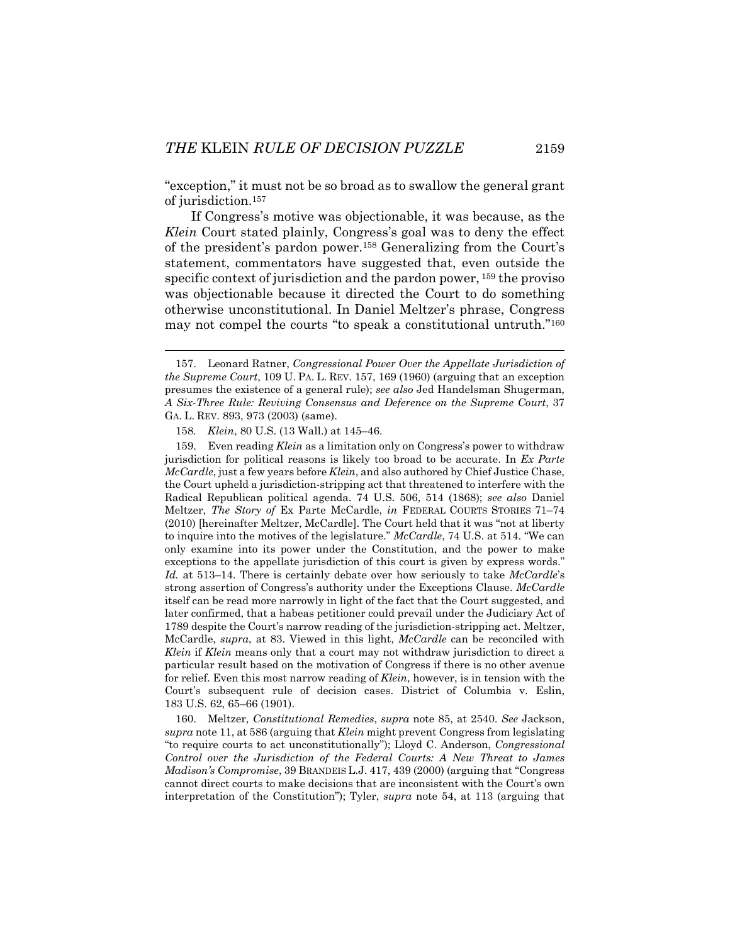"exception," it must not be so broad as to swallow the general grant of jurisdiction.157

If Congress's motive was objectionable, it was because, as the *Klein* Court stated plainly, Congress's goal was to deny the effect of the president's pardon power.158 Generalizing from the Court's statement, commentators have suggested that, even outside the specific context of jurisdiction and the pardon power, 159 the proviso was objectionable because it directed the Court to do something otherwise unconstitutional. In Daniel Meltzer's phrase, Congress may not compel the courts "to speak a constitutional untruth."160

158*. Klein*, 80 U.S. (13 Wall.) at 145–46.

l

 159. Even reading *Klein* as a limitation only on Congress's power to withdraw jurisdiction for political reasons is likely too broad to be accurate. In *Ex Parte McCardle*, just a few years before *Klein*, and also authored by Chief Justice Chase, the Court upheld a jurisdiction-stripping act that threatened to interfere with the Radical Republican political agenda. 74 U.S. 506, 514 (1868); *see also* Daniel Meltzer, *The Story of* Ex Parte McCardle, *in* FEDERAL COURTS STORIES 71–74 (2010) [hereinafter Meltzer, McCardle]. The Court held that it was "not at liberty to inquire into the motives of the legislature." *McCardle*, 74 U.S. at 514. "We can only examine into its power under the Constitution, and the power to make exceptions to the appellate jurisdiction of this court is given by express words." *Id.* at 513–14. There is certainly debate over how seriously to take *McCardle*'s strong assertion of Congress's authority under the Exceptions Clause. *McCardle* itself can be read more narrowly in light of the fact that the Court suggested, and later confirmed, that a habeas petitioner could prevail under the Judiciary Act of 1789 despite the Court's narrow reading of the jurisdiction-stripping act. Meltzer, McCardle, *supra*, at 83. Viewed in this light, *McCardle* can be reconciled with *Klein* if *Klein* means only that a court may not withdraw jurisdiction to direct a particular result based on the motivation of Congress if there is no other avenue for relief. Even this most narrow reading of *Klein*, however, is in tension with the Court's subsequent rule of decision cases. District of Columbia v. Eslin, 183 U.S. 62, 65–66 (1901).

 160. Meltzer, *Constitutional Remedies*, *supra* note 85, at 2540. *See* Jackson, *supra* note 11, at 586 (arguing that *Klein* might prevent Congress from legislating "to require courts to act unconstitutionally"); Lloyd C. Anderson, *Congressional Control over the Jurisdiction of the Federal Courts: A New Threat to James Madison's Compromise*, 39 BRANDEIS L.J. 417, 439 (2000) (arguing that "Congress cannot direct courts to make decisions that are inconsistent with the Court's own interpretation of the Constitution"); Tyler, *supra* note 54, at 113 (arguing that

 <sup>157.</sup> Leonard Ratner, *Congressional Power Over the Appellate Jurisdiction of the Supreme Court*, 109 U. PA. L. REV. 157, 169 (1960) (arguing that an exception presumes the existence of a general rule); *see also* Jed Handelsman Shugerman, *A Six-Three Rule: Reviving Consensus and Deference on the Supreme Court*, 37 GA. L. REV. 893, 973 (2003) (same).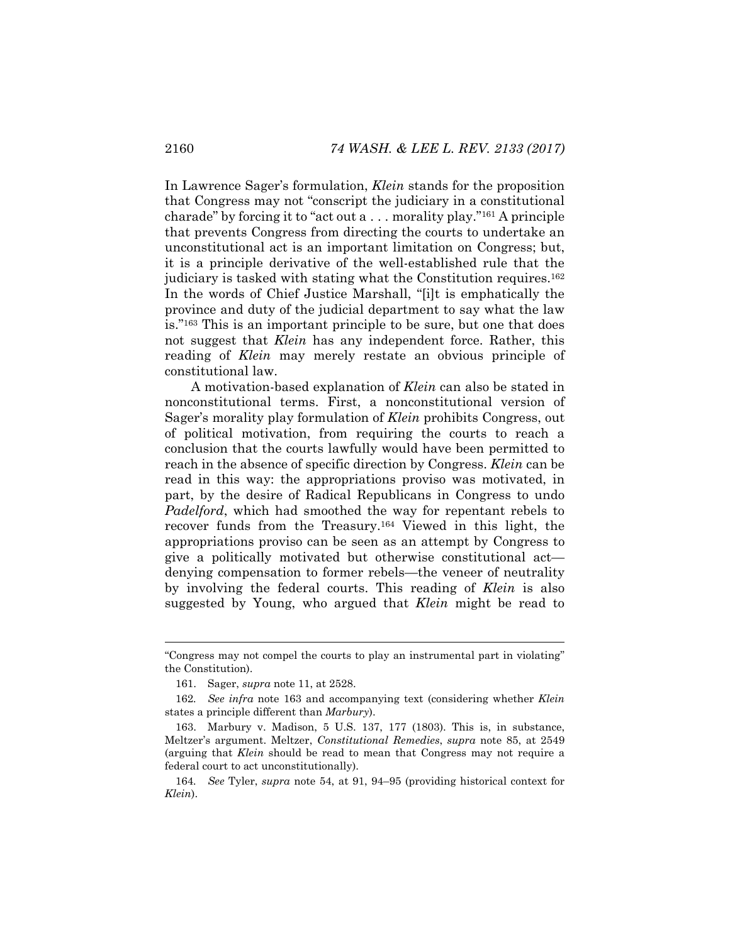In Lawrence Sager's formulation, *Klein* stands for the proposition that Congress may not "conscript the judiciary in a constitutional charade" by forcing it to "act out a . . . morality play."161 A principle that prevents Congress from directing the courts to undertake an unconstitutional act is an important limitation on Congress; but, it is a principle derivative of the well-established rule that the judiciary is tasked with stating what the Constitution requires.162 In the words of Chief Justice Marshall, "[i]t is emphatically the province and duty of the judicial department to say what the law is."163 This is an important principle to be sure, but one that does not suggest that *Klein* has any independent force. Rather, this reading of *Klein* may merely restate an obvious principle of constitutional law.

A motivation-based explanation of *Klein* can also be stated in nonconstitutional terms. First, a nonconstitutional version of Sager's morality play formulation of *Klein* prohibits Congress, out of political motivation, from requiring the courts to reach a conclusion that the courts lawfully would have been permitted to reach in the absence of specific direction by Congress. *Klein* can be read in this way: the appropriations proviso was motivated, in part, by the desire of Radical Republicans in Congress to undo *Padelford*, which had smoothed the way for repentant rebels to recover funds from the Treasury.164 Viewed in this light, the appropriations proviso can be seen as an attempt by Congress to give a politically motivated but otherwise constitutional act denying compensation to former rebels—the veneer of neutrality by involving the federal courts. This reading of *Klein* is also suggested by Young, who argued that *Klein* might be read to

<sup>&</sup>quot;Congress may not compel the courts to play an instrumental part in violating" the Constitution).

 <sup>161.</sup> Sager, *supra* note 11, at 2528.

<sup>162</sup>*. See infra* note 163 and accompanying text (considering whether *Klein* states a principle different than *Marbury*).

 <sup>163.</sup> Marbury v. Madison, 5 U.S. 137, 177 (1803). This is, in substance, Meltzer's argument. Meltzer, *Constitutional Remedies*, *supra* note 85, at 2549 (arguing that *Klein* should be read to mean that Congress may not require a federal court to act unconstitutionally).

<sup>164</sup>*. See* Tyler, *supra* note 54, at 91, 94–95 (providing historical context for *Klein*).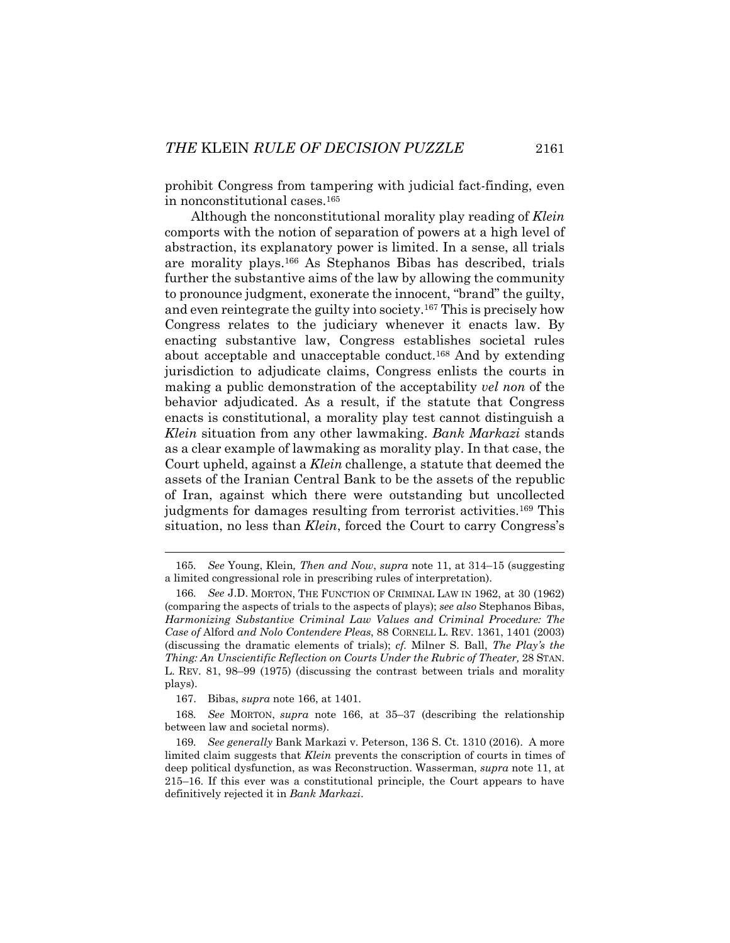prohibit Congress from tampering with judicial fact-finding, even in nonconstitutional cases.165

Although the nonconstitutional morality play reading of *Klein* comports with the notion of separation of powers at a high level of abstraction, its explanatory power is limited. In a sense, all trials are morality plays.166 As Stephanos Bibas has described, trials further the substantive aims of the law by allowing the community to pronounce judgment, exonerate the innocent, "brand" the guilty, and even reintegrate the guilty into society.<sup>167</sup> This is precisely how Congress relates to the judiciary whenever it enacts law. By enacting substantive law, Congress establishes societal rules about acceptable and unacceptable conduct.168 And by extending jurisdiction to adjudicate claims, Congress enlists the courts in making a public demonstration of the acceptability *vel non* of the behavior adjudicated. As a result, if the statute that Congress enacts is constitutional, a morality play test cannot distinguish a *Klein* situation from any other lawmaking. *Bank Markazi* stands as a clear example of lawmaking as morality play. In that case, the Court upheld, against a *Klein* challenge, a statute that deemed the assets of the Iranian Central Bank to be the assets of the republic of Iran, against which there were outstanding but uncollected judgments for damages resulting from terrorist activities.<sup>169</sup> This situation, no less than *Klein*, forced the Court to carry Congress's

<sup>165</sup>*. See* Young, Klein*, Then and Now*, *supra* note 11, at 314–15 (suggesting a limited congressional role in prescribing rules of interpretation).

<sup>166</sup>*. See* J.D. MORTON, THE FUNCTION OF CRIMINAL LAW IN 1962, at 30 (1962) (comparing the aspects of trials to the aspects of plays); *see also* Stephanos Bibas, *Harmonizing Substantive Criminal Law Values and Criminal Procedure: The Case of* Alford *and Nolo Contendere Pleas*, 88 CORNELL L. REV. 1361, 1401 (2003) (discussing the dramatic elements of trials); *cf.* Milner S. Ball, *The Play's the Thing: An Unscientific Reflection on Courts Under the Rubric of Theater,* 28 STAN. L. REV. 81, 98–99 (1975) (discussing the contrast between trials and morality plays).

 <sup>167.</sup> Bibas, *supra* note 166, at 1401.

<sup>168</sup>*. See* MORTON, *supra* note 166, at 35–37 (describing the relationship between law and societal norms).

<sup>169</sup>*. See generally* Bank Markazi v. Peterson, 136 S. Ct. 1310 (2016). A more limited claim suggests that *Klein* prevents the conscription of courts in times of deep political dysfunction, as was Reconstruction. Wasserman, *supra* note 11, at 215–16. If this ever was a constitutional principle, the Court appears to have definitively rejected it in *Bank Markazi*.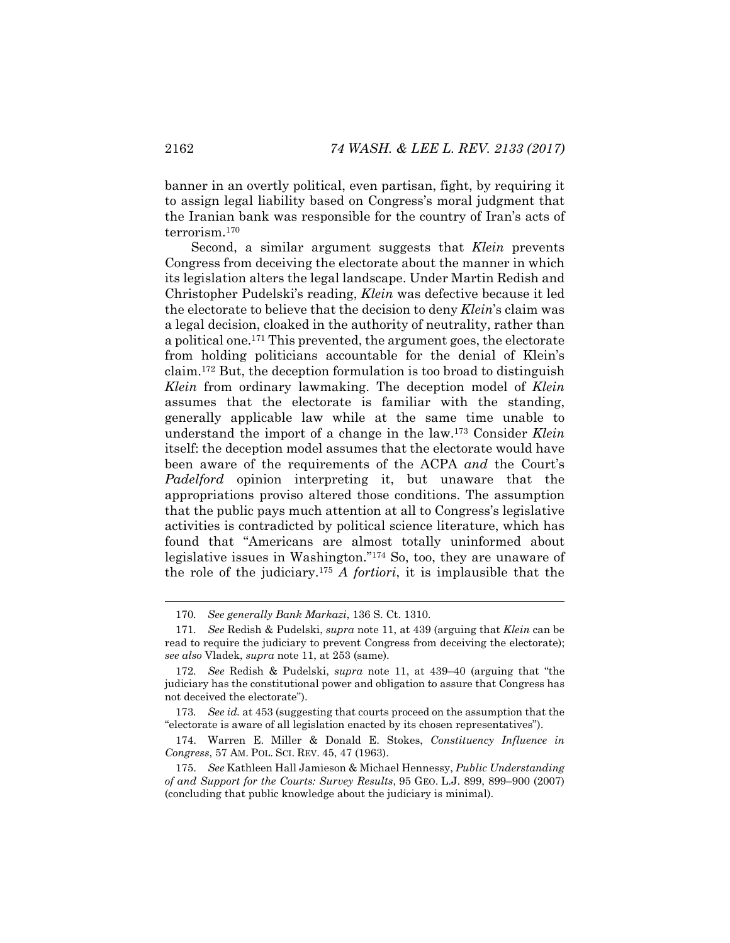banner in an overtly political, even partisan, fight, by requiring it to assign legal liability based on Congress's moral judgment that the Iranian bank was responsible for the country of Iran's acts of terrorism.170

Second, a similar argument suggests that *Klein* prevents Congress from deceiving the electorate about the manner in which its legislation alters the legal landscape. Under Martin Redish and Christopher Pudelski's reading, *Klein* was defective because it led the electorate to believe that the decision to deny *Klein*'s claim was a legal decision, cloaked in the authority of neutrality, rather than a political one.171 This prevented, the argument goes, the electorate from holding politicians accountable for the denial of Klein's claim.172 But, the deception formulation is too broad to distinguish *Klein* from ordinary lawmaking. The deception model of *Klein* assumes that the electorate is familiar with the standing, generally applicable law while at the same time unable to understand the import of a change in the law.173 Consider *Klein* itself: the deception model assumes that the electorate would have been aware of the requirements of the ACPA *and* the Court's *Padelford* opinion interpreting it, but unaware that the appropriations proviso altered those conditions. The assumption that the public pays much attention at all to Congress's legislative activities is contradicted by political science literature, which has found that "Americans are almost totally uninformed about legislative issues in Washington."174 So, too, they are unaware of the role of the judiciary.175 *A fortiori*, it is implausible that the

<sup>170</sup>*. See generally Bank Markazi*, 136 S. Ct. 1310.

<sup>171</sup>*. See* Redish & Pudelski, *supra* note 11, at 439 (arguing that *Klein* can be read to require the judiciary to prevent Congress from deceiving the electorate); *see also* Vladek, *supra* note 11, at 253 (same).

<sup>172</sup>*. See* Redish & Pudelski, *supra* note 11, at 439–40 (arguing that "the judiciary has the constitutional power and obligation to assure that Congress has not deceived the electorate").

<sup>173</sup>*. See id.* at 453 (suggesting that courts proceed on the assumption that the "electorate is aware of all legislation enacted by its chosen representatives").

 <sup>174.</sup> Warren E. Miller & Donald E. Stokes, *Constituency Influence in Congress*, 57 AM. POL. SCI. REV. 45, 47 (1963).

 <sup>175.</sup> *See* Kathleen Hall Jamieson & Michael Hennessy, *Public Understanding of and Support for the Courts: Survey Results*, 95 GEO. L.J. 899, 899–900 (2007) (concluding that public knowledge about the judiciary is minimal).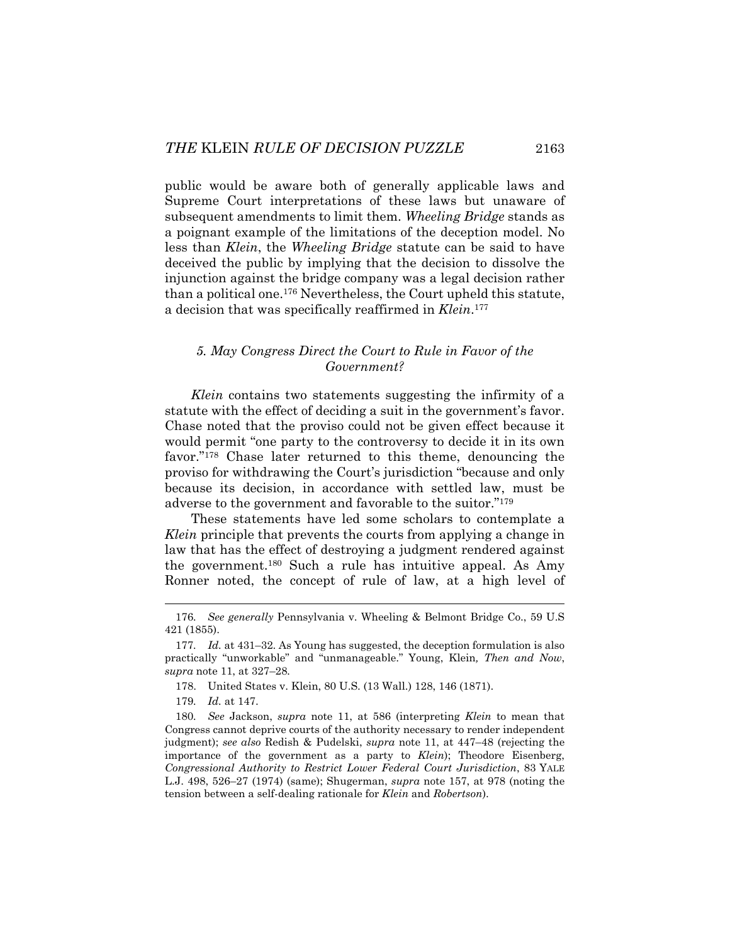public would be aware both of generally applicable laws and Supreme Court interpretations of these laws but unaware of subsequent amendments to limit them. *Wheeling Bridge* stands as a poignant example of the limitations of the deception model. No less than *Klein*, the *Wheeling Bridge* statute can be said to have deceived the public by implying that the decision to dissolve the injunction against the bridge company was a legal decision rather than a political one.176 Nevertheless, the Court upheld this statute, a decision that was specifically reaffirmed in *Klein*.177

# *5. May Congress Direct the Court to Rule in Favor of the Government?*

*Klein* contains two statements suggesting the infirmity of a statute with the effect of deciding a suit in the government's favor. Chase noted that the proviso could not be given effect because it would permit "one party to the controversy to decide it in its own favor."178 Chase later returned to this theme, denouncing the proviso for withdrawing the Court's jurisdiction "because and only because its decision, in accordance with settled law, must be adverse to the government and favorable to the suitor."179

These statements have led some scholars to contemplate a *Klein* principle that prevents the courts from applying a change in law that has the effect of destroying a judgment rendered against the government.180 Such a rule has intuitive appeal. As Amy Ronner noted, the concept of rule of law, at a high level of

<sup>176</sup>*. See generally* Pennsylvania v. Wheeling & Belmont Bridge Co., 59 U.S 421 (1855).

<sup>177</sup>*. Id.* at 431–32. As Young has suggested, the deception formulation is also practically "unworkable" and "unmanageable." Young, Klein*, Then and Now*, *supra* note 11, at 327–28*.*

 <sup>178.</sup> United States v. Klein, 80 U.S. (13 Wall.) 128, 146 (1871).

<sup>179</sup>*. Id.* at 147.

<sup>180</sup>*. See* Jackson, *supra* note 11, at 586 (interpreting *Klein* to mean that Congress cannot deprive courts of the authority necessary to render independent judgment); *see also* Redish & Pudelski, *supra* note 11, at 447–48 (rejecting the importance of the government as a party to *Klein*); Theodore Eisenberg, *Congressional Authority to Restrict Lower Federal Court Jurisdiction*, 83 YALE L.J. 498, 526–27 (1974) (same); Shugerman, *supra* note 157, at 978 (noting the tension between a self-dealing rationale for *Klein* and *Robertson*).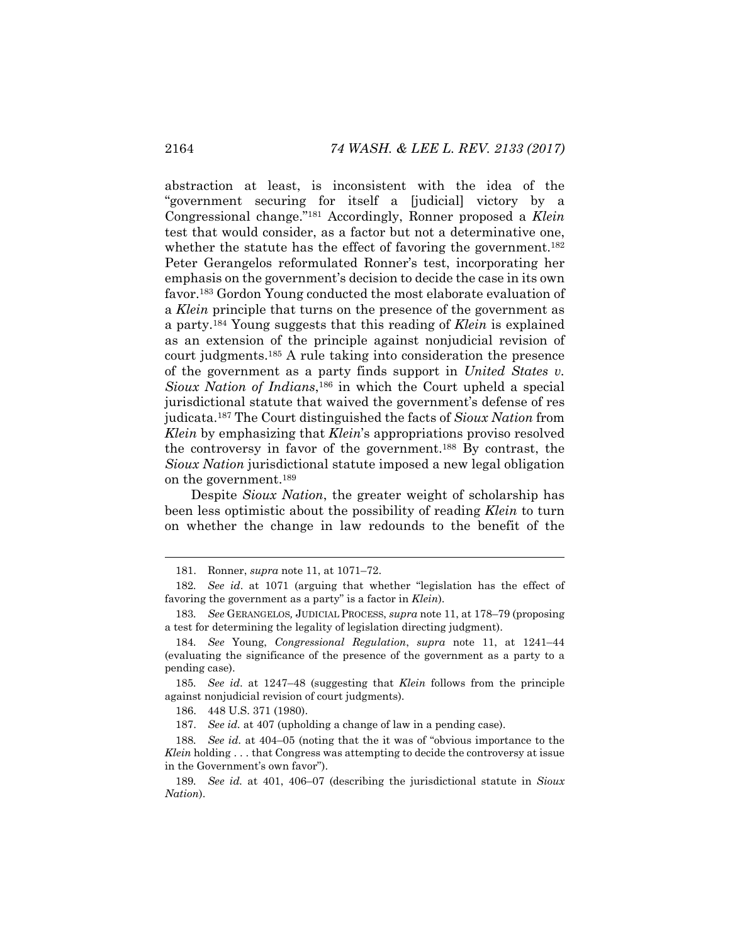abstraction at least, is inconsistent with the idea of the "government securing for itself a [judicial] victory by a Congressional change."181 Accordingly, Ronner proposed a *Klein* test that would consider, as a factor but not a determinative one, whether the statute has the effect of favoring the government.<sup>182</sup> Peter Gerangelos reformulated Ronner's test, incorporating her emphasis on the government's decision to decide the case in its own favor.183 Gordon Young conducted the most elaborate evaluation of a *Klein* principle that turns on the presence of the government as a party.184 Young suggests that this reading of *Klein* is explained as an extension of the principle against nonjudicial revision of court judgments.185 A rule taking into consideration the presence of the government as a party finds support in *United States v. Sioux Nation of Indians*,186 in which the Court upheld a special jurisdictional statute that waived the government's defense of res judicata.187 The Court distinguished the facts of *Sioux Nation* from *Klein* by emphasizing that *Klein*'s appropriations proviso resolved the controversy in favor of the government.188 By contrast, the *Sioux Nation* jurisdictional statute imposed a new legal obligation on the government.189

Despite *Sioux Nation*, the greater weight of scholarship has been less optimistic about the possibility of reading *Klein* to turn on whether the change in law redounds to the benefit of the

 <sup>181.</sup> Ronner, *supra* note 11, at 1071–72.

<sup>182</sup>*. See id*. at 1071 (arguing that whether "legislation has the effect of favoring the government as a party" is a factor in *Klein*).

<sup>183</sup>*. See* GERANGELOS*,* JUDICIAL PROCESS, *supra* note 11, at 178–79 (proposing a test for determining the legality of legislation directing judgment).

<sup>184</sup>*. See* Young, *Congressional Regulation*, *supra* note 11, at 1241–44 (evaluating the significance of the presence of the government as a party to a pending case).

<sup>185</sup>*. See id*. at 1247–48 (suggesting that *Klein* follows from the principle against nonjudicial revision of court judgments).

 <sup>186. 448</sup> U.S. 371 (1980).

 <sup>187.</sup> *See id.* at 407 (upholding a change of law in a pending case).

<sup>188</sup>*. See id.* at 404–05 (noting that the it was of "obvious importance to the *Klein* holding . . . that Congress was attempting to decide the controversy at issue in the Government's own favor").

<sup>189</sup>*. See id.* at 401, 406–07 (describing the jurisdictional statute in *Sioux Nation*).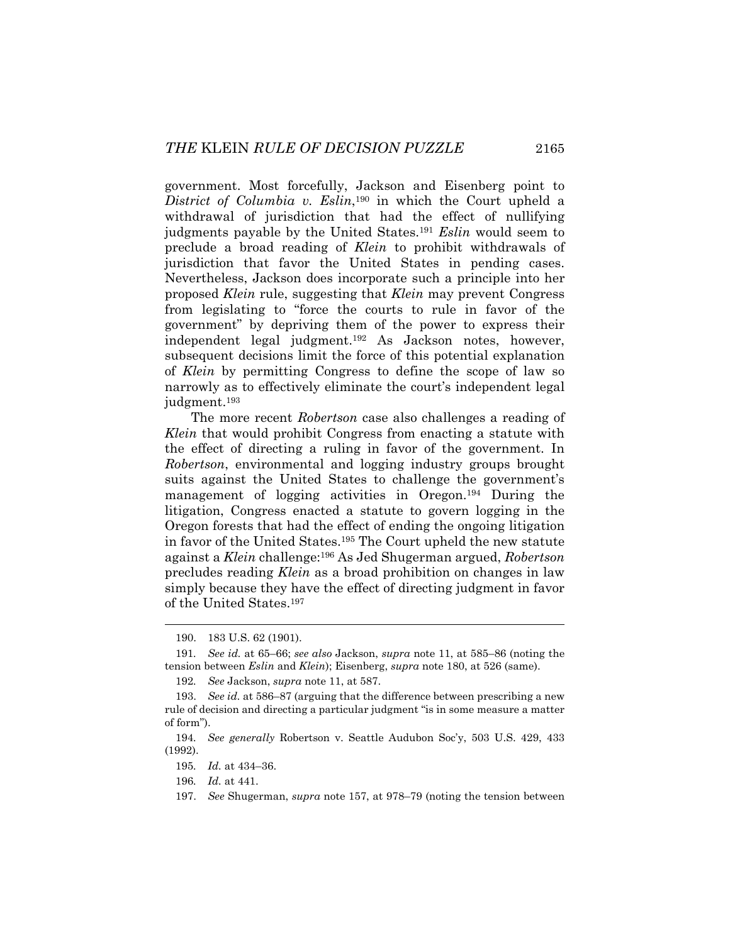government. Most forcefully, Jackson and Eisenberg point to *District of Columbia v. Eslin*,190 in which the Court upheld a withdrawal of jurisdiction that had the effect of nullifying judgments payable by the United States.191 *Eslin* would seem to preclude a broad reading of *Klein* to prohibit withdrawals of jurisdiction that favor the United States in pending cases. Nevertheless, Jackson does incorporate such a principle into her proposed *Klein* rule, suggesting that *Klein* may prevent Congress from legislating to "force the courts to rule in favor of the government" by depriving them of the power to express their independent legal judgment.192 As Jackson notes, however, subsequent decisions limit the force of this potential explanation of *Klein* by permitting Congress to define the scope of law so narrowly as to effectively eliminate the court's independent legal judgment.193

The more recent *Robertson* case also challenges a reading of *Klein* that would prohibit Congress from enacting a statute with the effect of directing a ruling in favor of the government. In *Robertson*, environmental and logging industry groups brought suits against the United States to challenge the government's management of logging activities in Oregon.194 During the litigation, Congress enacted a statute to govern logging in the Oregon forests that had the effect of ending the ongoing litigation in favor of the United States.195 The Court upheld the new statute against a *Klein* challenge:196 As Jed Shugerman argued, *Robertson* precludes reading *Klein* as a broad prohibition on changes in law simply because they have the effect of directing judgment in favor of the United States.197

 <sup>190. 183</sup> U.S. 62 (1901).

<sup>191</sup>*. See id.* at 65–66; *see also* Jackson, *supra* note 11, at 585–86 (noting the tension between *Eslin* and *Klein*); Eisenberg, *supra* note 180, at 526 (same).

<sup>192</sup>*. See* Jackson, *supra* note 11, at 587.

 <sup>193.</sup> *See id.* at 586–87 (arguing that the difference between prescribing a new rule of decision and directing a particular judgment "is in some measure a matter of form").

<sup>194</sup>*. See generally* Robertson v. Seattle Audubon Soc'y, 503 U.S. 429, 433 (1992).

<sup>195</sup>*. Id.* at 434–36.

<sup>196</sup>*. Id.* at 441.

 <sup>197.</sup> *See* Shugerman, *supra* note 157, at 978–79 (noting the tension between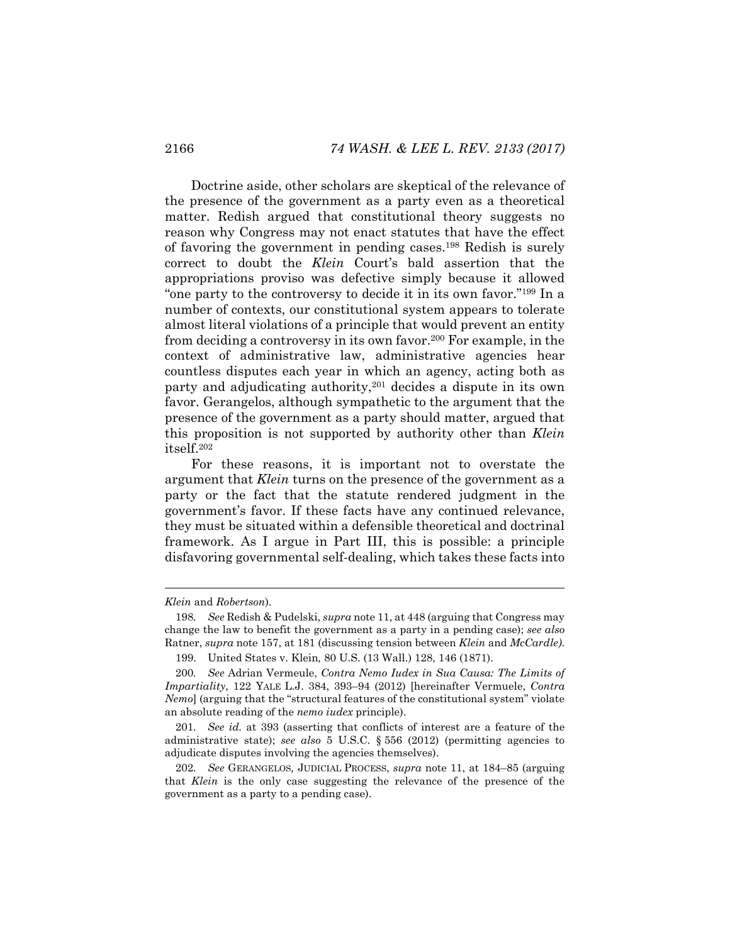Doctrine aside, other scholars are skeptical of the relevance of the presence of the government as a party even as a theoretical matter. Redish argued that constitutional theory suggests no reason why Congress may not enact statutes that have the effect of favoring the government in pending cases.198 Redish is surely correct to doubt the *Klein* Court's bald assertion that the appropriations proviso was defective simply because it allowed "one party to the controversy to decide it in its own favor."199 In a number of contexts, our constitutional system appears to tolerate almost literal violations of a principle that would prevent an entity from deciding a controversy in its own favor.200 For example, in the context of administrative law, administrative agencies hear countless disputes each year in which an agency, acting both as party and adjudicating authority,201 decides a dispute in its own favor. Gerangelos, although sympathetic to the argument that the presence of the government as a party should matter, argued that this proposition is not supported by authority other than *Klein* itself.202

For these reasons, it is important not to overstate the argument that *Klein* turns on the presence of the government as a party or the fact that the statute rendered judgment in the government's favor. If these facts have any continued relevance, they must be situated within a defensible theoretical and doctrinal framework. As I argue in Part III, this is possible: a principle disfavoring governmental self-dealing, which takes these facts into

*Klein* and *Robertson*).

<sup>198</sup>*. See* Redish & Pudelski, *supra* note 11, at 448 (arguing that Congress may change the law to benefit the government as a party in a pending case); *see also*  Ratner, *supra* note 157, at 181 (discussing tension between *Klein* and *McCardle)*.

 <sup>199.</sup> United States v. Klein*,* 80 U.S. (13 Wall.) 128, 146 (1871).

<sup>200</sup>*. See* Adrian Vermeule, *Contra Nemo Iudex in Sua Causa: The Limits of Impartiality*, 122 YALE L.J. 384, 393–94 (2012) [hereinafter Vermuele, *Contra Nemo*] (arguing that the "structural features of the constitutional system" violate an absolute reading of the *nemo iudex* principle).

<sup>201</sup>*. See id.* at 393 (asserting that conflicts of interest are a feature of the administrative state); *see also* 5 U.S.C. § 556 (2012) (permitting agencies to adjudicate disputes involving the agencies themselves).

<sup>202</sup>*. See* GERANGELOS*,* JUDICIAL PROCESS, *supra* note 11, at 184–85 (arguing that *Klein* is the only case suggesting the relevance of the presence of the government as a party to a pending case).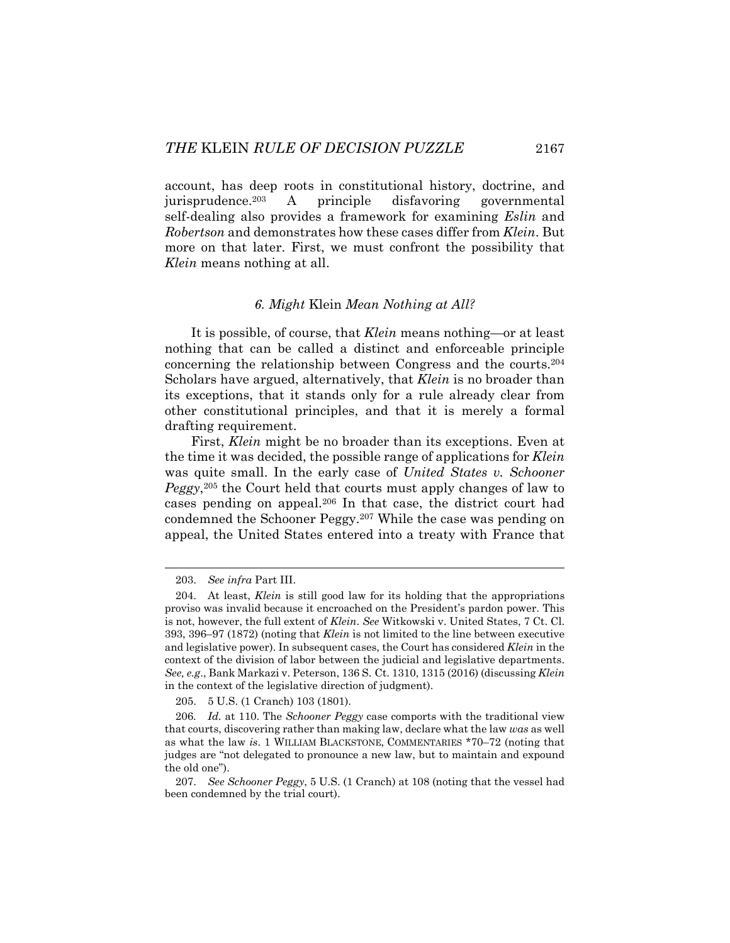account, has deep roots in constitutional history, doctrine, and jurisprudence.203 A principle disfavoring governmental self-dealing also provides a framework for examining *Eslin* and *Robertson* and demonstrates how these cases differ from *Klein*. But more on that later. First, we must confront the possibility that *Klein* means nothing at all.

#### *6. Might* Klein *Mean Nothing at All?*

It is possible, of course, that *Klein* means nothing—or at least nothing that can be called a distinct and enforceable principle concerning the relationship between Congress and the courts.204 Scholars have argued, alternatively, that *Klein* is no broader than its exceptions, that it stands only for a rule already clear from other constitutional principles, and that it is merely a formal drafting requirement.

First, *Klein* might be no broader than its exceptions. Even at the time it was decided, the possible range of applications for *Klein* was quite small. In the early case of *United States v. Schooner Peggy*,205 the Court held that courts must apply changes of law to cases pending on appeal.206 In that case, the district court had condemned the Schooner Peggy.207 While the case was pending on appeal, the United States entered into a treaty with France that

l

205. 5 U.S. (1 Cranch) 103 (1801).

 <sup>203.</sup> *See infra* Part III.

 <sup>204.</sup> At least, *Klein* is still good law for its holding that the appropriations proviso was invalid because it encroached on the President's pardon power. This is not, however, the full extent of *Klein*. *See* Witkowski v. United States, 7 Ct. Cl. 393, 396–97 (1872) (noting that *Klein* is not limited to the line between executive and legislative power). In subsequent cases, the Court has considered *Klein* in the context of the division of labor between the judicial and legislative departments. *See, e.g*., Bank Markazi v. Peterson, 136 S. Ct. 1310, 1315 (2016) (discussing *Klein* in the context of the legislative direction of judgment).

<sup>206</sup>*. Id.* at 110. The *Schooner Peggy* case comports with the traditional view that courts, discovering rather than making law, declare what the law *was* as well as what the law *is*. 1 WILLIAM BLACKSTONE, COMMENTARIES \*70–72 (noting that judges are "not delegated to pronounce a new law, but to maintain and expound the old one").

 <sup>207.</sup> *See Schooner Peggy*, 5 U.S. (1 Cranch) at 108 (noting that the vessel had been condemned by the trial court).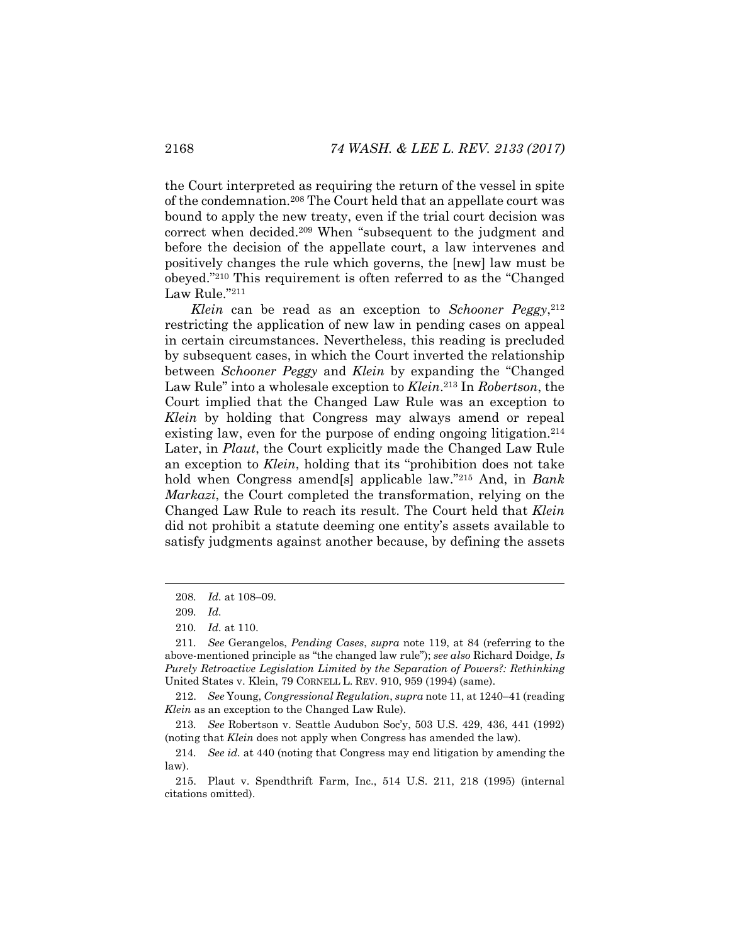the Court interpreted as requiring the return of the vessel in spite of the condemnation.208 The Court held that an appellate court was bound to apply the new treaty, even if the trial court decision was correct when decided.209 When "subsequent to the judgment and before the decision of the appellate court, a law intervenes and positively changes the rule which governs, the [new] law must be obeyed."210 This requirement is often referred to as the "Changed Law Rule."211

*Klein* can be read as an exception to *Schooner Peggy*,<sup>212</sup> restricting the application of new law in pending cases on appeal in certain circumstances. Nevertheless, this reading is precluded by subsequent cases, in which the Court inverted the relationship between *Schooner Peggy* and *Klein* by expanding the "Changed Law Rule" into a wholesale exception to *Klein*.213 In *Robertson*, the Court implied that the Changed Law Rule was an exception to *Klein* by holding that Congress may always amend or repeal existing law, even for the purpose of ending ongoing litigation.<sup>214</sup> Later, in *Plaut*, the Court explicitly made the Changed Law Rule an exception to *Klein*, holding that its "prohibition does not take hold when Congress amend[s] applicable law."215 And, in *Bank Markazi*, the Court completed the transformation, relying on the Changed Law Rule to reach its result. The Court held that *Klein* did not prohibit a statute deeming one entity's assets available to satisfy judgments against another because, by defining the assets

<sup>208</sup>*. Id.* at 108–09.

<sup>209</sup>*. Id.*

<sup>210</sup>*. Id.* at 110.

<sup>211</sup>*. See* Gerangelos, *Pending Cases*, *supra* note 119, at 84 (referring to the above-mentioned principle as "the changed law rule"); *see also* Richard Doidge, *Is Purely Retroactive Legislation Limited by the Separation of Powers?: Rethinking*  United States v. Klein, 79 CORNELL L. REV. 910, 959 (1994) (same).

 <sup>212.</sup> *See* Young, *Congressional Regulation*, *supra* note 11, at 1240–41 (reading *Klein* as an exception to the Changed Law Rule).

<sup>213</sup>*. See* Robertson v. Seattle Audubon Soc'y, 503 U.S. 429, 436, 441 (1992) (noting that *Klein* does not apply when Congress has amended the law).

<sup>214</sup>*. See id.* at 440 (noting that Congress may end litigation by amending the law).

 <sup>215.</sup> Plaut v. Spendthrift Farm, Inc., 514 U.S. 211, 218 (1995) (internal citations omitted).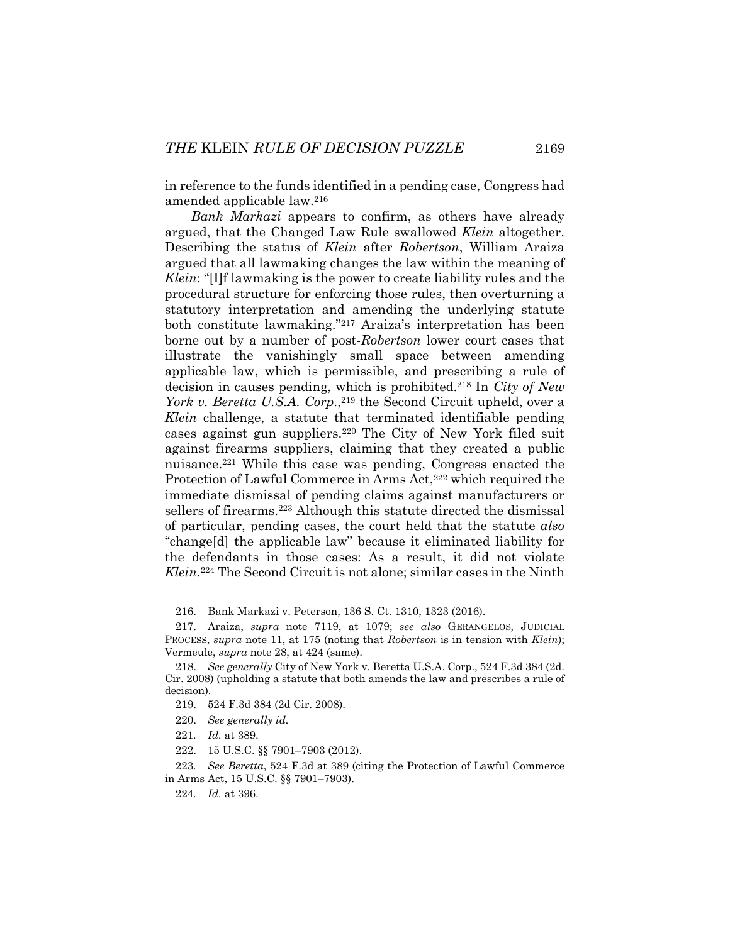in reference to the funds identified in a pending case, Congress had amended applicable law.216

*Bank Markazi* appears to confirm, as others have already argued, that the Changed Law Rule swallowed *Klein* altogether. Describing the status of *Klein* after *Robertson*, William Araiza argued that all lawmaking changes the law within the meaning of *Klein*: "[I]f lawmaking is the power to create liability rules and the procedural structure for enforcing those rules, then overturning a statutory interpretation and amending the underlying statute both constitute lawmaking."217 Araiza's interpretation has been borne out by a number of post-*Robertson* lower court cases that illustrate the vanishingly small space between amending applicable law, which is permissible, and prescribing a rule of decision in causes pending, which is prohibited.218 In *City of New York v. Beretta U.S.A. Corp.*,<sup>219</sup> the Second Circuit upheld, over a *Klein* challenge, a statute that terminated identifiable pending cases against gun suppliers.220 The City of New York filed suit against firearms suppliers, claiming that they created a public nuisance.221 While this case was pending, Congress enacted the Protection of Lawful Commerce in Arms Act,<sup>222</sup> which required the immediate dismissal of pending claims against manufacturers or sellers of firearms.<sup>223</sup> Although this statute directed the dismissal of particular, pending cases, the court held that the statute *also* "change[d] the applicable law" because it eliminated liability for the defendants in those cases: As a result, it did not violate *Klein*.224 The Second Circuit is not alone; similar cases in the Ninth

 <sup>216.</sup> Bank Markazi v. Peterson, 136 S. Ct. 1310, 1323 (2016).

 <sup>217.</sup> Araiza, *supra* note 7119, at 1079; *see also* GERANGELOS*,* JUDICIAL PROCESS, *supra* note 11, at 175 (noting that *Robertson* is in tension with *Klein*); Vermeule, *supra* note 28, at 424 (same).

 <sup>218.</sup> *See generally* City of New York v. Beretta U.S.A. Corp., 524 F.3d 384 (2d. Cir. 2008) (upholding a statute that both amends the law and prescribes a rule of decision).

 <sup>219. 524</sup> F.3d 384 (2d Cir. 2008).

 <sup>220.</sup> *See generally id.*

<sup>221</sup>*. Id.* at 389.

 <sup>222. 15</sup> U.S.C. §§ 7901–7903 (2012).

<sup>223</sup>*. See Beretta*, 524 F.3d at 389 (citing the Protection of Lawful Commerce in Arms Act, 15 U.S.C. §§ 7901–7903).

<sup>224</sup>*. Id.* at 396.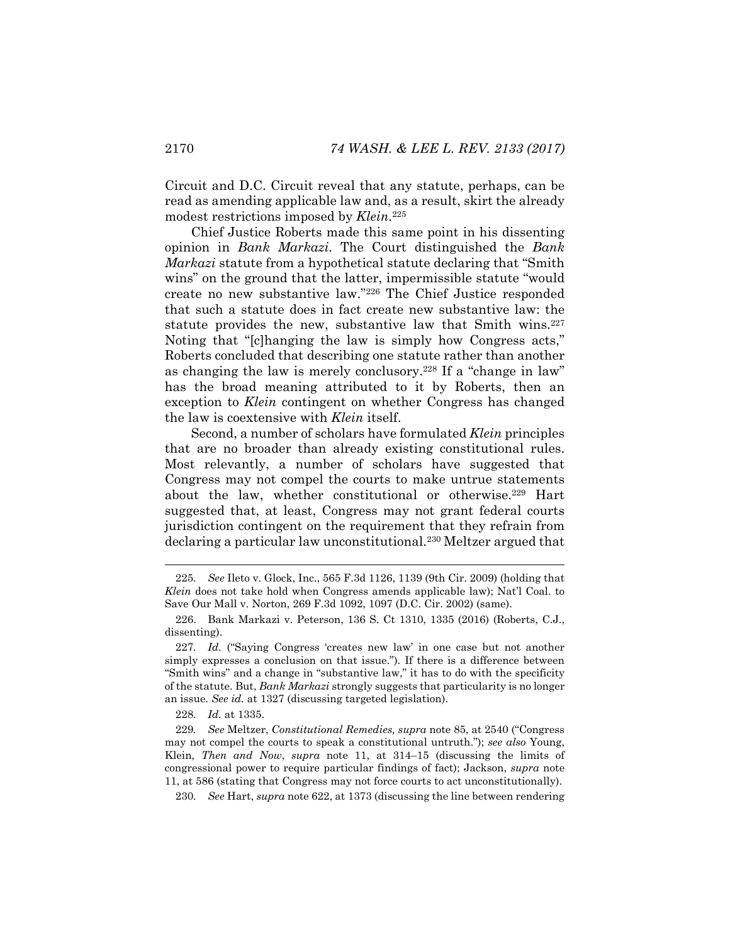Circuit and D.C. Circuit reveal that any statute, perhaps, can be read as amending applicable law and, as a result, skirt the already modest restrictions imposed by *Klein*.225

Chief Justice Roberts made this same point in his dissenting opinion in *Bank Markazi*. The Court distinguished the *Bank Markazi* statute from a hypothetical statute declaring that "Smith wins" on the ground that the latter, impermissible statute "would create no new substantive law."226 The Chief Justice responded that such a statute does in fact create new substantive law: the statute provides the new, substantive law that Smith wins.<sup>227</sup> Noting that "[c]hanging the law is simply how Congress acts," Roberts concluded that describing one statute rather than another as changing the law is merely conclusory.228 If a "change in law" has the broad meaning attributed to it by Roberts, then an exception to *Klein* contingent on whether Congress has changed the law is coextensive with *Klein* itself.

Second, a number of scholars have formulated *Klein* principles that are no broader than already existing constitutional rules. Most relevantly, a number of scholars have suggested that Congress may not compel the courts to make untrue statements about the law, whether constitutional or otherwise.<sup>229</sup> Hart suggested that, at least, Congress may not grant federal courts jurisdiction contingent on the requirement that they refrain from declaring a particular law unconstitutional.230 Meltzer argued that

l

230*. See* Hart, *supra* note 622, at 1373 (discussing the line between rendering

<sup>225</sup>*. See* Ileto v. Glock, Inc., 565 F.3d 1126, 1139 (9th Cir. 2009) (holding that *Klein* does not take hold when Congress amends applicable law); Nat'l Coal. to Save Our Mall v. Norton, 269 F.3d 1092, 1097 (D.C. Cir. 2002) (same).

 <sup>226.</sup> Bank Markazi v. Peterson, 136 S. Ct 1310, 1335 (2016) (Roberts, C.J., dissenting).

<sup>227</sup>*. Id.* ("Saying Congress 'creates new law' in one case but not another simply expresses a conclusion on that issue."). If there is a difference between "Smith wins" and a change in "substantive law," it has to do with the specificity of the statute. But, *Bank Markazi* strongly suggests that particularity is no longer an issue. *See id.* at 1327 (discussing targeted legislation).

<sup>228</sup>*. Id.* at 1335.

<sup>229</sup>*. See* Meltzer, *Constitutional Remedies, supra* note 85, at 2540 ("Congress may not compel the courts to speak a constitutional untruth."); *see also* Young, Klein*, Then and Now*, *supra* note 11, at 314–15 (discussing the limits of congressional power to require particular findings of fact); Jackson, *supra* note 11, at 586 (stating that Congress may not force courts to act unconstitutionally).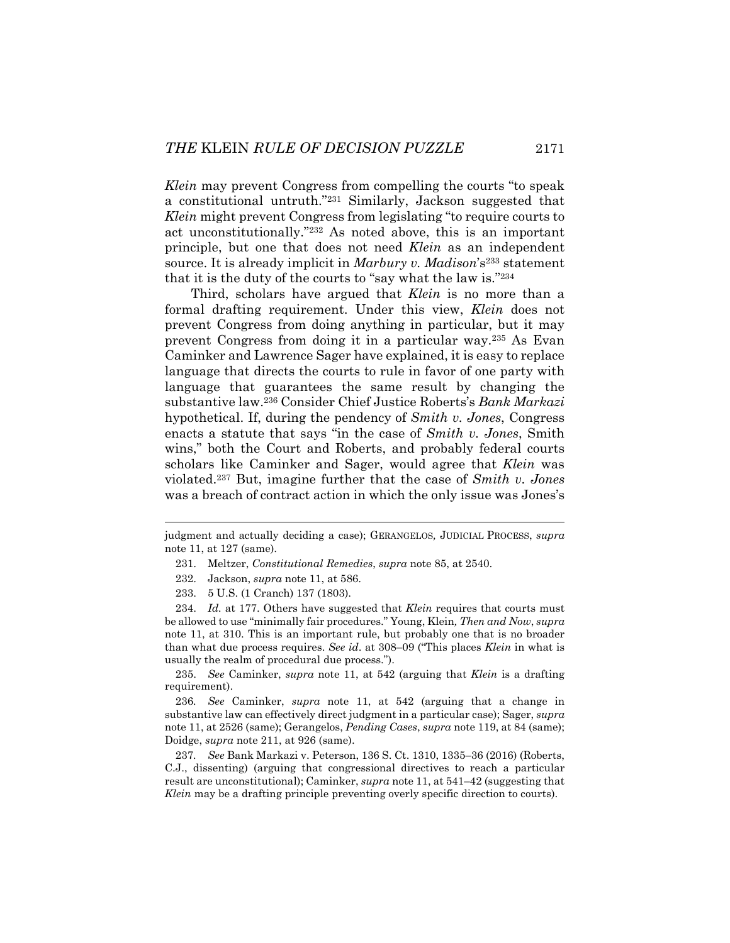*Klein* may prevent Congress from compelling the courts "to speak a constitutional untruth."231 Similarly, Jackson suggested that *Klein* might prevent Congress from legislating "to require courts to act unconstitutionally."232 As noted above, this is an important principle, but one that does not need *Klein* as an independent source. It is already implicit in *Marbury v. Madison*'s233 statement that it is the duty of the courts to "say what the law is."234

Third, scholars have argued that *Klein* is no more than a formal drafting requirement. Under this view, *Klein* does not prevent Congress from doing anything in particular, but it may prevent Congress from doing it in a particular way.235 As Evan Caminker and Lawrence Sager have explained, it is easy to replace language that directs the courts to rule in favor of one party with language that guarantees the same result by changing the substantive law.236 Consider Chief Justice Roberts's *Bank Markazi* hypothetical. If, during the pendency of *Smith v. Jones*, Congress enacts a statute that says "in the case of *Smith v. Jones*, Smith wins," both the Court and Roberts, and probably federal courts scholars like Caminker and Sager, would agree that *Klein* was violated.237 But, imagine further that the case of *Smith v. Jones* was a breach of contract action in which the only issue was Jones's

l

 235. *See* Caminker, *supra* note 11, at 542 (arguing that *Klein* is a drafting requirement).

236*. See* Caminker, *supra* note 11, at 542 (arguing that a change in substantive law can effectively direct judgment in a particular case); Sager, *supra* note 11, at 2526 (same); Gerangelos, *Pending Cases*, *supra* note 119, at 84 (same); Doidge, *supra* note 211, at 926 (same).

237*. See* Bank Markazi v. Peterson, 136 S. Ct. 1310, 1335–36 (2016) (Roberts, C.J., dissenting) (arguing that congressional directives to reach a particular result are unconstitutional); Caminker, *supra* note 11, at 541–42 (suggesting that *Klein* may be a drafting principle preventing overly specific direction to courts).

judgment and actually deciding a case); GERANGELOS*,* JUDICIAL PROCESS, *supra*  note 11, at 127 (same).

 <sup>231.</sup> Meltzer, *Constitutional Remedies*, *supra* note 85, at 2540.

 <sup>232.</sup> Jackson, *supra* note 11, at 586.

 <sup>233. 5</sup> U.S. (1 Cranch) 137 (1803).

 <sup>234.</sup> *Id.* at 177. Others have suggested that *Klein* requires that courts must be allowed to use "minimally fair procedures." Young, Klein*, Then and Now*, *supra*  note 11, at 310. This is an important rule, but probably one that is no broader than what due process requires. *See id*. at 308–09 ("This places *Klein* in what is usually the realm of procedural due process.").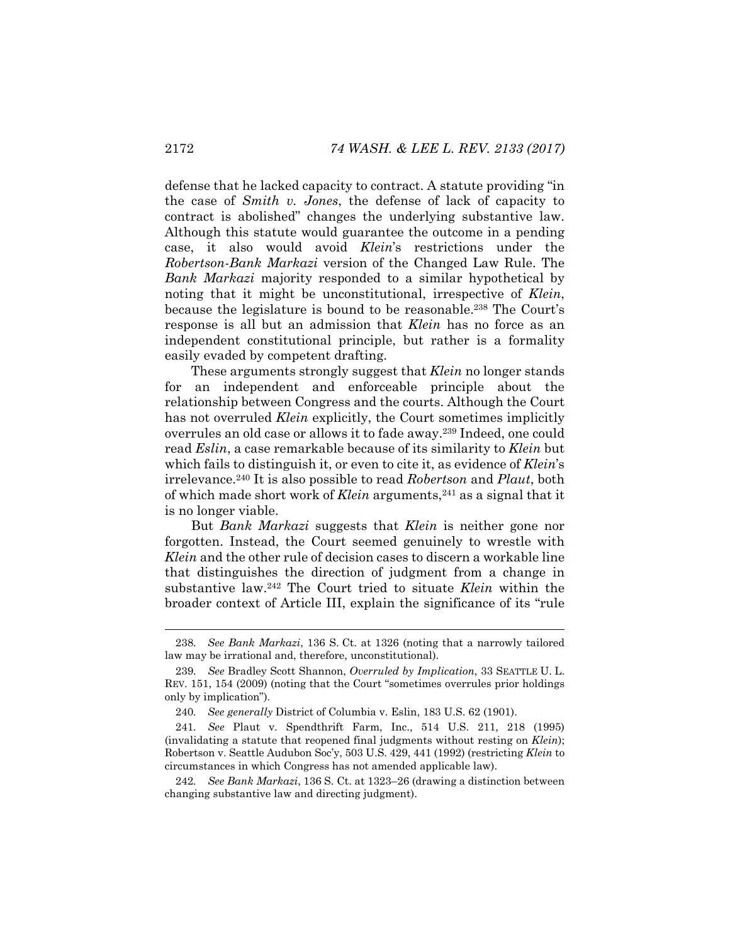defense that he lacked capacity to contract. A statute providing "in the case of *Smith v. Jones*, the defense of lack of capacity to contract is abolished" changes the underlying substantive law. Although this statute would guarantee the outcome in a pending case, it also would avoid *Klein*'s restrictions under the *Robertson*-*Bank Markazi* version of the Changed Law Rule. The *Bank Markazi* majority responded to a similar hypothetical by noting that it might be unconstitutional, irrespective of *Klein*, because the legislature is bound to be reasonable.<sup>238</sup> The Court's response is all but an admission that *Klein* has no force as an independent constitutional principle, but rather is a formality easily evaded by competent drafting.

These arguments strongly suggest that *Klein* no longer stands for an independent and enforceable principle about the relationship between Congress and the courts. Although the Court has not overruled *Klein* explicitly, the Court sometimes implicitly overrules an old case or allows it to fade away.239 Indeed, one could read *Eslin*, a case remarkable because of its similarity to *Klein* but which fails to distinguish it, or even to cite it, as evidence of *Klein*'s irrelevance.240 It is also possible to read *Robertson* and *Plaut*, both of which made short work of *Klein* arguments,<sup>241</sup> as a signal that it is no longer viable.

But *Bank Markazi* suggests that *Klein* is neither gone nor forgotten. Instead, the Court seemed genuinely to wrestle with *Klein* and the other rule of decision cases to discern a workable line that distinguishes the direction of judgment from a change in substantive law.242 The Court tried to situate *Klein* within the broader context of Article III, explain the significance of its "rule

<sup>238</sup>*. See Bank Markazi*, 136 S. Ct. at 1326 (noting that a narrowly tailored law may be irrational and, therefore, unconstitutional).

<sup>239</sup>*. See* Bradley Scott Shannon, *Overruled by Implication*, 33 SEATTLE U. L. REV. 151, 154 (2009) (noting that the Court "sometimes overrules prior holdings only by implication").

<sup>240</sup>*. See generally* District of Columbia v. Eslin, 183 U.S. 62 (1901).

<sup>241</sup>*. See* Plaut v. Spendthrift Farm, Inc., 514 U.S. 211, 218 (1995) (invalidating a statute that reopened final judgments without resting on *Klein*); Robertson v. Seattle Audubon Soc'y, 503 U.S. 429, 441 (1992) (restricting *Klein* to circumstances in which Congress has not amended applicable law).

<sup>242</sup>*. See Bank Markazi*, 136 S. Ct. at 1323–26 (drawing a distinction between changing substantive law and directing judgment).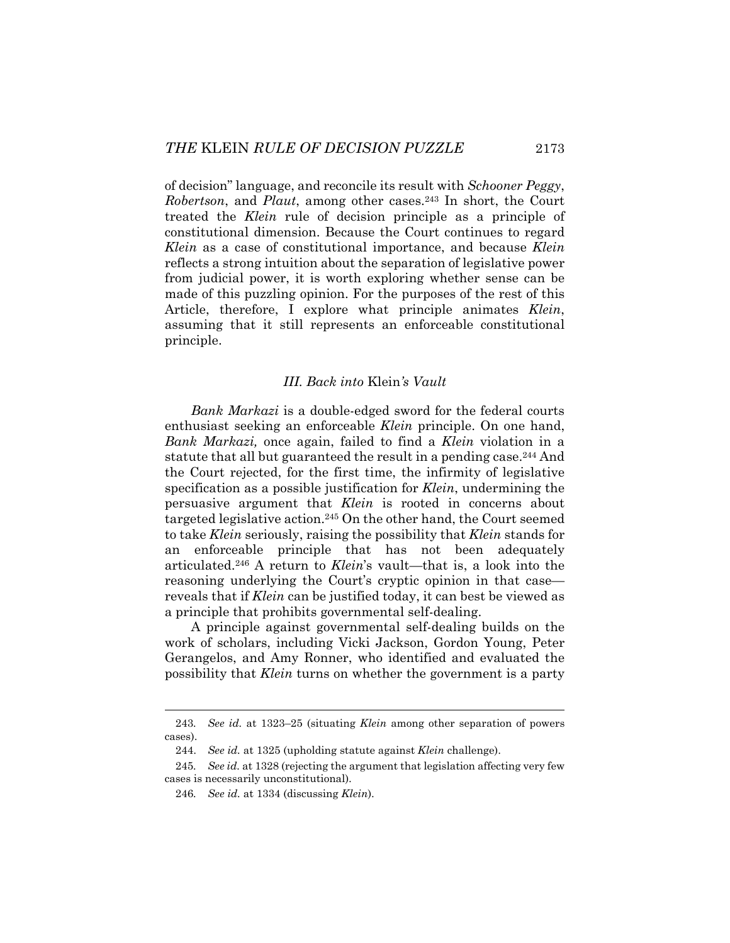of decision" language, and reconcile its result with *Schooner Peggy*, *Robertson*, and *Plaut*, among other cases.243 In short, the Court treated the *Klein* rule of decision principle as a principle of constitutional dimension. Because the Court continues to regard *Klein* as a case of constitutional importance, and because *Klein* reflects a strong intuition about the separation of legislative power from judicial power, it is worth exploring whether sense can be made of this puzzling opinion. For the purposes of the rest of this Article, therefore, I explore what principle animates *Klein*, assuming that it still represents an enforceable constitutional principle.

## *III. Back into* Klein*'s Vault*

*Bank Markazi* is a double-edged sword for the federal courts enthusiast seeking an enforceable *Klein* principle. On one hand, *Bank Markazi,* once again, failed to find a *Klein* violation in a statute that all but guaranteed the result in a pending case.<sup>244</sup> And the Court rejected, for the first time, the infirmity of legislative specification as a possible justification for *Klein*, undermining the persuasive argument that *Klein* is rooted in concerns about targeted legislative action.245 On the other hand, the Court seemed to take *Klein* seriously, raising the possibility that *Klein* stands for an enforceable principle that has not been adequately articulated.246 A return to *Klein*'s vault—that is, a look into the reasoning underlying the Court's cryptic opinion in that case reveals that if *Klein* can be justified today, it can best be viewed as a principle that prohibits governmental self-dealing.

A principle against governmental self-dealing builds on the work of scholars, including Vicki Jackson, Gordon Young, Peter Gerangelos, and Amy Ronner, who identified and evaluated the possibility that *Klein* turns on whether the government is a party

<sup>243</sup>*. See id.* at 1323–25 (situating *Klein* among other separation of powers cases).

 <sup>244.</sup> *See id.* at 1325 (upholding statute against *Klein* challenge).

<sup>245</sup>*. See id.* at 1328 (rejecting the argument that legislation affecting very few cases is necessarily unconstitutional).

<sup>246</sup>*. See id.* at 1334 (discussing *Klein*).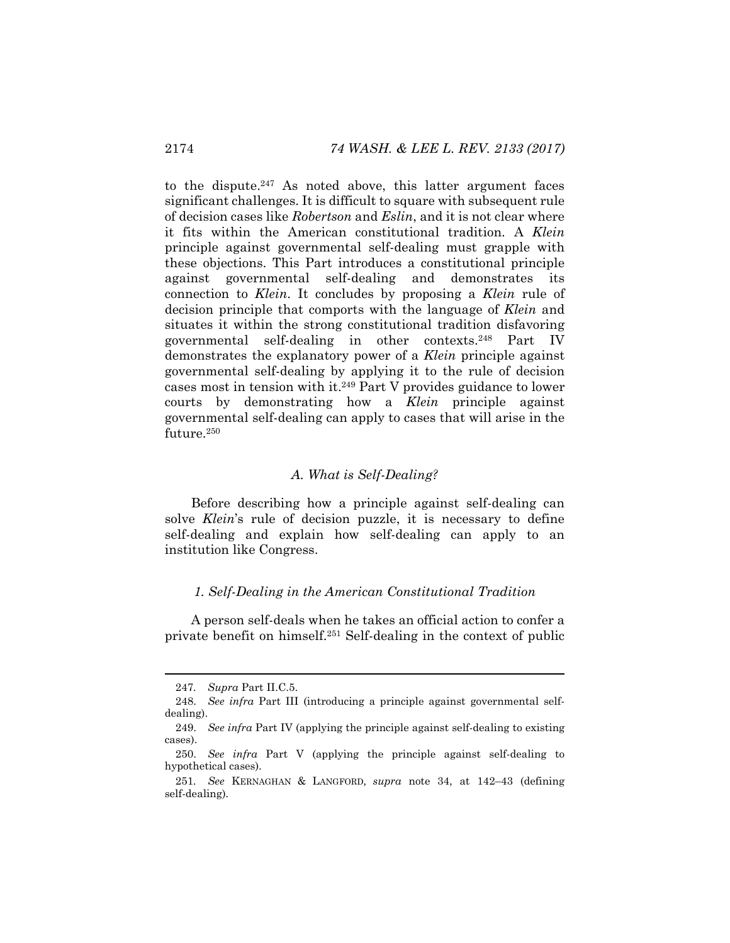to the dispute.247 As noted above, this latter argument faces significant challenges. It is difficult to square with subsequent rule of decision cases like *Robertson* and *Eslin*, and it is not clear where it fits within the American constitutional tradition. A *Klein*  principle against governmental self-dealing must grapple with these objections. This Part introduces a constitutional principle against governmental self-dealing and demonstrates its connection to *Klein*. It concludes by proposing a *Klein* rule of decision principle that comports with the language of *Klein* and situates it within the strong constitutional tradition disfavoring governmental self-dealing in other contexts.248 Part IV demonstrates the explanatory power of a *Klein* principle against governmental self-dealing by applying it to the rule of decision cases most in tension with it.249 Part V provides guidance to lower courts by demonstrating how a *Klein* principle against governmental self-dealing can apply to cases that will arise in the future.250

#### *A. What is Self-Dealing?*

Before describing how a principle against self-dealing can solve *Klein*'s rule of decision puzzle, it is necessary to define self-dealing and explain how self-dealing can apply to an institution like Congress.

## *1. Self-Dealing in the American Constitutional Tradition*

A person self-deals when he takes an official action to confer a private benefit on himself.251 Self-dealing in the context of public

<sup>247</sup>*. Supra* Part II.C.5.

 <sup>248.</sup> *See infra* Part III (introducing a principle against governmental selfdealing).

 <sup>249.</sup> *See infra* Part IV (applying the principle against self-dealing to existing cases).

 <sup>250.</sup> *See infra* Part V (applying the principle against self-dealing to hypothetical cases).

<sup>251</sup>*. See* KERNAGHAN & LANGFORD*, supra* note 34, at 142–43 (defining self-dealing)*.*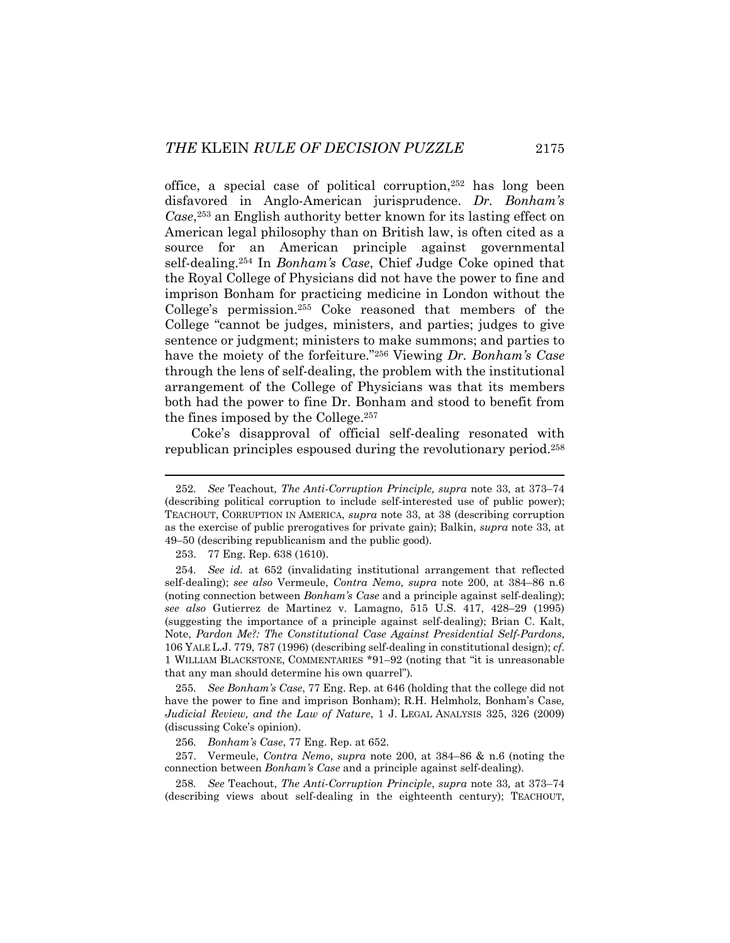office, a special case of political corruption,252 has long been disfavored in Anglo-American jurisprudence. *Dr. Bonham's Case*,253 an English authority better known for its lasting effect on American legal philosophy than on British law, is often cited as a source for an American principle against governmental self-dealing.254 In *Bonham's Case*, Chief Judge Coke opined that the Royal College of Physicians did not have the power to fine and imprison Bonham for practicing medicine in London without the College's permission.255 Coke reasoned that members of the College "cannot be judges, ministers, and parties; judges to give sentence or judgment; ministers to make summons; and parties to have the moiety of the forfeiture."256 Viewing *Dr. Bonham's Case*  through the lens of self-dealing, the problem with the institutional arrangement of the College of Physicians was that its members both had the power to fine Dr. Bonham and stood to benefit from the fines imposed by the College.257

Coke's disapproval of official self-dealing resonated with republican principles espoused during the revolutionary period.258

253. 77 Eng. Rep. 638 (1610).

l

256*. Bonham's Case*, 77 Eng. Rep. at 652.

<sup>252</sup>*. See* Teachout*, The Anti-Corruption Principle, supra* note 33, at 373–74 (describing political corruption to include self-interested use of public power); TEACHOUT, CORRUPTION IN AMERICA, *supra* note 33, at 38 (describing corruption as the exercise of public prerogatives for private gain); Balkin, *supra* note 33, at 49–50 (describing republicanism and the public good).

<sup>254</sup>*. See id.* at 652 (invalidating institutional arrangement that reflected self-dealing); *see also* Vermeule, *Contra Nemo*, *supra* note 200, at 384–86 n.6 (noting connection between *Bonham's Case* and a principle against self-dealing); *see also* Gutierrez de Martinez v. Lamagno, 515 U.S. 417, 428–29 (1995) (suggesting the importance of a principle against self-dealing); Brian C. Kalt, Note, *Pardon Me?: The Constitutional Case Against Presidential Self-Pardons*, 106 YALE L.J. 779, 787 (1996) (describing self-dealing in constitutional design); *cf*. 1 WILLIAM BLACKSTONE, COMMENTARIES \*91–92 (noting that "it is unreasonable that any man should determine his own quarrel")*.*

<sup>255</sup>*. See Bonham's Case*, 77 Eng. Rep. at 646 (holding that the college did not have the power to fine and imprison Bonham); R.H. Helmholz, Bonham's Case*, Judicial Review, and the Law of Nature*, 1 J. LEGAL ANALYSIS 325, 326 (2009) (discussing Coke's opinion).

 <sup>257.</sup> Vermeule, *Contra Nemo*, *supra* note 200, at 384–86 & n.6 (noting the connection between *Bonham's Case* and a principle against self-dealing).

<sup>258</sup>*. See* Teachout, *The Anti-Corruption Principle*, *supra* note 33*,* at 373–74 (describing views about self-dealing in the eighteenth century); TEACHOUT,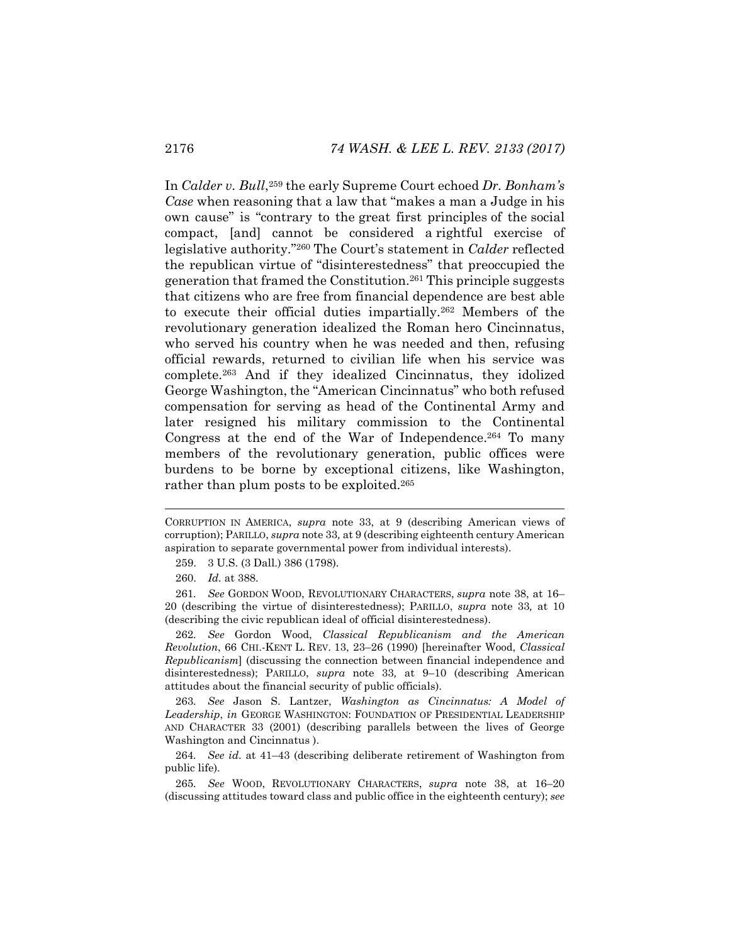In *Calder v. Bull*,259 the early Supreme Court echoed *Dr. Bonham's Case* when reasoning that a law that "makes a man a Judge in his own cause" is "contrary to the great first principles of the social compact, [and] cannot be considered a rightful exercise of legislative authority."260 The Court's statement in *Calder* reflected the republican virtue of "disinterestedness" that preoccupied the generation that framed the Constitution.261 This principle suggests that citizens who are free from financial dependence are best able to execute their official duties impartially.262 Members of the revolutionary generation idealized the Roman hero Cincinnatus, who served his country when he was needed and then, refusing official rewards, returned to civilian life when his service was complete.263 And if they idealized Cincinnatus, they idolized George Washington, the "American Cincinnatus" who both refused compensation for serving as head of the Continental Army and later resigned his military commission to the Continental Congress at the end of the War of Independence.264 To many members of the revolutionary generation, public offices were burdens to be borne by exceptional citizens, like Washington, rather than plum posts to be exploited.<sup>265</sup>

CORRUPTION IN AMERICA, *supra* note 33, at 9 (describing American views of corruption); PARILLO, *supra* note 33*,* at 9 (describing eighteenth century American aspiration to separate governmental power from individual interests).

 <sup>259. 3</sup> U.S. (3 Dall.) 386 (1798).

 <sup>260.</sup> *Id.* at 388.

<sup>261</sup>*. See* GORDON WOOD, REVOLUTIONARY CHARACTERS, *supra* note 38, at 16– 20 (describing the virtue of disinterestedness); PARILLO, *supra* note 33*,* at 10 (describing the civic republican ideal of official disinterestedness).

<sup>262</sup>*. See* Gordon Wood, *Classical Republicanism and the American Revolution*, 66 CHI.-KENT L. REV. 13, 23–26 (1990) [hereinafter Wood, *Classical Republicanism*] (discussing the connection between financial independence and disinterestedness); PARILLO, *supra* note 33*,* at 9–10 (describing American attitudes about the financial security of public officials).

<sup>263</sup>*. See* Jason S. Lantzer, *Washington as Cincinnatus: A Model of Leadership*, *in* GEORGE WASHINGTON: FOUNDATION OF PRESIDENTIAL LEADERSHIP AND CHARACTER 33 (2001) (describing parallels between the lives of George Washington and Cincinnatus ).

<sup>264</sup>*. See id*. at 41–43 (describing deliberate retirement of Washington from public life).

<sup>265</sup>*. See* WOOD, REVOLUTIONARY CHARACTERS, *supra* note 38, at 16–20 (discussing attitudes toward class and public office in the eighteenth century); *see*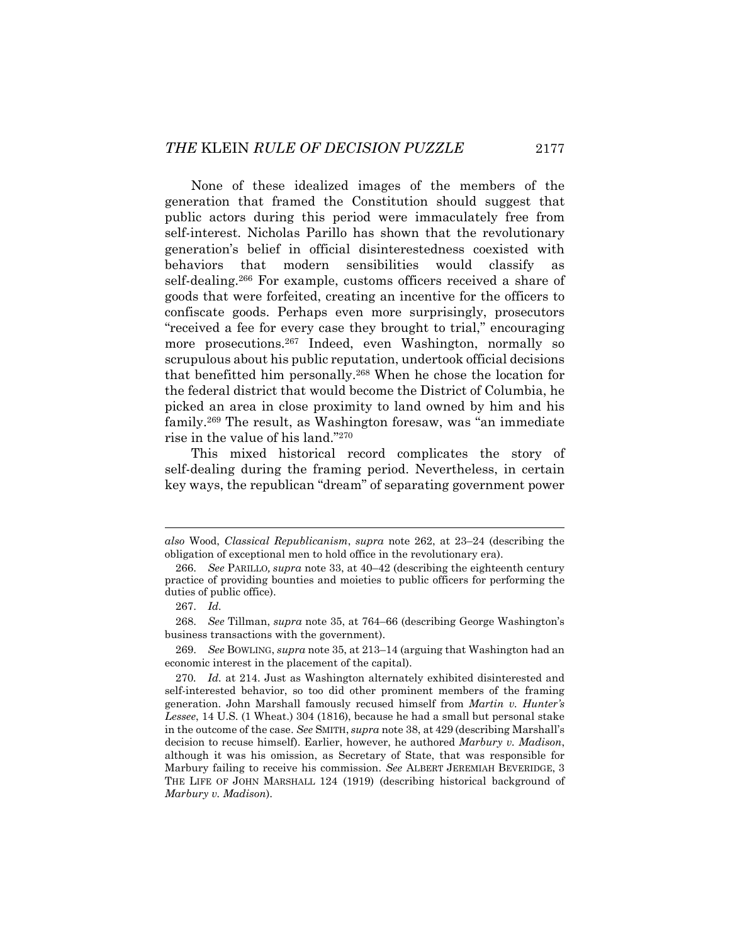None of these idealized images of the members of the generation that framed the Constitution should suggest that public actors during this period were immaculately free from self-interest. Nicholas Parillo has shown that the revolutionary generation's belief in official disinterestedness coexisted with behaviors that modern sensibilities would classify as self-dealing.266 For example, customs officers received a share of goods that were forfeited, creating an incentive for the officers to confiscate goods. Perhaps even more surprisingly, prosecutors "received a fee for every case they brought to trial," encouraging more prosecutions.267 Indeed, even Washington, normally so scrupulous about his public reputation, undertook official decisions that benefitted him personally.268 When he chose the location for the federal district that would become the District of Columbia, he picked an area in close proximity to land owned by him and his family.269 The result, as Washington foresaw, was "an immediate rise in the value of his land."270

This mixed historical record complicates the story of self-dealing during the framing period. Nevertheless, in certain key ways, the republican "dream" of separating government power

*also* Wood, *Classical Republicanism*, *supra* note 262, at 23–24 (describing the obligation of exceptional men to hold office in the revolutionary era).

 <sup>266.</sup> *See* PARILLO*, supra* note 33, at 40–42 (describing the eighteenth century practice of providing bounties and moieties to public officers for performing the duties of public office).

 <sup>267.</sup> *Id.* 

 <sup>268.</sup> *See* Tillman, *supra* note 35, at 764–66 (describing George Washington's business transactions with the government).

 <sup>269.</sup> *See* BOWLING, *supra* note 35, at 213–14 (arguing that Washington had an economic interest in the placement of the capital).

<sup>270</sup>*. Id.* at 214. Just as Washington alternately exhibited disinterested and self-interested behavior, so too did other prominent members of the framing generation. John Marshall famously recused himself from *Martin v. Hunter's Lessee*, 14 U.S. (1 Wheat.) 304 (1816), because he had a small but personal stake in the outcome of the case. *See* SMITH, *supra* note 38, at 429 (describing Marshall's decision to recuse himself). Earlier, however, he authored *Marbury v. Madison*, although it was his omission, as Secretary of State, that was responsible for Marbury failing to receive his commission. *See* ALBERT JEREMIAH BEVERIDGE, 3 THE LIFE OF JOHN MARSHALL 124 (1919) (describing historical background of *Marbury v. Madison*).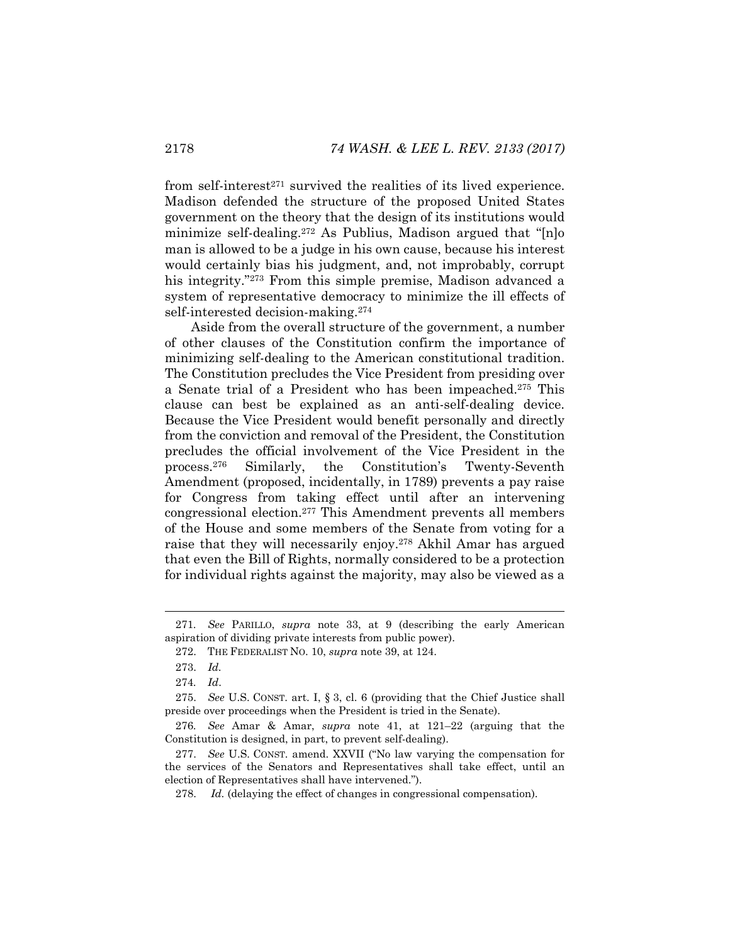from self-interest $271$  survived the realities of its lived experience. Madison defended the structure of the proposed United States government on the theory that the design of its institutions would minimize self-dealing.272 As Publius, Madison argued that "[n]o man is allowed to be a judge in his own cause, because his interest would certainly bias his judgment, and, not improbably, corrupt his integrity."<sup>273</sup> From this simple premise, Madison advanced a system of representative democracy to minimize the ill effects of self-interested decision-making.274

Aside from the overall structure of the government, a number of other clauses of the Constitution confirm the importance of minimizing self-dealing to the American constitutional tradition. The Constitution precludes the Vice President from presiding over a Senate trial of a President who has been impeached.275 This clause can best be explained as an anti-self-dealing device. Because the Vice President would benefit personally and directly from the conviction and removal of the President, the Constitution precludes the official involvement of the Vice President in the process.276 Similarly, the Constitution's Twenty-Seventh Amendment (proposed, incidentally, in 1789) prevents a pay raise for Congress from taking effect until after an intervening congressional election.277 This Amendment prevents all members of the House and some members of the Senate from voting for a raise that they will necessarily enjoy.278 Akhil Amar has argued that even the Bill of Rights, normally considered to be a protection for individual rights against the majority, may also be viewed as a

<sup>271</sup>*. See* PARILLO, *supra* note 33, at 9 (describing the early American aspiration of dividing private interests from public power).

 <sup>272.</sup> THE FEDERALIST NO. 10, *supra* note 39, at 124.

 <sup>273.</sup> *Id.*

<sup>274</sup>*. Id*.

 <sup>275.</sup> *See* U.S. CONST. art. I, § 3, cl. 6 (providing that the Chief Justice shall preside over proceedings when the President is tried in the Senate).

<sup>276</sup>*. See* Amar & Amar, *supra* note 41, at 121–22 (arguing that the Constitution is designed, in part, to prevent self-dealing).

 <sup>277.</sup> *See* U.S. CONST. amend. XXVII ("No law varying the compensation for the services of the Senators and Representatives shall take effect, until an election of Representatives shall have intervened.").

 <sup>278.</sup> *Id.* (delaying the effect of changes in congressional compensation).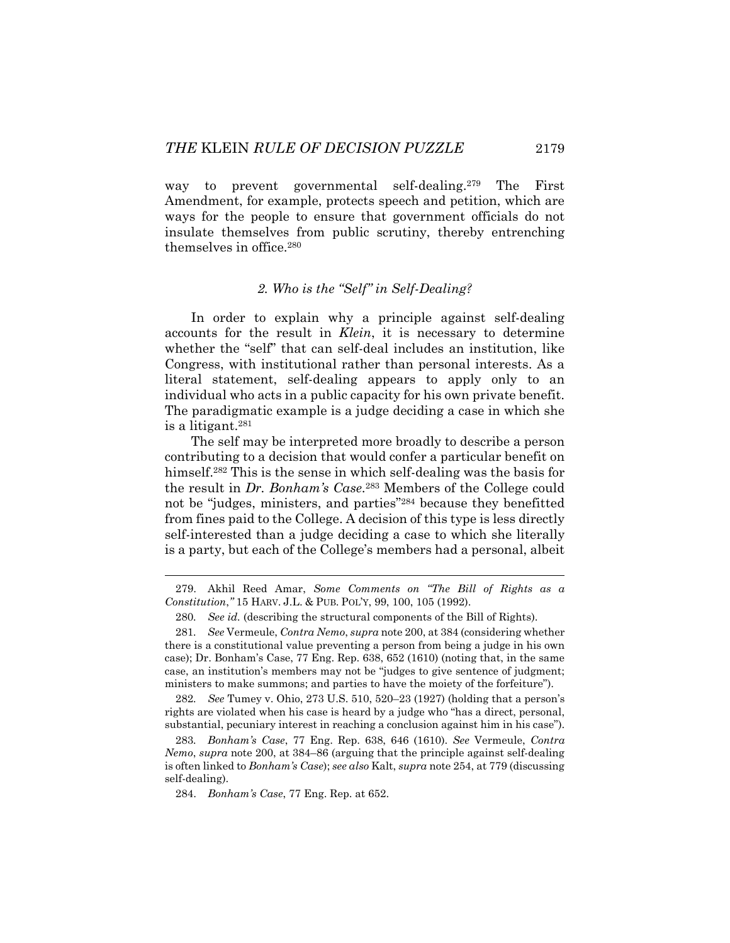way to prevent governmental self-dealing.279 The First Amendment, for example, protects speech and petition, which are ways for the people to ensure that government officials do not insulate themselves from public scrutiny, thereby entrenching themselves in office.280

# *2. Who is the "Self" in Self-Dealing?*

In order to explain why a principle against self-dealing accounts for the result in *Klein*, it is necessary to determine whether the "self" that can self-deal includes an institution, like Congress, with institutional rather than personal interests. As a literal statement, self-dealing appears to apply only to an individual who acts in a public capacity for his own private benefit. The paradigmatic example is a judge deciding a case in which she is a litigant.281

The self may be interpreted more broadly to describe a person contributing to a decision that would confer a particular benefit on himself.282 This is the sense in which self-dealing was the basis for the result in *Dr. Bonham's Case*.283 Members of the College could not be "judges, ministers, and parties"284 because they benefitted from fines paid to the College. A decision of this type is less directly self-interested than a judge deciding a case to which she literally is a party, but each of the College's members had a personal, albeit

282*. See* Tumey v. Ohio, 273 U.S. 510, 520–23 (1927) (holding that a person's rights are violated when his case is heard by a judge who "has a direct, personal, substantial, pecuniary interest in reaching a conclusion against him in his case").

 <sup>279.</sup> Akhil Reed Amar, *Some Comments on "The Bill of Rights as a Constitution*,*"* 15 HARV. J.L. & PUB. POL'Y, 99, 100, 105 (1992).

<sup>280</sup>*. See id.* (describing the structural components of the Bill of Rights).

<sup>281</sup>*. See* Vermeule, *Contra Nemo*, *supra* note 200, at 384 (considering whether there is a constitutional value preventing a person from being a judge in his own case); Dr. Bonham's Case, 77 Eng. Rep. 638, 652 (1610) (noting that, in the same case, an institution's members may not be "judges to give sentence of judgment; ministers to make summons; and parties to have the moiety of the forfeiture").

<sup>283</sup>*. Bonham's Case*, 77 Eng. Rep. 638, 646 (1610). *See* Vermeule, *Contra Nemo*, *supra* note 200, at 384–86 (arguing that the principle against self-dealing is often linked to *Bonham's Case*); *see also* Kalt, *supra* note 254, at 779 (discussing self-dealing).

 <sup>284.</sup> *Bonham's Case*, 77 Eng. Rep. at 652.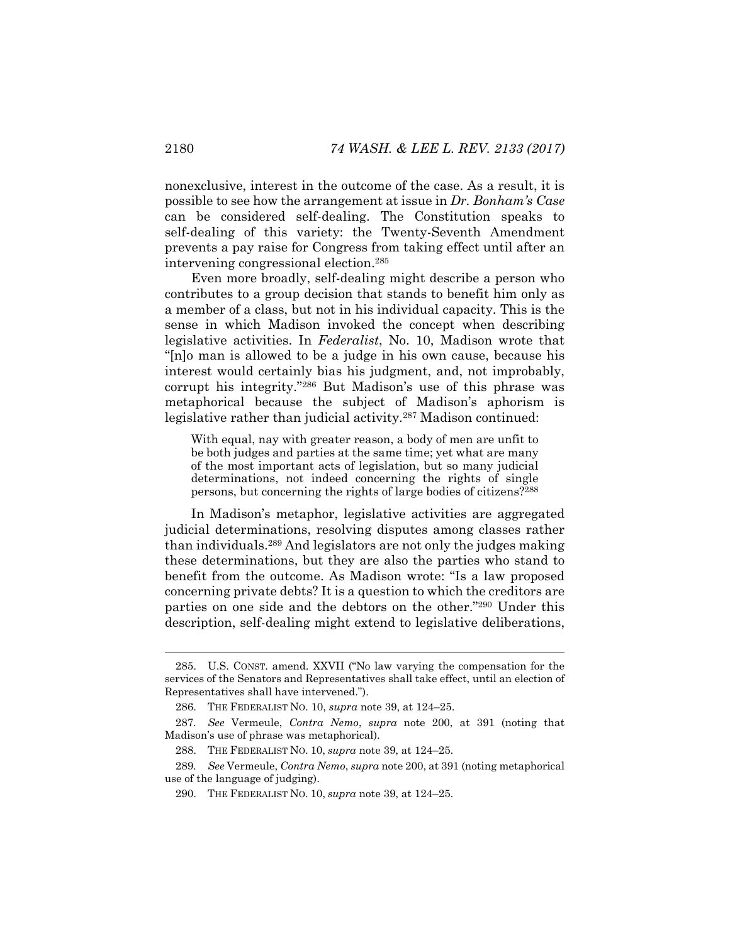nonexclusive, interest in the outcome of the case. As a result, it is possible to see how the arrangement at issue in *Dr. Bonham's Case*  can be considered self-dealing. The Constitution speaks to self-dealing of this variety: the Twenty-Seventh Amendment prevents a pay raise for Congress from taking effect until after an intervening congressional election.285

Even more broadly, self-dealing might describe a person who contributes to a group decision that stands to benefit him only as a member of a class, but not in his individual capacity. This is the sense in which Madison invoked the concept when describing legislative activities. In *Federalist*, No. 10, Madison wrote that "[n]o man is allowed to be a judge in his own cause, because his interest would certainly bias his judgment, and, not improbably, corrupt his integrity."286 But Madison's use of this phrase was metaphorical because the subject of Madison's aphorism is legislative rather than judicial activity.<sup>287</sup> Madison continued:

With equal, nay with greater reason, a body of men are unfit to be both judges and parties at the same time; yet what are many of the most important acts of legislation, but so many judicial determinations, not indeed concerning the rights of single persons, but concerning the rights of large bodies of citizens?288

In Madison's metaphor, legislative activities are aggregated judicial determinations, resolving disputes among classes rather than individuals.289 And legislators are not only the judges making these determinations, but they are also the parties who stand to benefit from the outcome. As Madison wrote: "Is a law proposed concerning private debts? It is a question to which the creditors are parties on one side and the debtors on the other."290 Under this description, self-dealing might extend to legislative deliberations,

 <sup>285.</sup> U.S. CONST. amend. XXVII ("No law varying the compensation for the services of the Senators and Representatives shall take effect, until an election of Representatives shall have intervened.").

 <sup>286.</sup> THE FEDERALIST NO. 10, *supra* note 39, at 124–25.

<sup>287</sup>*. See* Vermeule, *Contra Nemo*, *supra* note 200, at 391 (noting that Madison's use of phrase was metaphorical).

 <sup>288.</sup> THE FEDERALIST NO. 10, *supra* note 39, at 124–25.

<sup>289</sup>*. See* Vermeule, *Contra Nemo*, *supra* note 200, at 391 (noting metaphorical use of the language of judging).

 <sup>290.</sup> THE FEDERALIST NO. 10, *supra* note 39, at 124–25.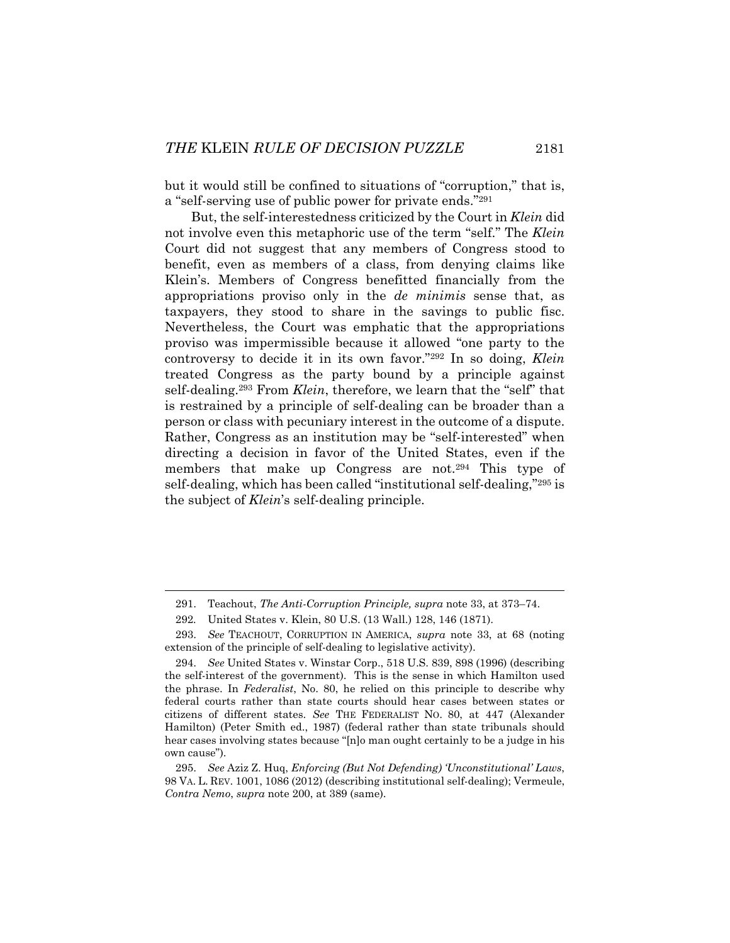but it would still be confined to situations of "corruption," that is, a "self-serving use of public power for private ends."291

But, the self-interestedness criticized by the Court in *Klein* did not involve even this metaphoric use of the term "self." The *Klein* Court did not suggest that any members of Congress stood to benefit, even as members of a class, from denying claims like Klein's. Members of Congress benefitted financially from the appropriations proviso only in the *de minimis* sense that, as taxpayers, they stood to share in the savings to public fisc. Nevertheless, the Court was emphatic that the appropriations proviso was impermissible because it allowed "one party to the controversy to decide it in its own favor."292 In so doing, *Klein* treated Congress as the party bound by a principle against self-dealing.293 From *Klein*, therefore, we learn that the "self" that is restrained by a principle of self-dealing can be broader than a person or class with pecuniary interest in the outcome of a dispute. Rather, Congress as an institution may be "self-interested" when directing a decision in favor of the United States, even if the members that make up Congress are not.294 This type of self-dealing, which has been called "institutional self-dealing,"295 is the subject of *Klein*'s self-dealing principle.

 <sup>291.</sup> Teachout, *The Anti-Corruption Principle, supra* note 33, at 373–74.

<sup>292</sup>*.* United States v. Klein, 80 U.S. (13 Wall.) 128, 146 (1871).

 <sup>293.</sup> *See* TEACHOUT, CORRUPTION IN AMERICA, *supra* note 33, at 68 (noting extension of the principle of self-dealing to legislative activity).

 <sup>294.</sup> *See* United States v. Winstar Corp., 518 U.S. 839, 898 (1996) (describing the self-interest of the government). This is the sense in which Hamilton used the phrase. In *Federalist*, No. 80, he relied on this principle to describe why federal courts rather than state courts should hear cases between states or citizens of different states. *See* THE FEDERALIST NO. 80, at 447 (Alexander Hamilton) (Peter Smith ed., 1987) (federal rather than state tribunals should hear cases involving states because "[n]o man ought certainly to be a judge in his own cause").

 <sup>295.</sup> *See* Aziz Z. Huq, *Enforcing (But Not Defending) 'Unconstitutional' Laws*, 98 VA. L. REV. 1001, 1086 (2012) (describing institutional self-dealing); Vermeule, *Contra Nemo*, *supra* note 200, at 389 (same).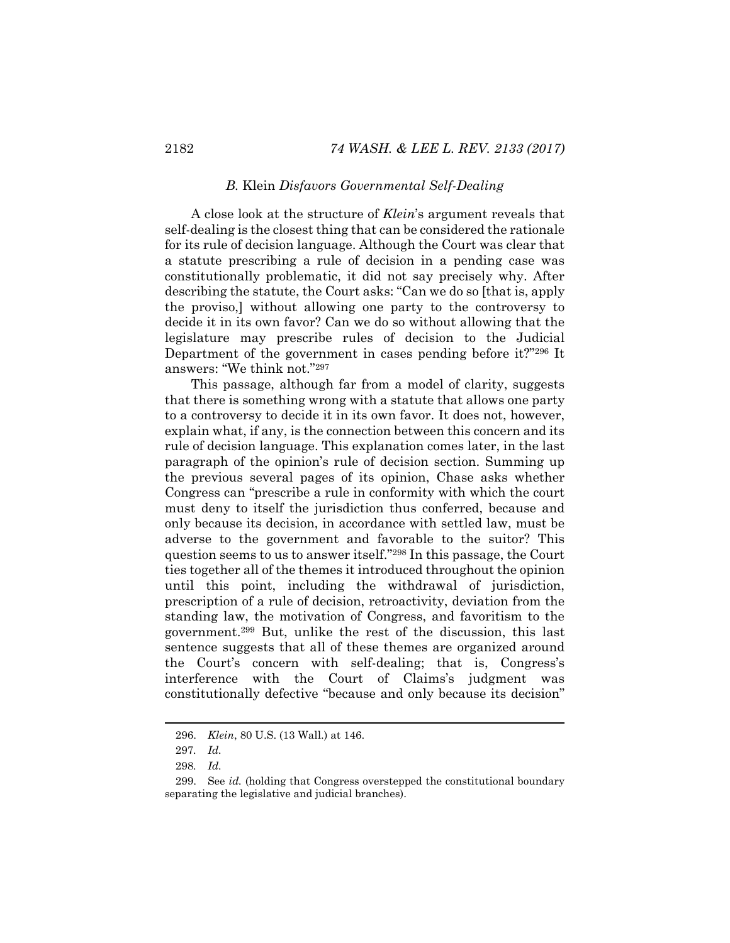## *B.* Klein *Disfavors Governmental Self-Dealing*

A close look at the structure of *Klein*'s argument reveals that self-dealing is the closest thing that can be considered the rationale for its rule of decision language. Although the Court was clear that a statute prescribing a rule of decision in a pending case was constitutionally problematic, it did not say precisely why. After describing the statute, the Court asks: "Can we do so [that is, apply the proviso,] without allowing one party to the controversy to decide it in its own favor? Can we do so without allowing that the legislature may prescribe rules of decision to the Judicial Department of the government in cases pending before it?"296 It answers: "We think not."297

This passage, although far from a model of clarity, suggests that there is something wrong with a statute that allows one party to a controversy to decide it in its own favor. It does not, however, explain what, if any, is the connection between this concern and its rule of decision language. This explanation comes later, in the last paragraph of the opinion's rule of decision section. Summing up the previous several pages of its opinion, Chase asks whether Congress can "prescribe a rule in conformity with which the court must deny to itself the jurisdiction thus conferred, because and only because its decision, in accordance with settled law, must be adverse to the government and favorable to the suitor? This question seems to us to answer itself."298 In this passage, the Court ties together all of the themes it introduced throughout the opinion until this point, including the withdrawal of jurisdiction, prescription of a rule of decision, retroactivity, deviation from the standing law, the motivation of Congress, and favoritism to the government.299 But, unlike the rest of the discussion, this last sentence suggests that all of these themes are organized around the Court's concern with self-dealing; that is, Congress's interference with the Court of Claims's judgment was constitutionally defective "because and only because its decision"

 <sup>296.</sup> *Klein*, 80 U.S. (13 Wall.) at 146.

<sup>297</sup>*. Id.*

<sup>298</sup>*. Id.*

 <sup>299.</sup> See *id.* (holding that Congress overstepped the constitutional boundary separating the legislative and judicial branches).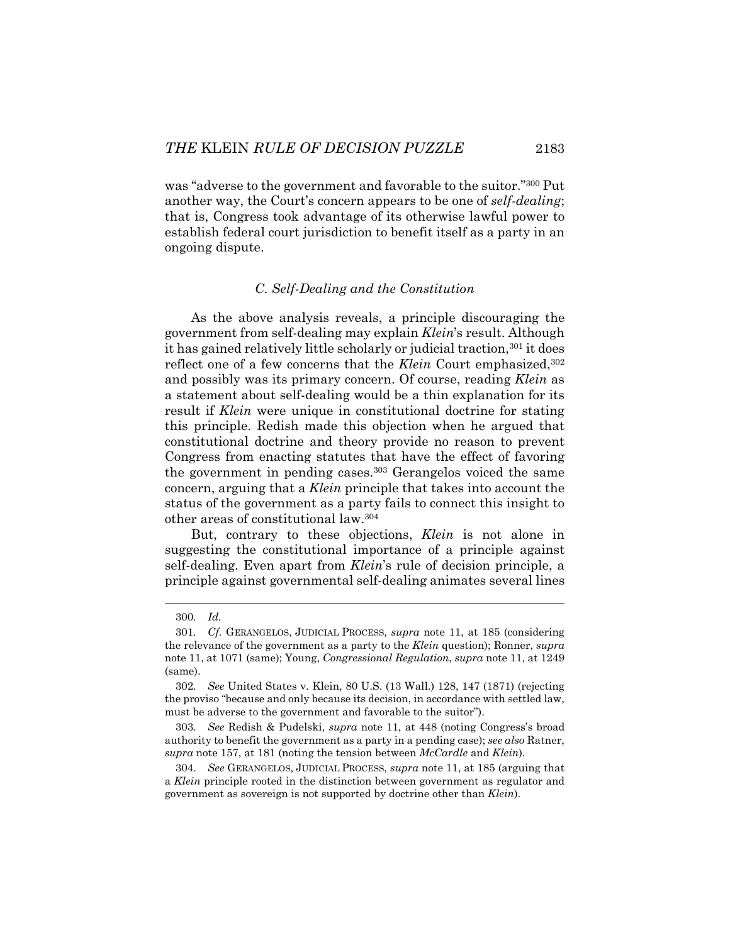was "adverse to the government and favorable to the suitor."300 Put another way, the Court's concern appears to be one of *self-dealing*; that is, Congress took advantage of its otherwise lawful power to establish federal court jurisdiction to benefit itself as a party in an ongoing dispute.

## *C. Self-Dealing and the Constitution*

As the above analysis reveals, a principle discouraging the government from self-dealing may explain *Klein*'s result. Although it has gained relatively little scholarly or judicial traction,301 it does reflect one of a few concerns that the *Klein* Court emphasized,<sup>302</sup> and possibly was its primary concern. Of course, reading *Klein* as a statement about self-dealing would be a thin explanation for its result if *Klein* were unique in constitutional doctrine for stating this principle. Redish made this objection when he argued that constitutional doctrine and theory provide no reason to prevent Congress from enacting statutes that have the effect of favoring the government in pending cases.303 Gerangelos voiced the same concern, arguing that a *Klein* principle that takes into account the status of the government as a party fails to connect this insight to other areas of constitutional law.304

But, contrary to these objections, *Klein* is not alone in suggesting the constitutional importance of a principle against self-dealing. Even apart from *Klein*'s rule of decision principle, a principle against governmental self-dealing animates several lines

l

303*. See* Redish & Pudelski, *supra* note 11, at 448 (noting Congress's broad authority to benefit the government as a party in a pending case); *see also* Ratner, *supra* note 157, at 181 (noting the tension between *McCardle* and *Klein*).

 304. *See* GERANGELOS, JUDICIAL PROCESS, *supra* note 11, at 185 (arguing that a *Klein* principle rooted in the distinction between government as regulator and government as sovereign is not supported by doctrine other than *Klein*).

<sup>300</sup>*. Id.*

<sup>301</sup>*. Cf.* GERANGELOS, JUDICIAL PROCESS, *supra* note 11, at 185 (considering the relevance of the government as a party to the *Klein* question); Ronner, *supra*  note 11, at 1071 (same); Young, *Congressional Regulation*, *supra* note 11, at 1249 (same).

<sup>302</sup>*. See* United States v. Klein, 80 U.S. (13 Wall.) 128, 147 (1871) (rejecting the proviso "because and only because its decision, in accordance with settled law, must be adverse to the government and favorable to the suitor").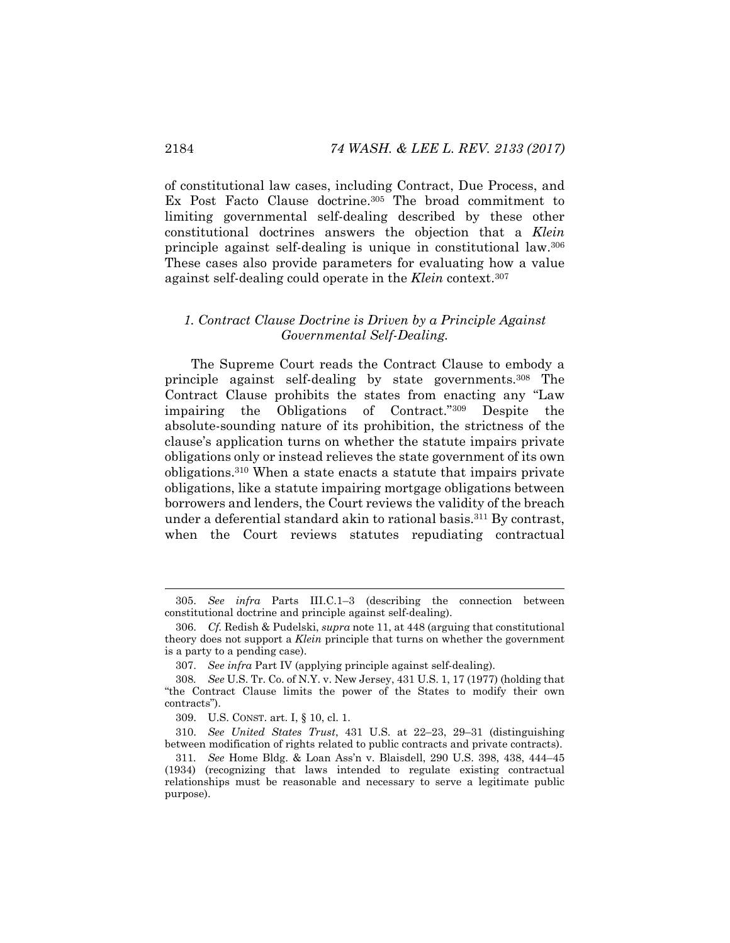of constitutional law cases, including Contract, Due Process, and Ex Post Facto Clause doctrine.305 The broad commitment to limiting governmental self-dealing described by these other constitutional doctrines answers the objection that a *Klein* principle against self-dealing is unique in constitutional law.306 These cases also provide parameters for evaluating how a value against self-dealing could operate in the *Klein* context.307

## *1. Contract Clause Doctrine is Driven by a Principle Against Governmental Self-Dealing.*

The Supreme Court reads the Contract Clause to embody a principle against self-dealing by state governments.308 The Contract Clause prohibits the states from enacting any "Law impairing the Obligations of Contract."309 Despite the absolute-sounding nature of its prohibition, the strictness of the clause's application turns on whether the statute impairs private obligations only or instead relieves the state government of its own obligations.310 When a state enacts a statute that impairs private obligations, like a statute impairing mortgage obligations between borrowers and lenders, the Court reviews the validity of the breach under a deferential standard akin to rational basis.311 By contrast, when the Court reviews statutes repudiating contractual

 <sup>305.</sup> *See infra* Parts III.C.1–3 (describing the connection between constitutional doctrine and principle against self-dealing).

 <sup>306.</sup> *Cf.* Redish & Pudelski, *supra* note 11, at 448 (arguing that constitutional theory does not support a *Klein* principle that turns on whether the government is a party to a pending case).

 <sup>307.</sup> *See infra* Part IV (applying principle against self-dealing).

<sup>308</sup>*. See* U.S. Tr. Co. of N.Y. v. New Jersey, 431 U.S. 1, 17 (1977) (holding that "the Contract Clause limits the power of the States to modify their own contracts").

 <sup>309.</sup> U.S. CONST. art. I, § 10, cl. 1.

 <sup>310.</sup> *See United States Trust*, 431 U.S. at 22–23, 29–31 (distinguishing between modification of rights related to public contracts and private contracts).

<sup>311</sup>*. See* Home Bldg. & Loan Ass'n v. Blaisdell, 290 U.S. 398, 438, 444–45 (1934) (recognizing that laws intended to regulate existing contractual relationships must be reasonable and necessary to serve a legitimate public purpose).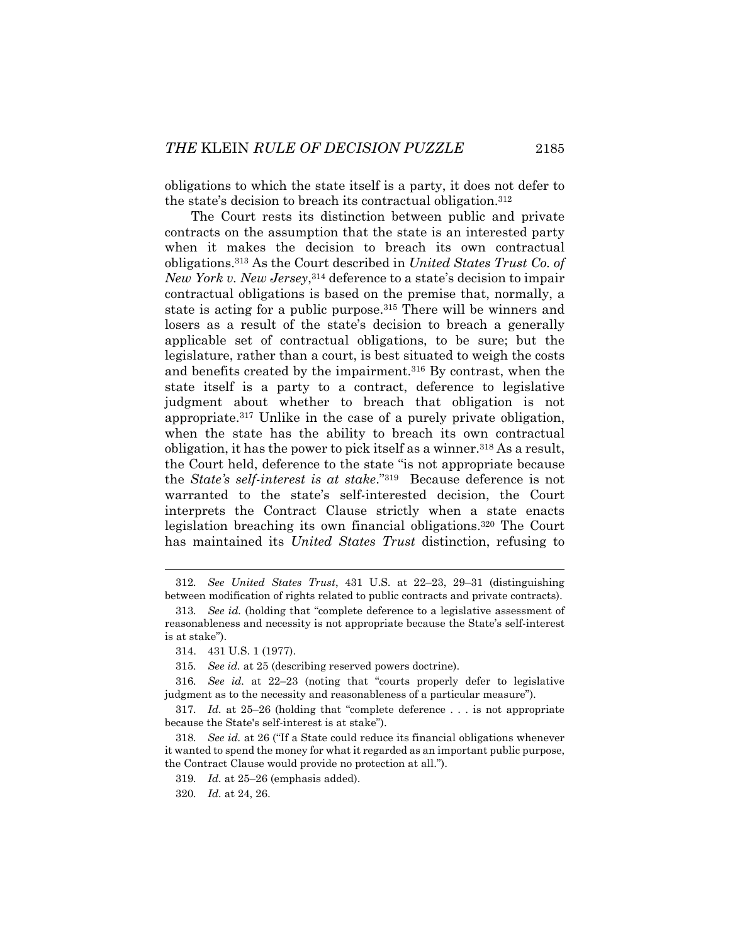obligations to which the state itself is a party, it does not defer to the state's decision to breach its contractual obligation.312

The Court rests its distinction between public and private contracts on the assumption that the state is an interested party when it makes the decision to breach its own contractual obligations.313 As the Court described in *United States Trust Co. of New York v. New Jersey*,314 deference to a state's decision to impair contractual obligations is based on the premise that, normally, a state is acting for a public purpose.<sup>315</sup> There will be winners and losers as a result of the state's decision to breach a generally applicable set of contractual obligations, to be sure; but the legislature, rather than a court, is best situated to weigh the costs and benefits created by the impairment.316 By contrast, when the state itself is a party to a contract, deference to legislative judgment about whether to breach that obligation is not appropriate.317 Unlike in the case of a purely private obligation, when the state has the ability to breach its own contractual obligation, it has the power to pick itself as a winner.<sup>318</sup> As a result, the Court held, deference to the state "is not appropriate because the *State's self-interest is at stake*."319 Because deference is not warranted to the state's self-interested decision, the Court interprets the Contract Clause strictly when a state enacts legislation breaching its own financial obligations.320 The Court has maintained its *United States Trust* distinction, refusing to

l

319*. Id.* at 25–26 (emphasis added).

320*. Id.* at 24, 26.

<sup>312</sup>*. See United States Trust*, 431 U.S. at 22–23, 29–31 (distinguishing between modification of rights related to public contracts and private contracts).

<sup>313</sup>*. See id.* (holding that "complete deference to a legislative assessment of reasonableness and necessity is not appropriate because the State's self-interest is at stake").

 <sup>314. 431</sup> U.S. 1 (1977).

<sup>315</sup>*. See id.* at 25 (describing reserved powers doctrine).

<sup>316</sup>*. See id.* at 22–23 (noting that "courts properly defer to legislative judgment as to the necessity and reasonableness of a particular measure").

<sup>317</sup>*. Id.* at 25–26 (holding that "complete deference . . . is not appropriate because the State's self-interest is at stake").

<sup>318</sup>*. See id.* at 26 ("If a State could reduce its financial obligations whenever it wanted to spend the money for what it regarded as an important public purpose, the Contract Clause would provide no protection at all.").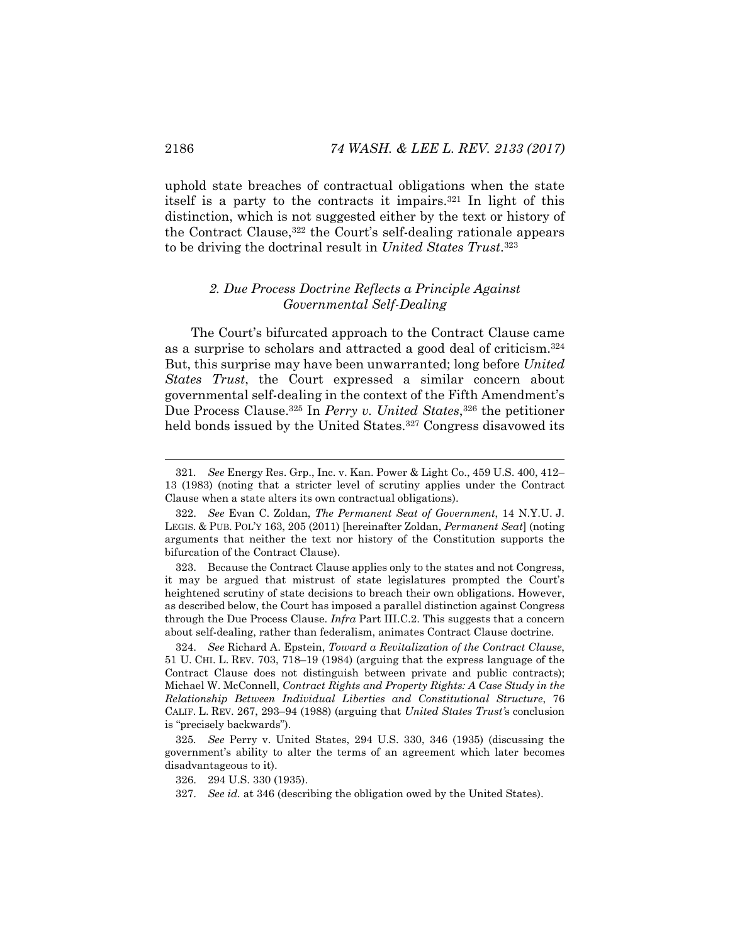uphold state breaches of contractual obligations when the state itself is a party to the contracts it impairs.321 In light of this distinction, which is not suggested either by the text or history of the Contract Clause,322 the Court's self-dealing rationale appears to be driving the doctrinal result in *United States Trust*.323

## *2. Due Process Doctrine Reflects a Principle Against Governmental Self-Dealing*

The Court's bifurcated approach to the Contract Clause came as a surprise to scholars and attracted a good deal of criticism.324 But, this surprise may have been unwarranted; long before *United States Trust*, the Court expressed a similar concern about governmental self-dealing in the context of the Fifth Amendment's Due Process Clause.325 In *Perry v. United States*,326 the petitioner held bonds issued by the United States.<sup>327</sup> Congress disavowed its

326. 294 U.S. 330 (1935).

<sup>321</sup>*. See* Energy Res. Grp., Inc. v. Kan. Power & Light Co., 459 U.S. 400, 412– 13 (1983) (noting that a stricter level of scrutiny applies under the Contract Clause when a state alters its own contractual obligations).

 <sup>322.</sup> *See* Evan C. Zoldan, *The Permanent Seat of Government*, 14 N.Y.U. J. LEGIS. & PUB. POL'Y 163, 205 (2011) [hereinafter Zoldan, *Permanent Seat*] (noting arguments that neither the text nor history of the Constitution supports the bifurcation of the Contract Clause).

 <sup>323.</sup> Because the Contract Clause applies only to the states and not Congress, it may be argued that mistrust of state legislatures prompted the Court's heightened scrutiny of state decisions to breach their own obligations. However, as described below, the Court has imposed a parallel distinction against Congress through the Due Process Clause. *Infra* Part III.C.2. This suggests that a concern about self-dealing, rather than federalism, animates Contract Clause doctrine.

 <sup>324.</sup> *See* Richard A. Epstein, *Toward a Revitalization of the Contract Clause*, 51 U. CHI. L. REV. 703, 718–19 (1984) (arguing that the express language of the Contract Clause does not distinguish between private and public contracts); Michael W. McConnell, *Contract Rights and Property Rights: A Case Study in the Relationship Between Individual Liberties and Constitutional Structure*, 76 CALIF. L. REV. 267, 293–94 (1988) (arguing that *United States Trust'*s conclusion is "precisely backwards").

<sup>325</sup>*. See* Perry v. United States, 294 U.S. 330, 346 (1935) (discussing the government's ability to alter the terms of an agreement which later becomes disadvantageous to it).

 <sup>327.</sup> *See id.* at 346 (describing the obligation owed by the United States).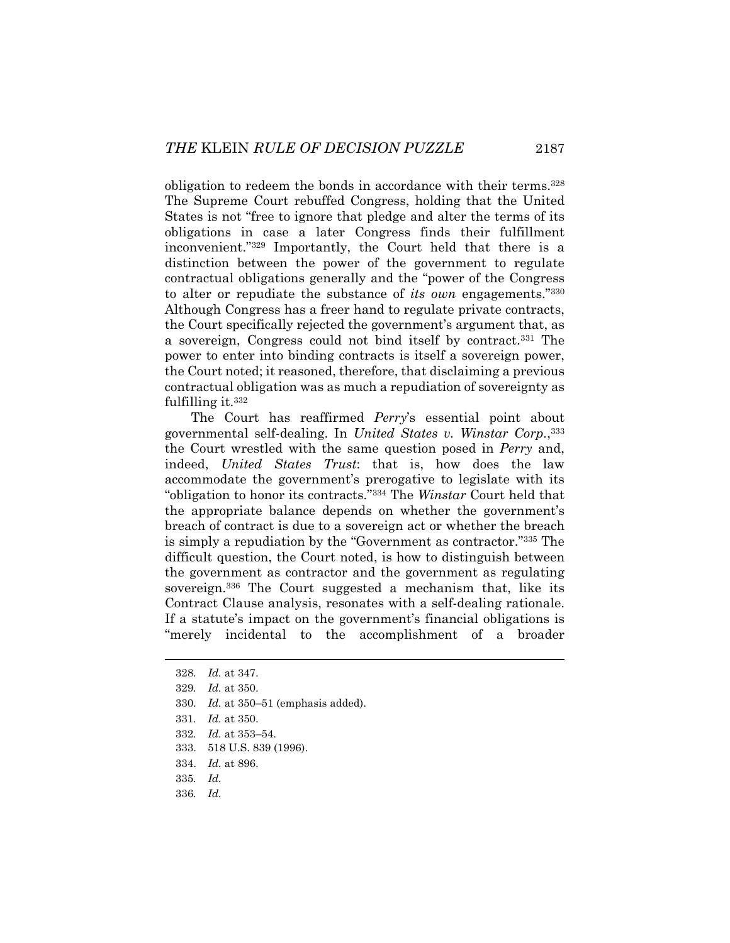obligation to redeem the bonds in accordance with their terms.328 The Supreme Court rebuffed Congress, holding that the United States is not "free to ignore that pledge and alter the terms of its obligations in case a later Congress finds their fulfillment inconvenient."329 Importantly, the Court held that there is a distinction between the power of the government to regulate contractual obligations generally and the "power of the Congress to alter or repudiate the substance of *its own* engagements."330 Although Congress has a freer hand to regulate private contracts, the Court specifically rejected the government's argument that, as a sovereign, Congress could not bind itself by contract.331 The power to enter into binding contracts is itself a sovereign power, the Court noted; it reasoned, therefore, that disclaiming a previous contractual obligation was as much a repudiation of sovereignty as fulfilling it.332

The Court has reaffirmed *Perry*'s essential point about governmental self-dealing. In *United States v. Winstar Corp.*,333 the Court wrestled with the same question posed in *Perry* and, indeed, *United States Trust*: that is, how does the law accommodate the government's prerogative to legislate with its "obligation to honor its contracts."334 The *Winstar* Court held that the appropriate balance depends on whether the government's breach of contract is due to a sovereign act or whether the breach is simply a repudiation by the "Government as contractor."335 The difficult question, the Court noted, is how to distinguish between the government as contractor and the government as regulating sovereign.<sup>336</sup> The Court suggested a mechanism that, like its Contract Clause analysis, resonates with a self-dealing rationale. If a statute's impact on the government's financial obligations is "merely incidental to the accomplishment of a broader

<sup>328</sup>*. Id.* at 347.

<sup>329</sup>*. Id.* at 350.

<sup>330</sup>*. Id.* at 350–51 (emphasis added).

<sup>331</sup>*. Id.* at 350.

<sup>332</sup>*. Id.* at 353–54.

 <sup>333. 518</sup> U.S. 839 (1996).

 <sup>334.</sup> *Id.* at 896.

<sup>335</sup>*. Id.* 

<sup>336</sup>*. Id.*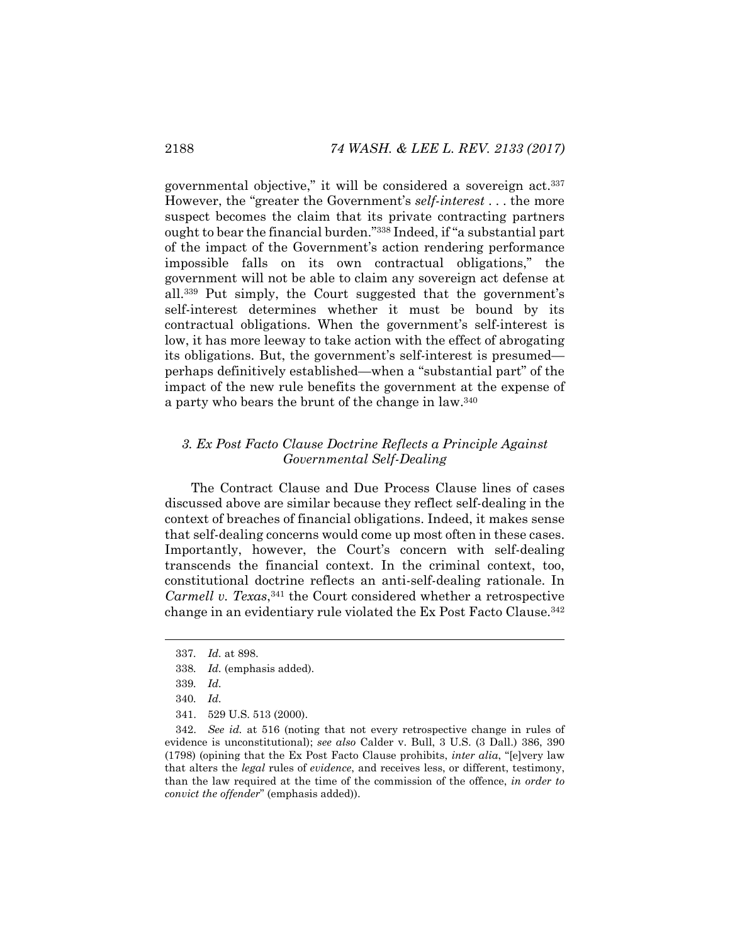governmental objective," it will be considered a sovereign act.337 However, the "greater the Government's *self-interest* . . . the more suspect becomes the claim that its private contracting partners ought to bear the financial burden."338 Indeed, if "a substantial part of the impact of the Government's action rendering performance impossible falls on its own contractual obligations," the government will not be able to claim any sovereign act defense at all.339 Put simply, the Court suggested that the government's self-interest determines whether it must be bound by its contractual obligations. When the government's self-interest is low, it has more leeway to take action with the effect of abrogating its obligations. But, the government's self-interest is presumed perhaps definitively established—when a "substantial part" of the impact of the new rule benefits the government at the expense of a party who bears the brunt of the change in law.340

# *3. Ex Post Facto Clause Doctrine Reflects a Principle Against Governmental Self-Dealing*

The Contract Clause and Due Process Clause lines of cases discussed above are similar because they reflect self-dealing in the context of breaches of financial obligations. Indeed, it makes sense that self-dealing concerns would come up most often in these cases. Importantly, however, the Court's concern with self-dealing transcends the financial context. In the criminal context, too, constitutional doctrine reflects an anti-self-dealing rationale. In *Carmell v. Texas*,<sup>341</sup> the Court considered whether a retrospective change in an evidentiary rule violated the Ex Post Facto Clause.342

<sup>337</sup>*. Id.* at 898.

<sup>338</sup>*. Id.* (emphasis added).

<sup>339</sup>*. Id.*

<sup>340</sup>*. Id.*

 <sup>341. 529</sup> U.S. 513 (2000).

 <sup>342.</sup> *See id.* at 516 (noting that not every retrospective change in rules of evidence is unconstitutional); *see also* Calder v. Bull, 3 U.S. (3 Dall.) 386, 390 (1798) (opining that the Ex Post Facto Clause prohibits, *inter alia*, "[e]very law that alters the *legal* rules of *evidence*, and receives less, or different, testimony, than the law required at the time of the commission of the offence, *in order to convict the offender*" (emphasis added)).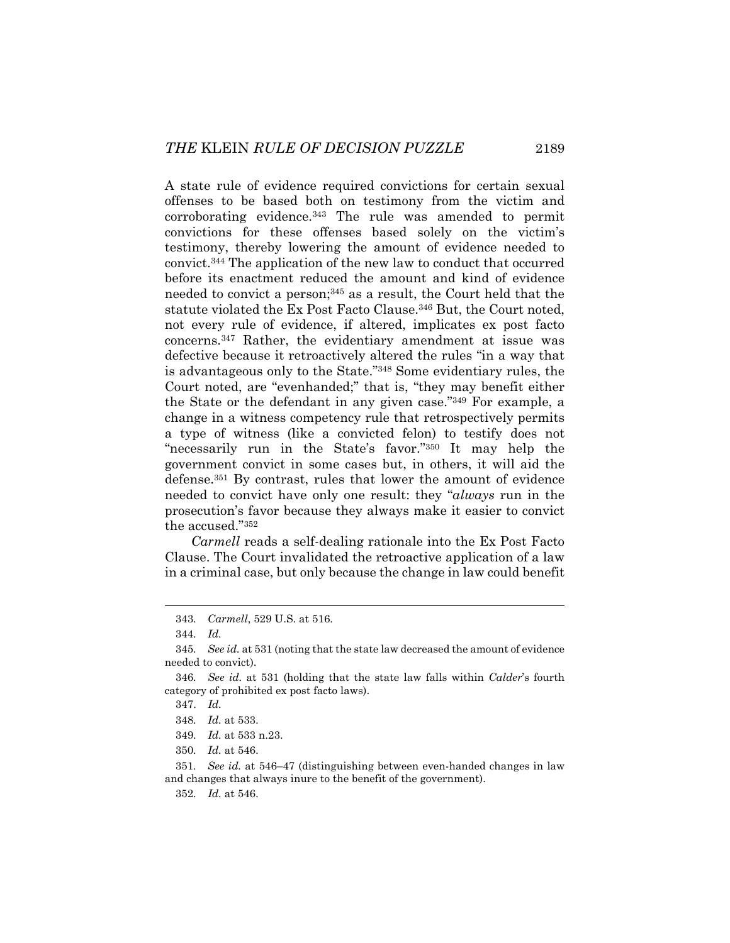A state rule of evidence required convictions for certain sexual offenses to be based both on testimony from the victim and corroborating evidence.343 The rule was amended to permit convictions for these offenses based solely on the victim's testimony, thereby lowering the amount of evidence needed to convict.344 The application of the new law to conduct that occurred before its enactment reduced the amount and kind of evidence needed to convict a person;345 as a result, the Court held that the statute violated the Ex Post Facto Clause.346 But, the Court noted, not every rule of evidence, if altered, implicates ex post facto concerns.347 Rather, the evidentiary amendment at issue was defective because it retroactively altered the rules "in a way that is advantageous only to the State."348 Some evidentiary rules, the Court noted, are "evenhanded;" that is, "they may benefit either the State or the defendant in any given case."349 For example, a change in a witness competency rule that retrospectively permits a type of witness (like a convicted felon) to testify does not "necessarily run in the State's favor."350 It may help the government convict in some cases but, in others, it will aid the defense.351 By contrast, rules that lower the amount of evidence needed to convict have only one result: they "*always* run in the prosecution's favor because they always make it easier to convict the accused."352

*Carmell* reads a self-dealing rationale into the Ex Post Facto Clause. The Court invalidated the retroactive application of a law in a criminal case, but only because the change in law could benefit

<sup>343</sup>*. Carmell*, 529 U.S. at 516.

<sup>344</sup>*. Id.*

<sup>345</sup>*. See id.* at 531 (noting that the state law decreased the amount of evidence needed to convict).

<sup>346</sup>*. See id.* at 531 (holding that the state law falls within *Calder*'s fourth category of prohibited ex post facto laws).

 <sup>347.</sup> *Id.*

<sup>348</sup>*. Id.* at 533.

<sup>349</sup>*. Id.* at 533 n.23.

<sup>350</sup>*. Id.* at 546.

<sup>351</sup>*. See id.* at 546–47 (distinguishing between even-handed changes in law and changes that always inure to the benefit of the government).

<sup>352</sup>*. Id.* at 546.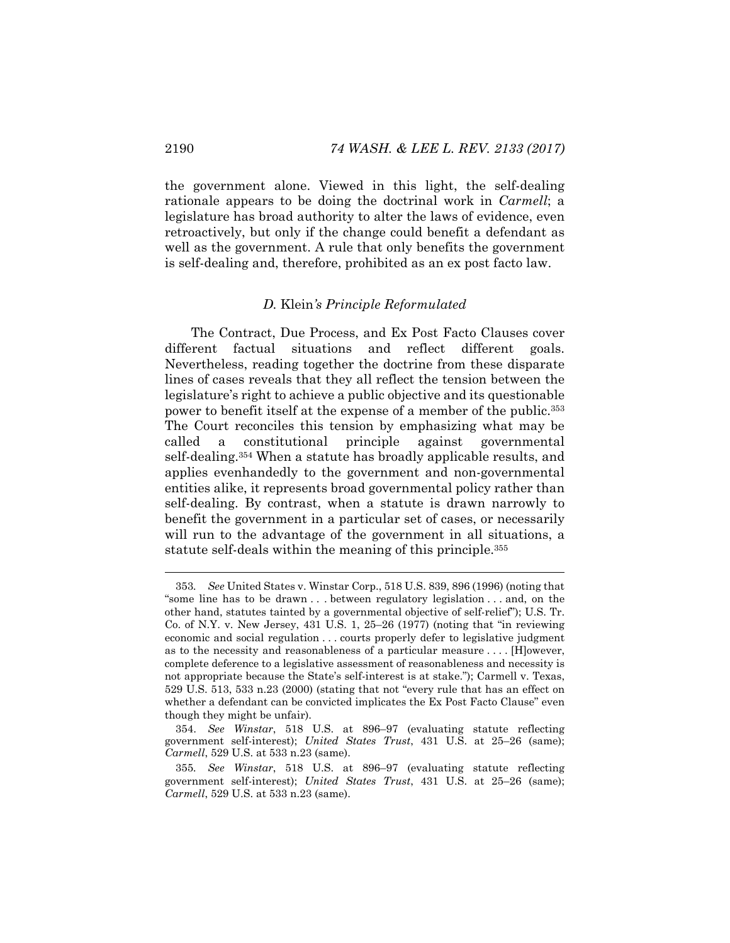the government alone. Viewed in this light, the self-dealing rationale appears to be doing the doctrinal work in *Carmell*; a legislature has broad authority to alter the laws of evidence, even retroactively, but only if the change could benefit a defendant as well as the government. A rule that only benefits the government is self-dealing and, therefore, prohibited as an ex post facto law.

### *D.* Klein*'s Principle Reformulated*

The Contract, Due Process, and Ex Post Facto Clauses cover different factual situations and reflect different goals. Nevertheless, reading together the doctrine from these disparate lines of cases reveals that they all reflect the tension between the legislature's right to achieve a public objective and its questionable power to benefit itself at the expense of a member of the public.353 The Court reconciles this tension by emphasizing what may be called a constitutional principle against governmental self-dealing.354 When a statute has broadly applicable results, and applies evenhandedly to the government and non-governmental entities alike, it represents broad governmental policy rather than self-dealing. By contrast, when a statute is drawn narrowly to benefit the government in a particular set of cases, or necessarily will run to the advantage of the government in all situations, a statute self-deals within the meaning of this principle.355

<sup>353</sup>*. See* United States v. Winstar Corp., 518 U.S. 839, 896 (1996) (noting that "some line has to be drawn . . . between regulatory legislation . . . and, on the other hand, statutes tainted by a governmental objective of self-relief"); U.S. Tr. Co. of N.Y. v. New Jersey, 431 U.S. 1, 25–26 (1977) (noting that "in reviewing economic and social regulation . . . courts properly defer to legislative judgment as to the necessity and reasonableness of a particular measure . . . . [H]owever, complete deference to a legislative assessment of reasonableness and necessity is not appropriate because the State's self-interest is at stake."); Carmell v. Texas, 529 U.S. 513, 533 n.23 (2000) (stating that not "every rule that has an effect on whether a defendant can be convicted implicates the Ex Post Facto Clause" even though they might be unfair).

 <sup>354.</sup> *See Winstar*, 518 U.S. at 896–97 (evaluating statute reflecting government self-interest); *United States Trust*, 431 U.S. at 25–26 (same); *Carmell*, 529 U.S. at 533 n.23 (same).

<sup>355</sup>*. See Winstar*, 518 U.S. at 896–97 (evaluating statute reflecting government self-interest); *United States Trust*, 431 U.S. at 25–26 (same); *Carmell*, 529 U.S. at 533 n.23 (same).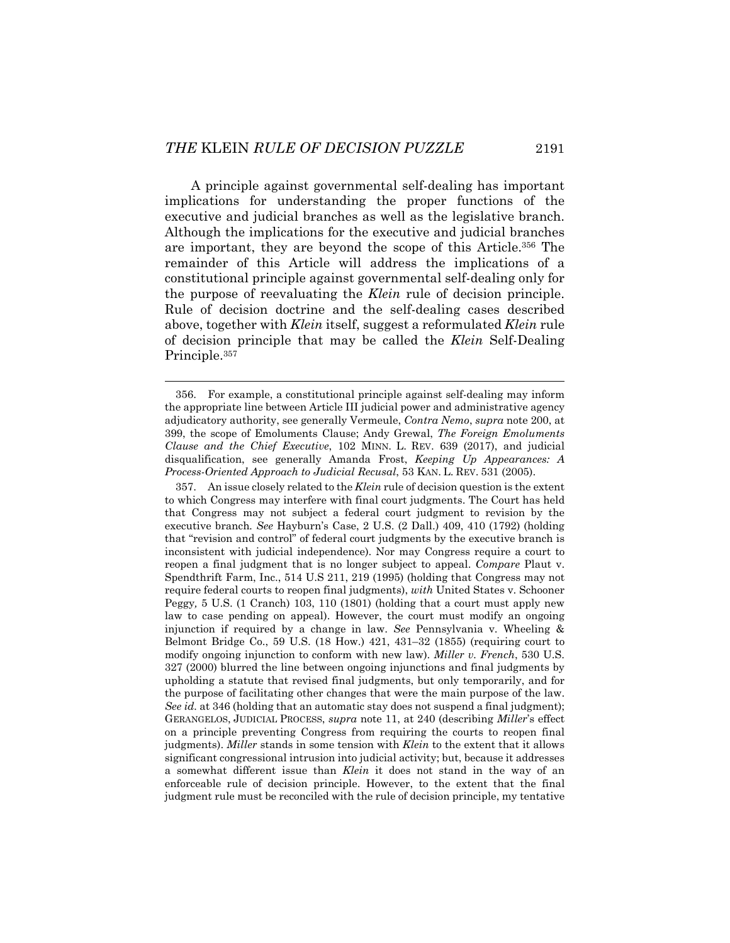l

A principle against governmental self-dealing has important implications for understanding the proper functions of the executive and judicial branches as well as the legislative branch. Although the implications for the executive and judicial branches are important, they are beyond the scope of this Article.356 The remainder of this Article will address the implications of a constitutional principle against governmental self-dealing only for the purpose of reevaluating the *Klein* rule of decision principle. Rule of decision doctrine and the self-dealing cases described above, together with *Klein* itself, suggest a reformulated *Klein* rule of decision principle that may be called the *Klein* Self-Dealing Principle.357

 <sup>356.</sup> For example, a constitutional principle against self-dealing may inform the appropriate line between Article III judicial power and administrative agency adjudicatory authority, see generally Vermeule, *Contra Nemo*, *supra* note 200, at 399, the scope of Emoluments Clause; Andy Grewal, *The Foreign Emoluments Clause and the Chief Executive*, 102 MINN. L. REV. 639 (2017), and judicial disqualification, see generally Amanda Frost, *Keeping Up Appearances: A Process-Oriented Approach to Judicial Recusal*, 53 KAN. L. REV. 531 (2005).

 <sup>357.</sup> An issue closely related to the *Klein* rule of decision question is the extent to which Congress may interfere with final court judgments. The Court has held that Congress may not subject a federal court judgment to revision by the executive branch*. See* Hayburn's Case, 2 U.S. (2 Dall.) 409, 410 (1792) (holding that "revision and control" of federal court judgments by the executive branch is inconsistent with judicial independence). Nor may Congress require a court to reopen a final judgment that is no longer subject to appeal. *Compare* Plaut v. Spendthrift Farm, Inc., 514 U.S 211, 219 (1995) (holding that Congress may not require federal courts to reopen final judgments), *with* United States v. Schooner Peggy*,* 5 U.S. (1 Cranch) 103, 110 (1801) (holding that a court must apply new law to case pending on appeal). However, the court must modify an ongoing injunction if required by a change in law. *See* Pennsylvania v. Wheeling & Belmont Bridge Co., 59 U.S. (18 How.) 421, 431–32 (1855) (requiring court to modify ongoing injunction to conform with new law). *Miller v. French*, 530 U.S. 327 (2000) blurred the line between ongoing injunctions and final judgments by upholding a statute that revised final judgments, but only temporarily, and for the purpose of facilitating other changes that were the main purpose of the law. *See id.* at 346 (holding that an automatic stay does not suspend a final judgment); GERANGELOS, JUDICIAL PROCESS, *supra* note 11, at 240 (describing *Miller*'s effect on a principle preventing Congress from requiring the courts to reopen final judgments). *Miller* stands in some tension with *Klein* to the extent that it allows significant congressional intrusion into judicial activity; but, because it addresses a somewhat different issue than *Klein* it does not stand in the way of an enforceable rule of decision principle. However, to the extent that the final judgment rule must be reconciled with the rule of decision principle, my tentative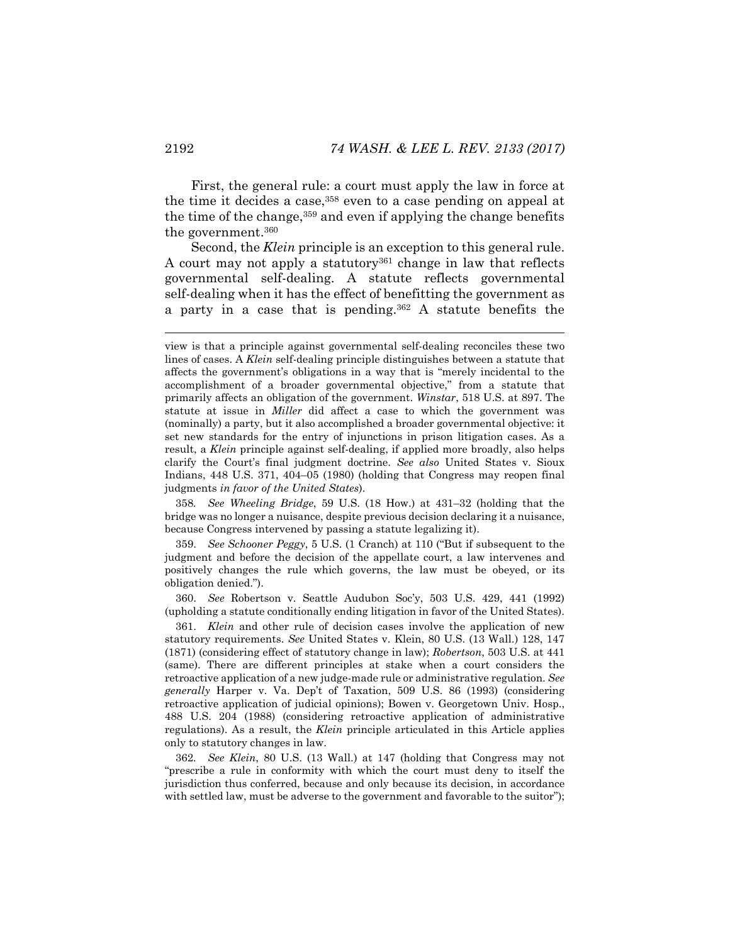First, the general rule: a court must apply the law in force at the time it decides a case,358 even to a case pending on appeal at the time of the change,  $359$  and even if applying the change benefits the government.360

Second, the *Klein* principle is an exception to this general rule. A court may not apply a statutory<sup>361</sup> change in law that reflects governmental self-dealing. A statute reflects governmental self-dealing when it has the effect of benefitting the government as a party in a case that is pending.362 A statute benefits the

358*. See Wheeling Bridge*, 59 U.S. (18 How.) at 431–32 (holding that the bridge was no longer a nuisance, despite previous decision declaring it a nuisance, because Congress intervened by passing a statute legalizing it).

 359. *See Schooner Peggy*, 5 U.S. (1 Cranch) at 110 ("But if subsequent to the judgment and before the decision of the appellate court, a law intervenes and positively changes the rule which governs, the law must be obeyed, or its obligation denied.").

 360. *See* Robertson v. Seattle Audubon Soc'y, 503 U.S. 429, 441 (1992) (upholding a statute conditionally ending litigation in favor of the United States).

 361. *Klein* and other rule of decision cases involve the application of new statutory requirements. *See* United States v. Klein, 80 U.S. (13 Wall.) 128, 147 (1871) (considering effect of statutory change in law); *Robertson*, 503 U.S. at 441 (same). There are different principles at stake when a court considers the retroactive application of a new judge-made rule or administrative regulation. *See generally* Harper v. Va. Dep't of Taxation, 509 U.S. 86 (1993) (considering retroactive application of judicial opinions); Bowen v. Georgetown Univ. Hosp., 488 U.S. 204 (1988) (considering retroactive application of administrative regulations). As a result, the *Klein* principle articulated in this Article applies only to statutory changes in law.

362*. See Klein*, 80 U.S. (13 Wall.) at 147 (holding that Congress may not "prescribe a rule in conformity with which the court must deny to itself the jurisdiction thus conferred, because and only because its decision, in accordance with settled law, must be adverse to the government and favorable to the suitor");

view is that a principle against governmental self-dealing reconciles these two lines of cases. A *Klein* self-dealing principle distinguishes between a statute that affects the government's obligations in a way that is "merely incidental to the accomplishment of a broader governmental objective," from a statute that primarily affects an obligation of the government. *Winstar*, 518 U.S. at 897. The statute at issue in *Miller* did affect a case to which the government was (nominally) a party, but it also accomplished a broader governmental objective: it set new standards for the entry of injunctions in prison litigation cases. As a result, a *Klein* principle against self-dealing, if applied more broadly, also helps clarify the Court's final judgment doctrine. *See also* United States v. Sioux Indians, 448 U.S. 371, 404–05 (1980) (holding that Congress may reopen final judgments *in favor of the United States*).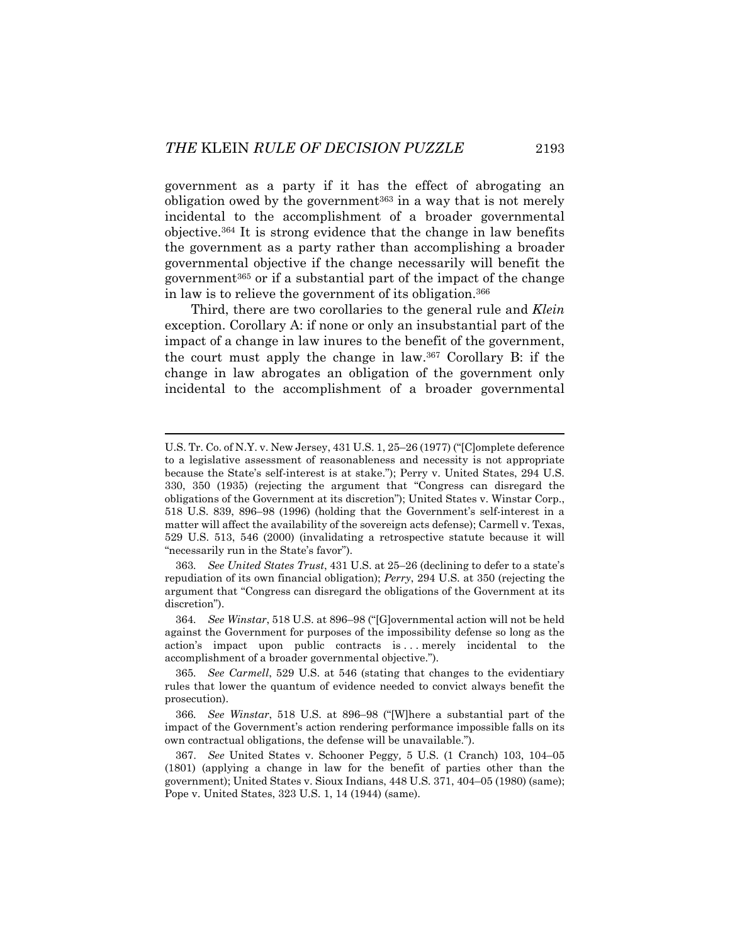government as a party if it has the effect of abrogating an obligation owed by the government<sup>363</sup> in a way that is not merely incidental to the accomplishment of a broader governmental objective.364 It is strong evidence that the change in law benefits the government as a party rather than accomplishing a broader governmental objective if the change necessarily will benefit the government365 or if a substantial part of the impact of the change in law is to relieve the government of its obligation.366

Third, there are two corollaries to the general rule and *Klein* exception. Corollary A: if none or only an insubstantial part of the impact of a change in law inures to the benefit of the government, the court must apply the change in law.367 Corollary B: if the change in law abrogates an obligation of the government only incidental to the accomplishment of a broader governmental

U.S. Tr. Co. of N.Y. v. New Jersey, 431 U.S. 1, 25–26 (1977) ("[C]omplete deference to a legislative assessment of reasonableness and necessity is not appropriate because the State's self-interest is at stake."); Perry v. United States, 294 U.S. 330, 350 (1935) (rejecting the argument that "Congress can disregard the obligations of the Government at its discretion"); United States v. Winstar Corp., 518 U.S. 839, 896–98 (1996) (holding that the Government's self-interest in a matter will affect the availability of the sovereign acts defense); Carmell v. Texas, 529 U.S. 513, 546 (2000) (invalidating a retrospective statute because it will "necessarily run in the State's favor").

<sup>363</sup>*. See United States Trust*, 431 U.S. at 25–26 (declining to defer to a state's repudiation of its own financial obligation); *Perry*, 294 U.S. at 350 (rejecting the argument that "Congress can disregard the obligations of the Government at its discretion").

<sup>364</sup>*. See Winstar*, 518 U.S. at 896–98 ("[G]overnmental action will not be held against the Government for purposes of the impossibility defense so long as the action's impact upon public contracts is . . . merely incidental to the accomplishment of a broader governmental objective.").

<sup>365</sup>*. See Carmell*, 529 U.S. at 546 (stating that changes to the evidentiary rules that lower the quantum of evidence needed to convict always benefit the prosecution).

<sup>366</sup>*. See Winstar*, 518 U.S. at 896–98 ("[W]here a substantial part of the impact of the Government's action rendering performance impossible falls on its own contractual obligations, the defense will be unavailable.").

 <sup>367.</sup> *See* United States v. Schooner Peggy*,* 5 U.S. (1 Cranch) 103, 104–05 (1801) (applying a change in law for the benefit of parties other than the government); United States v. Sioux Indians, 448 U.S. 371, 404–05 (1980) (same); Pope v. United States, 323 U.S. 1, 14 (1944) (same).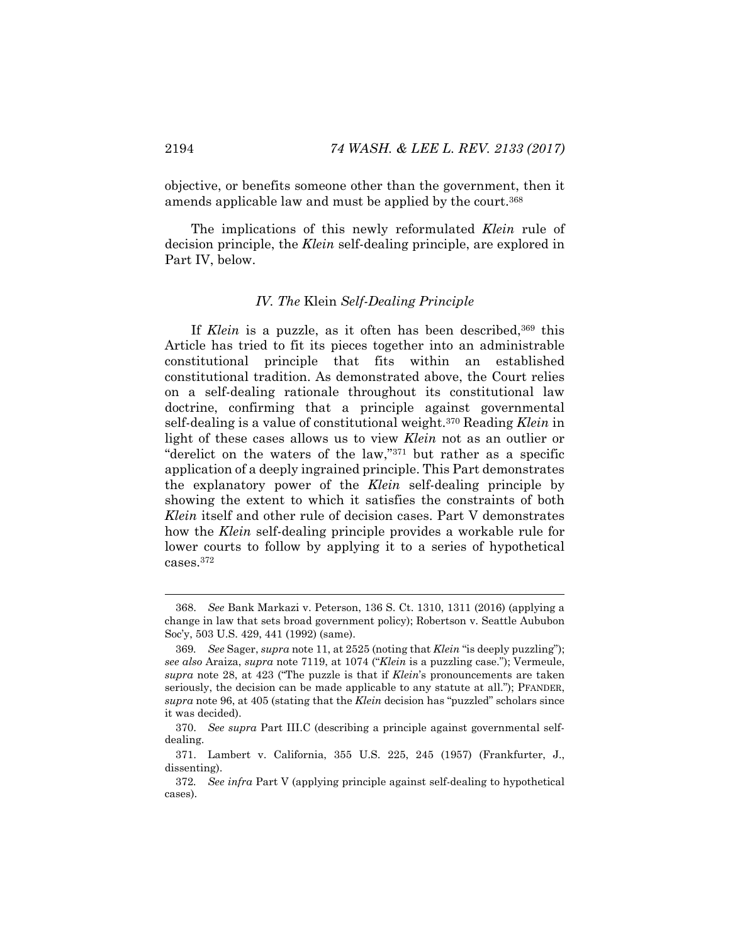objective, or benefits someone other than the government, then it amends applicable law and must be applied by the court.<sup>368</sup>

The implications of this newly reformulated *Klein* rule of decision principle, the *Klein* self-dealing principle, are explored in Part IV, below.

### *IV. The* Klein *Self-Dealing Principle*

If *Klein* is a puzzle, as it often has been described,<sup>369</sup> this Article has tried to fit its pieces together into an administrable constitutional principle that fits within an established constitutional tradition. As demonstrated above, the Court relies on a self-dealing rationale throughout its constitutional law doctrine, confirming that a principle against governmental self-dealing is a value of constitutional weight.370 Reading *Klein* in light of these cases allows us to view *Klein* not as an outlier or "derelict on the waters of the law,"371 but rather as a specific application of a deeply ingrained principle. This Part demonstrates the explanatory power of the *Klein* self-dealing principle by showing the extent to which it satisfies the constraints of both *Klein* itself and other rule of decision cases. Part V demonstrates how the *Klein* self-dealing principle provides a workable rule for lower courts to follow by applying it to a series of hypothetical cases.372

 <sup>368.</sup> *See* Bank Markazi v. Peterson, 136 S. Ct. 1310, 1311 (2016) (applying a change in law that sets broad government policy); Robertson v. Seattle Aububon Soc'y, 503 U.S. 429, 441 (1992) (same).

<sup>369</sup>*. See* Sager, *supra* note 11, at 2525 (noting that *Klein* "is deeply puzzling"); *see also* Araiza, *supra* note 7119, at 1074 ("*Klein* is a puzzling case."); Vermeule, *supra* note 28, at 423 ("The puzzle is that if *Klein*'s pronouncements are taken seriously, the decision can be made applicable to any statute at all."); PFANDER, *supra* note 96, at 405 (stating that the *Klein* decision has "puzzled" scholars since it was decided).

 <sup>370.</sup> *See supra* Part III.C (describing a principle against governmental selfdealing.

 <sup>371.</sup> Lambert v. California, 355 U.S. 225, 245 (1957) (Frankfurter, J., dissenting).

<sup>372</sup>*. See infra* Part V (applying principle against self-dealing to hypothetical cases).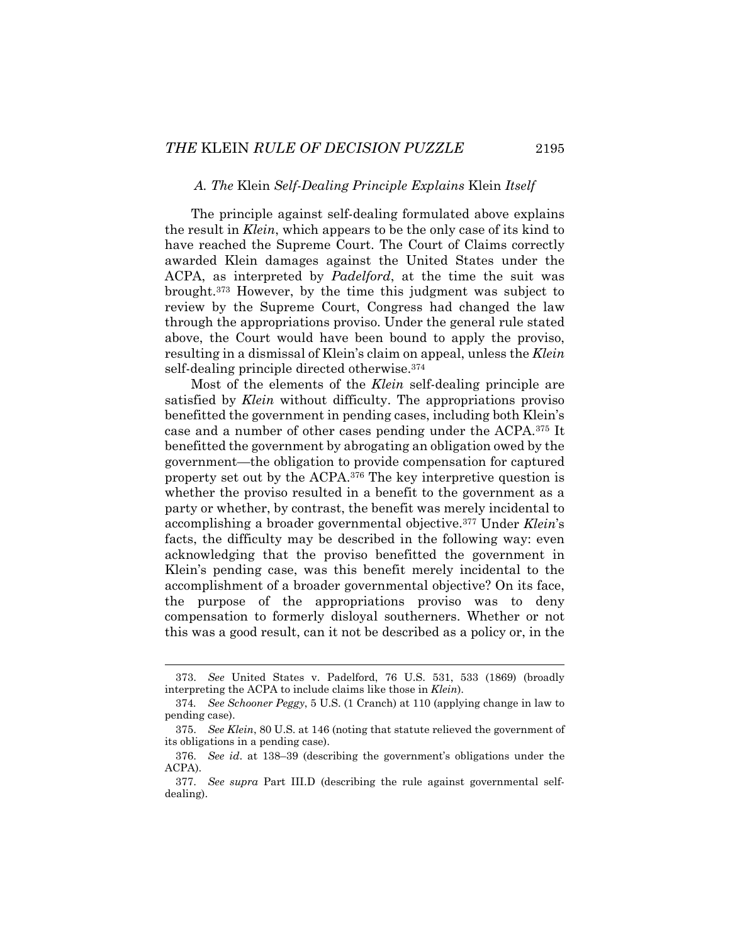#### *A. The* Klein *Self-Dealing Principle Explains* Klein *Itself*

The principle against self-dealing formulated above explains the result in *Klein*, which appears to be the only case of its kind to have reached the Supreme Court. The Court of Claims correctly awarded Klein damages against the United States under the ACPA, as interpreted by *Padelford*, at the time the suit was brought.373 However, by the time this judgment was subject to review by the Supreme Court, Congress had changed the law through the appropriations proviso. Under the general rule stated above, the Court would have been bound to apply the proviso, resulting in a dismissal of Klein's claim on appeal, unless the *Klein* self-dealing principle directed otherwise.374

Most of the elements of the *Klein* self-dealing principle are satisfied by *Klein* without difficulty. The appropriations proviso benefitted the government in pending cases, including both Klein's case and a number of other cases pending under the ACPA.375 It benefitted the government by abrogating an obligation owed by the government—the obligation to provide compensation for captured property set out by the ACPA.376 The key interpretive question is whether the proviso resulted in a benefit to the government as a party or whether, by contrast, the benefit was merely incidental to accomplishing a broader governmental objective.377 Under *Klein*'s facts, the difficulty may be described in the following way: even acknowledging that the proviso benefitted the government in Klein's pending case, was this benefit merely incidental to the accomplishment of a broader governmental objective? On its face, the purpose of the appropriations proviso was to deny compensation to formerly disloyal southerners. Whether or not this was a good result, can it not be described as a policy or, in the

 <sup>373.</sup> *See* United States v. Padelford, 76 U.S. 531, 533 (1869) (broadly interpreting the ACPA to include claims like those in *Klein*).

<sup>374</sup>*. See Schooner Peggy*, 5 U.S. (1 Cranch) at 110 (applying change in law to pending case).

 <sup>375.</sup> *See Klein*, 80 U.S. at 146 (noting that statute relieved the government of its obligations in a pending case).

 <sup>376.</sup> *See id*. at 138–39 (describing the government's obligations under the ACPA).

 <sup>377.</sup> *See supra* Part III.D (describing the rule against governmental selfdealing).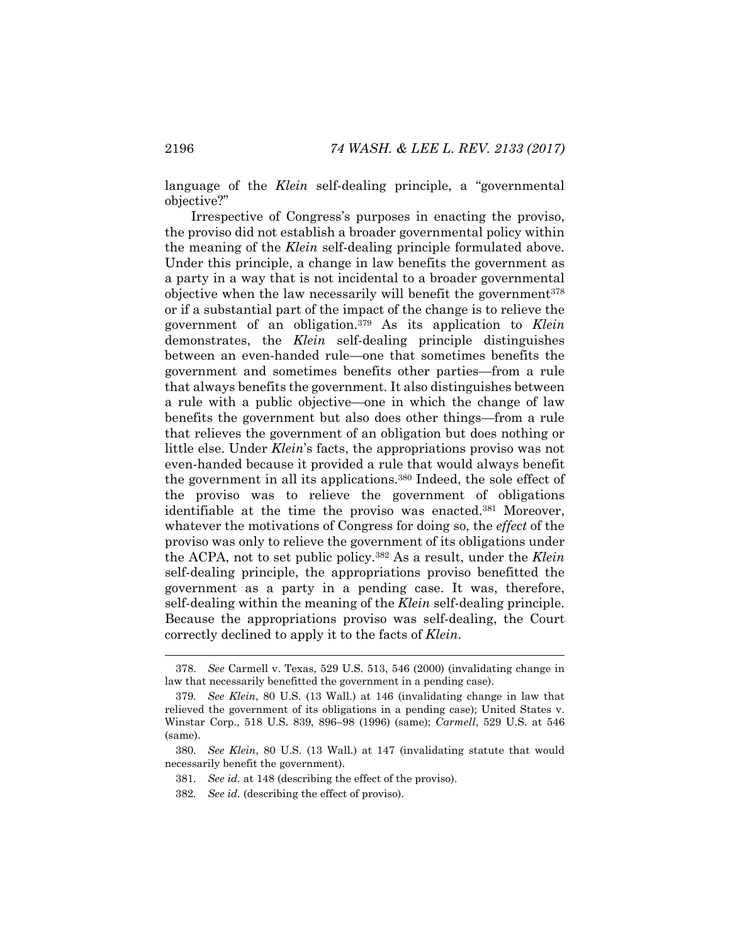language of the *Klein* self-dealing principle, a "governmental objective?"

Irrespective of Congress's purposes in enacting the proviso, the proviso did not establish a broader governmental policy within the meaning of the *Klein* self-dealing principle formulated above. Under this principle, a change in law benefits the government as a party in a way that is not incidental to a broader governmental objective when the law necessarily will benefit the government<sup>378</sup> or if a substantial part of the impact of the change is to relieve the government of an obligation.379 As its application to *Klein*  demonstrates, the *Klein* self-dealing principle distinguishes between an even-handed rule—one that sometimes benefits the government and sometimes benefits other parties—from a rule that always benefits the government. It also distinguishes between a rule with a public objective—one in which the change of law benefits the government but also does other things—from a rule that relieves the government of an obligation but does nothing or little else. Under *Klein*'s facts, the appropriations proviso was not even-handed because it provided a rule that would always benefit the government in all its applications.380 Indeed, the sole effect of the proviso was to relieve the government of obligations identifiable at the time the proviso was enacted.<sup>381</sup> Moreover, whatever the motivations of Congress for doing so, the *effect* of the proviso was only to relieve the government of its obligations under the ACPA, not to set public policy.382 As a result, under the *Klein* self-dealing principle, the appropriations proviso benefitted the government as a party in a pending case. It was, therefore, self-dealing within the meaning of the *Klein* self-dealing principle. Because the appropriations proviso was self-dealing, the Court correctly declined to apply it to the facts of *Klein*.

 <sup>378.</sup> *See* Carmell v. Texas, 529 U.S. 513, 546 (2000) (invalidating change in law that necessarily benefitted the government in a pending case).

<sup>379</sup>*. See Klein*, 80 U.S. (13 Wall.) at 146 (invalidating change in law that relieved the government of its obligations in a pending case); United States v. Winstar Corp., 518 U.S. 839, 896–98 (1996) (same); *Carmell*, 529 U.S. at 546 (same).

<sup>380</sup>*. See Klein*, 80 U.S. (13 Wall.) at 147 (invalidating statute that would necessarily benefit the government).

<sup>381</sup>*. See id.* at 148 (describing the effect of the proviso).

<sup>382</sup>*. See id.* (describing the effect of proviso).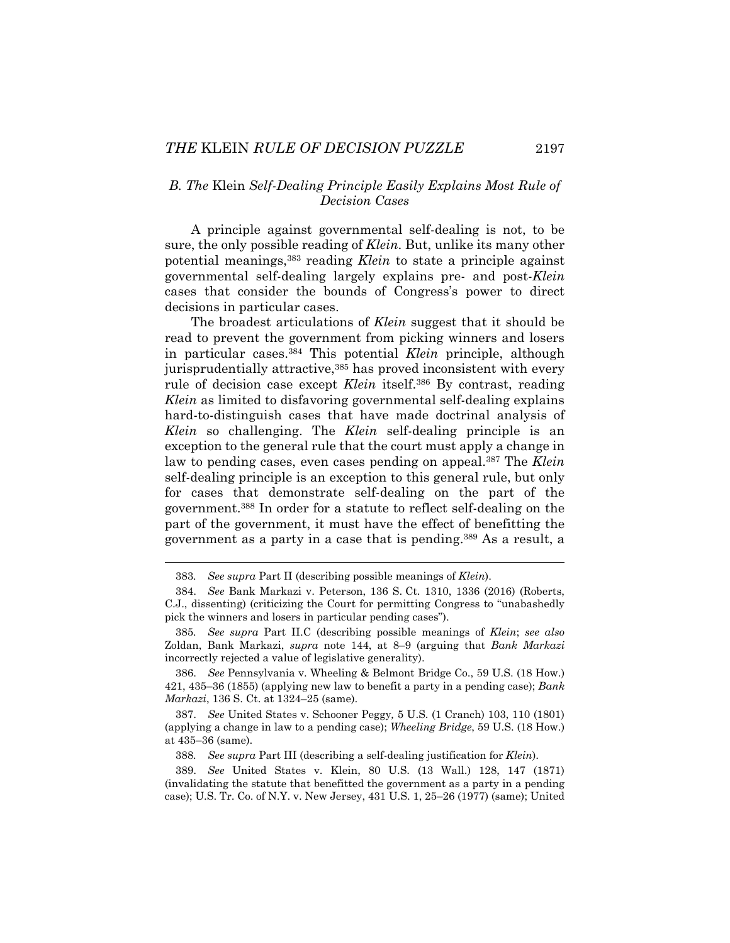## *B. The* Klein *Self-Dealing Principle Easily Explains Most Rule of Decision Cases*

A principle against governmental self-dealing is not, to be sure, the only possible reading of *Klein*. But, unlike its many other potential meanings,383 reading *Klein* to state a principle against governmental self-dealing largely explains pre- and post-*Klein* cases that consider the bounds of Congress's power to direct decisions in particular cases.

The broadest articulations of *Klein* suggest that it should be read to prevent the government from picking winners and losers in particular cases.384 This potential *Klein* principle, although jurisprudentially attractive,<sup>385</sup> has proved inconsistent with every rule of decision case except *Klein* itself.386 By contrast, reading *Klein* as limited to disfavoring governmental self-dealing explains hard-to-distinguish cases that have made doctrinal analysis of *Klein* so challenging. The *Klein* self-dealing principle is an exception to the general rule that the court must apply a change in law to pending cases, even cases pending on appeal.387 The *Klein* self-dealing principle is an exception to this general rule, but only for cases that demonstrate self-dealing on the part of the government.388 In order for a statute to reflect self-dealing on the part of the government, it must have the effect of benefitting the government as a party in a case that is pending.389 As a result, a

<sup>383</sup>*. See supra* Part II (describing possible meanings of *Klein*).

 <sup>384.</sup> *See* Bank Markazi v. Peterson, 136 S. Ct. 1310, 1336 (2016) (Roberts, C.J., dissenting) (criticizing the Court for permitting Congress to "unabashedly pick the winners and losers in particular pending cases").

<sup>385</sup>*. See supra* Part II.C (describing possible meanings of *Klein*; *see also* Zoldan, Bank Markazi, *supra* note 144, at 8–9 (arguing that *Bank Markazi* incorrectly rejected a value of legislative generality).

 <sup>386.</sup> *See* Pennsylvania v. Wheeling & Belmont Bridge Co., 59 U.S. (18 How.) 421, 435–36 (1855) (applying new law to benefit a party in a pending case); *Bank Markazi*, 136 S. Ct. at 1324–25 (same).

 <sup>387.</sup> *See* United States v. Schooner Peggy*,* 5 U.S. (1 Cranch) 103, 110 (1801) (applying a change in law to a pending case); *Wheeling Bridge*, 59 U.S. (18 How.) at 435–36 (same).

<sup>388</sup>*. See supra* Part III (describing a self-dealing justification for *Klein*).

 <sup>389.</sup> *See* United States v. Klein, 80 U.S. (13 Wall.) 128, 147 (1871) (invalidating the statute that benefitted the government as a party in a pending case); U.S. Tr. Co. of N.Y. v. New Jersey, 431 U.S. 1, 25–26 (1977) (same); United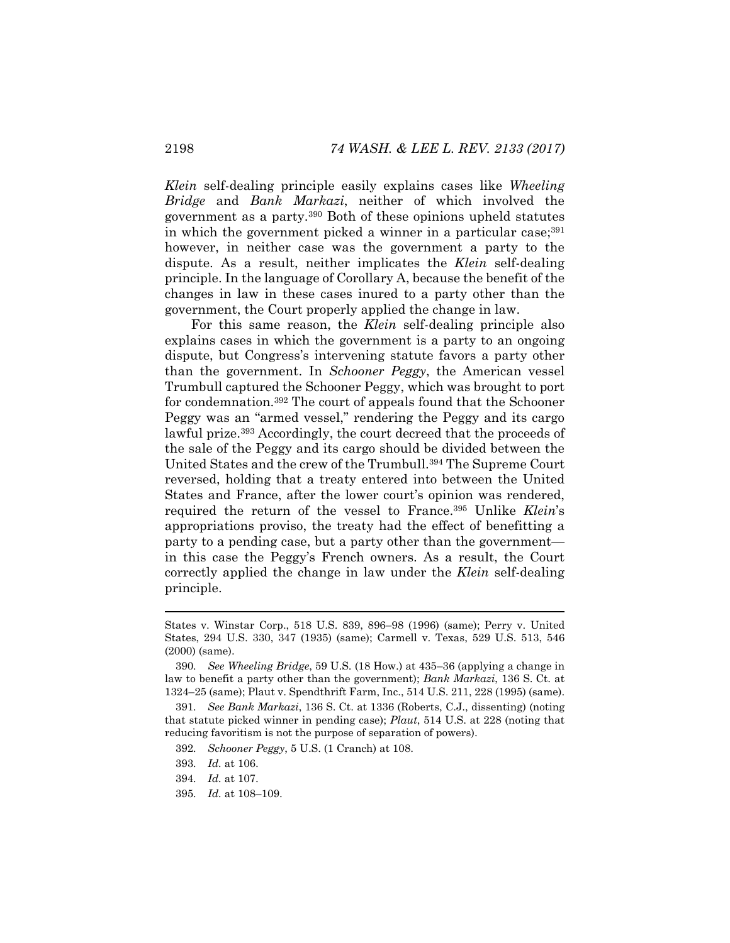*Klein* self-dealing principle easily explains cases like *Wheeling Bridge* and *Bank Markazi*, neither of which involved the government as a party.390 Both of these opinions upheld statutes in which the government picked a winner in a particular case;  $391$ however, in neither case was the government a party to the dispute. As a result, neither implicates the *Klein* self-dealing principle. In the language of Corollary A, because the benefit of the changes in law in these cases inured to a party other than the government, the Court properly applied the change in law.

For this same reason, the *Klein* self-dealing principle also explains cases in which the government is a party to an ongoing dispute, but Congress's intervening statute favors a party other than the government. In *Schooner Peggy*, the American vessel Trumbull captured the Schooner Peggy, which was brought to port for condemnation.392 The court of appeals found that the Schooner Peggy was an "armed vessel," rendering the Peggy and its cargo lawful prize.393 Accordingly, the court decreed that the proceeds of the sale of the Peggy and its cargo should be divided between the United States and the crew of the Trumbull.394 The Supreme Court reversed, holding that a treaty entered into between the United States and France, after the lower court's opinion was rendered, required the return of the vessel to France.395 Unlike *Klein*'s appropriations proviso, the treaty had the effect of benefitting a party to a pending case, but a party other than the government in this case the Peggy's French owners. As a result, the Court correctly applied the change in law under the *Klein* self-dealing principle.

States v. Winstar Corp., 518 U.S. 839, 896–98 (1996) (same); Perry v. United States, 294 U.S. 330, 347 (1935) (same); Carmell v. Texas, 529 U.S. 513, 546 (2000) (same).

<sup>390</sup>*. See Wheeling Bridge*, 59 U.S. (18 How.) at 435–36 (applying a change in law to benefit a party other than the government); *Bank Markazi*, 136 S. Ct. at 1324–25 (same); Plaut v. Spendthrift Farm, Inc., 514 U.S. 211, 228 (1995) (same).

<sup>391</sup>*. See Bank Markazi*, 136 S. Ct. at 1336 (Roberts, C.J., dissenting) (noting that statute picked winner in pending case); *Plaut*, 514 U.S. at 228 (noting that reducing favoritism is not the purpose of separation of powers).

<sup>392</sup>*. Schooner Peggy*, 5 U.S. (1 Cranch) at 108.

<sup>393</sup>*. Id.* at 106.

<sup>394</sup>*. Id.* at 107.

<sup>395</sup>*. Id.* at 108–109.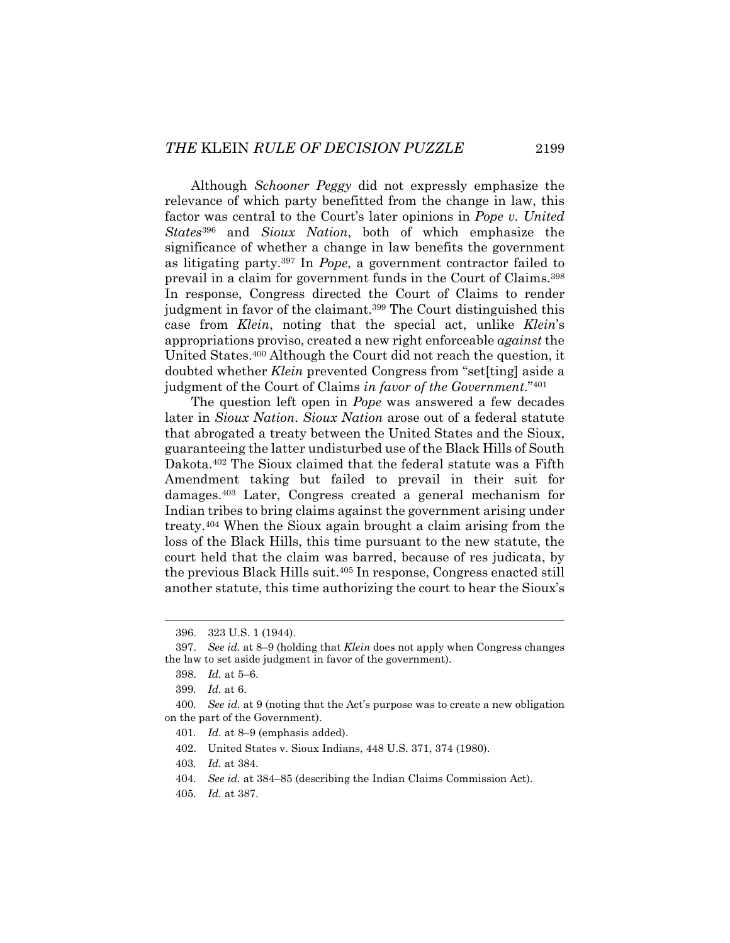Although *Schooner Peggy* did not expressly emphasize the relevance of which party benefitted from the change in law, this factor was central to the Court's later opinions in *Pope v. United States*<sup>396</sup> and *Sioux Nation*, both of which emphasize the significance of whether a change in law benefits the government as litigating party.397 In *Pope*, a government contractor failed to prevail in a claim for government funds in the Court of Claims.398 In response, Congress directed the Court of Claims to render judgment in favor of the claimant.<sup>399</sup> The Court distinguished this case from *Klein*, noting that the special act, unlike *Klein*'s appropriations proviso, created a new right enforceable *against* the United States.400 Although the Court did not reach the question, it doubted whether *Klein* prevented Congress from "set[ting] aside a judgment of the Court of Claims *in favor of the Government*."401

The question left open in *Pope* was answered a few decades later in *Sioux Nation*. *Sioux Nation* arose out of a federal statute that abrogated a treaty between the United States and the Sioux, guaranteeing the latter undisturbed use of the Black Hills of South Dakota.402 The Sioux claimed that the federal statute was a Fifth Amendment taking but failed to prevail in their suit for damages.403 Later, Congress created a general mechanism for Indian tribes to bring claims against the government arising under treaty.404 When the Sioux again brought a claim arising from the loss of the Black Hills, this time pursuant to the new statute, the court held that the claim was barred, because of res judicata, by the previous Black Hills suit.405 In response, Congress enacted still another statute, this time authorizing the court to hear the Sioux's

 <sup>396. 323</sup> U.S. 1 (1944).

 <sup>397.</sup> *See id.* at 8–9 (holding that *Klein* does not apply when Congress changes the law to set aside judgment in favor of the government).

 <sup>398.</sup> *Id.* at 5–6.

<sup>399</sup>*. Id.* at 6.

<sup>400</sup>*. See id.* at 9 (noting that the Act's purpose was to create a new obligation on the part of the Government).

<sup>401</sup>*. Id.* at 8–9 (emphasis added).

 <sup>402.</sup> United States v. Sioux Indians, 448 U.S. 371, 374 (1980).

<sup>403</sup>*. Id.* at 384.

<sup>404</sup>*. See id.* at 384–85 (describing the Indian Claims Commission Act).

<sup>405</sup>*. Id.* at 387.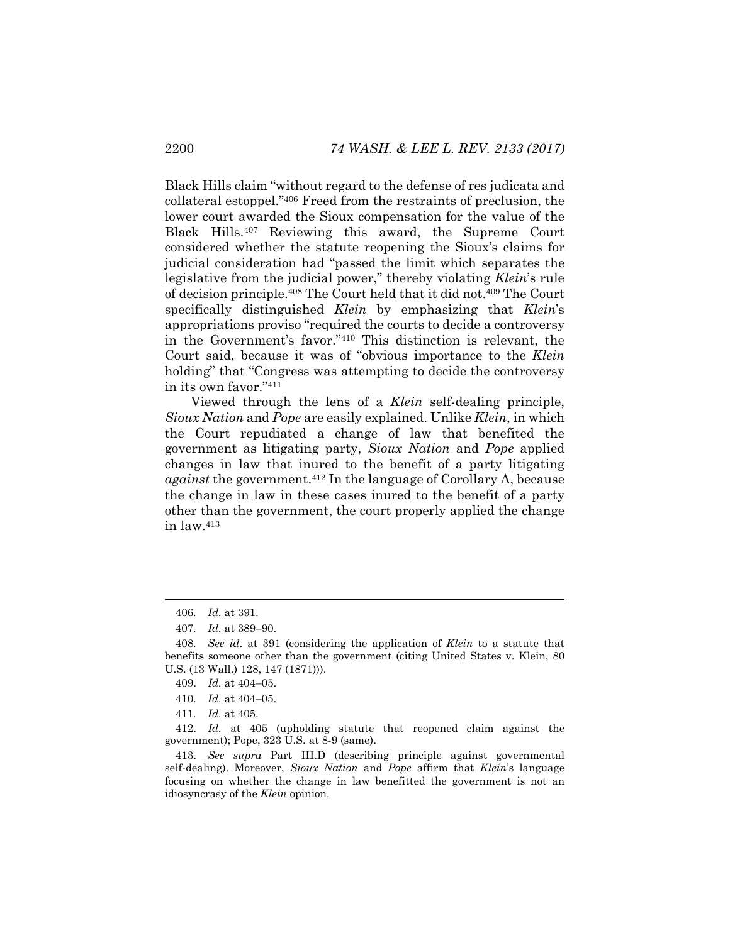Black Hills claim "without regard to the defense of res judicata and collateral estoppel."406 Freed from the restraints of preclusion, the lower court awarded the Sioux compensation for the value of the Black Hills.407 Reviewing this award, the Supreme Court considered whether the statute reopening the Sioux's claims for judicial consideration had "passed the limit which separates the legislative from the judicial power," thereby violating *Klein*'s rule of decision principle.408 The Court held that it did not.409 The Court specifically distinguished *Klein* by emphasizing that *Klein*'s appropriations proviso "required the courts to decide a controversy in the Government's favor."410 This distinction is relevant, the Court said, because it was of "obvious importance to the *Klein* holding" that "Congress was attempting to decide the controversy in its own favor."411

Viewed through the lens of a *Klein* self-dealing principle, *Sioux Nation* and *Pope* are easily explained. Unlike *Klein*, in which the Court repudiated a change of law that benefited the government as litigating party, *Sioux Nation* and *Pope* applied changes in law that inured to the benefit of a party litigating *against* the government.412 In the language of Corollary A, because the change in law in these cases inured to the benefit of a party other than the government, the court properly applied the change in law.413

l

- 409. *Id.* at 404–05.
- 410*. Id.* at 404–05.
- 411*. Id.* at 405.

 412. *Id.* at 405 (upholding statute that reopened claim against the government); Pope, 323 U.S. at 8-9 (same).

 413. *See supra* Part III.D (describing principle against governmental self-dealing). Moreover, *Sioux Nation* and *Pope* affirm that *Klein*'s language focusing on whether the change in law benefitted the government is not an idiosyncrasy of the *Klein* opinion.

<sup>406</sup>*. Id.* at 391.

<sup>407</sup>*. Id.* at 389–90.

<sup>408</sup>*. See id*. at 391 (considering the application of *Klein* to a statute that benefits someone other than the government (citing United States v. Klein, 80 U.S. (13 Wall.) 128, 147 (1871))).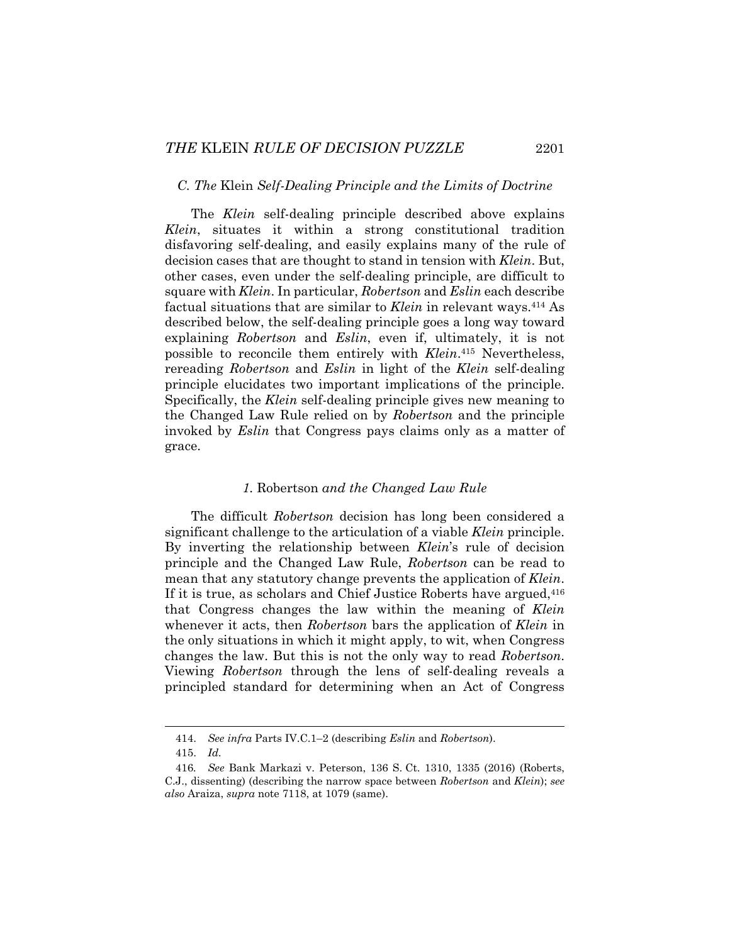### *C. The* Klein *Self-Dealing Principle and the Limits of Doctrine*

The *Klein* self-dealing principle described above explains *Klein*, situates it within a strong constitutional tradition disfavoring self-dealing, and easily explains many of the rule of decision cases that are thought to stand in tension with *Klein*. But, other cases, even under the self-dealing principle, are difficult to square with *Klein*. In particular, *Robertson* and *Eslin* each describe factual situations that are similar to *Klein* in relevant ways.414 As described below, the self-dealing principle goes a long way toward explaining *Robertson* and *Eslin*, even if, ultimately, it is not possible to reconcile them entirely with *Klein*.415 Nevertheless, rereading *Robertson* and *Eslin* in light of the *Klein* self-dealing principle elucidates two important implications of the principle. Specifically, the *Klein* self-dealing principle gives new meaning to the Changed Law Rule relied on by *Robertson* and the principle invoked by *Eslin* that Congress pays claims only as a matter of grace.

## *1.* Robertson *and the Changed Law Rule*

The difficult *Robertson* decision has long been considered a significant challenge to the articulation of a viable *Klein* principle. By inverting the relationship between *Klein*'s rule of decision principle and the Changed Law Rule, *Robertson* can be read to mean that any statutory change prevents the application of *Klein*. If it is true, as scholars and Chief Justice Roberts have argued, <sup>416</sup> that Congress changes the law within the meaning of *Klein* whenever it acts, then *Robertson* bars the application of *Klein* in the only situations in which it might apply, to wit, when Congress changes the law. But this is not the only way to read *Robertson*. Viewing *Robertson* through the lens of self-dealing reveals a principled standard for determining when an Act of Congress

 <sup>414.</sup> *See infra* Parts IV.C.1–2 (describing *Eslin* and *Robertson*).

 <sup>415.</sup> *Id.*

<sup>416</sup>*. See* Bank Markazi v. Peterson, 136 S. Ct. 1310, 1335 (2016) (Roberts, C.J., dissenting) (describing the narrow space between *Robertson* and *Klein*); *see also* Araiza, *supra* note 7118, at 1079 (same).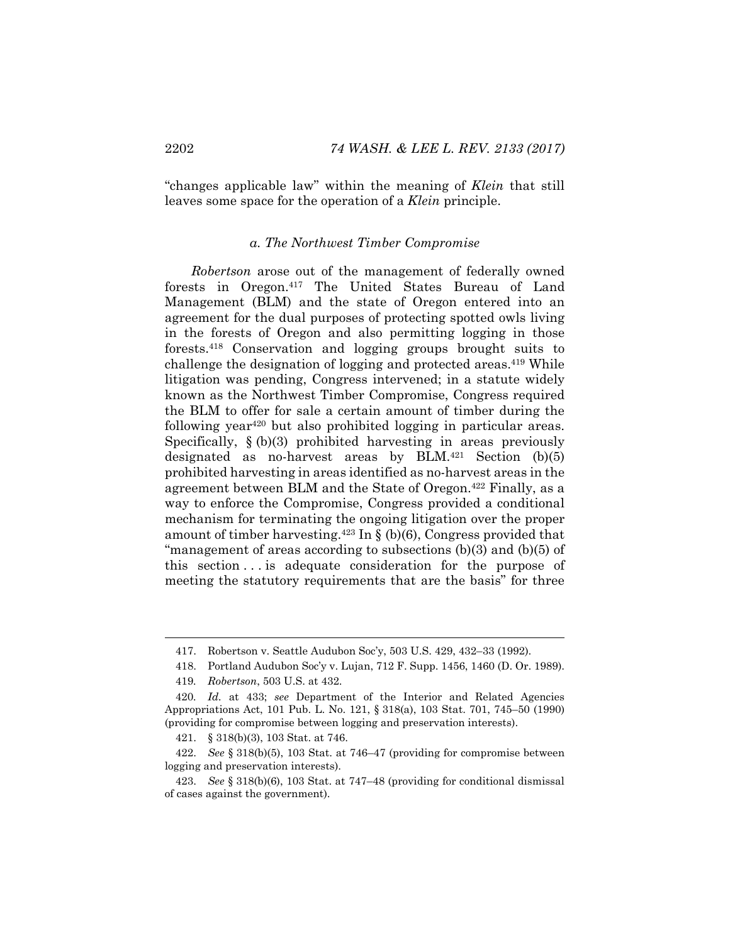"changes applicable law" within the meaning of *Klein* that still leaves some space for the operation of a *Klein* principle.

## *a. The Northwest Timber Compromise*

*Robertson* arose out of the management of federally owned forests in Oregon.417 The United States Bureau of Land Management (BLM) and the state of Oregon entered into an agreement for the dual purposes of protecting spotted owls living in the forests of Oregon and also permitting logging in those forests.418 Conservation and logging groups brought suits to challenge the designation of logging and protected areas.419 While litigation was pending, Congress intervened; in a statute widely known as the Northwest Timber Compromise, Congress required the BLM to offer for sale a certain amount of timber during the following year420 but also prohibited logging in particular areas. Specifically, § (b)(3) prohibited harvesting in areas previously designated as no-harvest areas by BLM. $421$  Section (b)(5) prohibited harvesting in areas identified as no-harvest areas in the agreement between BLM and the State of Oregon.422 Finally, as a way to enforce the Compromise, Congress provided a conditional mechanism for terminating the ongoing litigation over the proper amount of timber harvesting.<sup>423</sup> In  $\S$  (b)(6), Congress provided that "management of areas according to subsections (b)(3) and (b)(5) of this section . . . is adequate consideration for the purpose of meeting the statutory requirements that are the basis" for three

 <sup>417.</sup> Robertson v. Seattle Audubon Soc'y, 503 U.S. 429, 432–33 (1992).

 <sup>418.</sup> Portland Audubon Soc'y v. Lujan, 712 F. Supp. 1456, 1460 (D. Or. 1989).

<sup>419</sup>*. Robertson*, 503 U.S. at 432.

<sup>420</sup>*. Id.* at 433; *see* Department of the Interior and Related Agencies Appropriations Act, 101 Pub. L. No. 121, § 318(a), 103 Stat. 701, 745–50 (1990) (providing for compromise between logging and preservation interests).

 <sup>421. § 318(</sup>b)(3), 103 Stat. at 746.

 <sup>422.</sup> *See* § 318(b)(5), 103 Stat. at 746–47 (providing for compromise between logging and preservation interests).

 <sup>423.</sup> *See* § 318(b)(6), 103 Stat. at 747–48 (providing for conditional dismissal of cases against the government).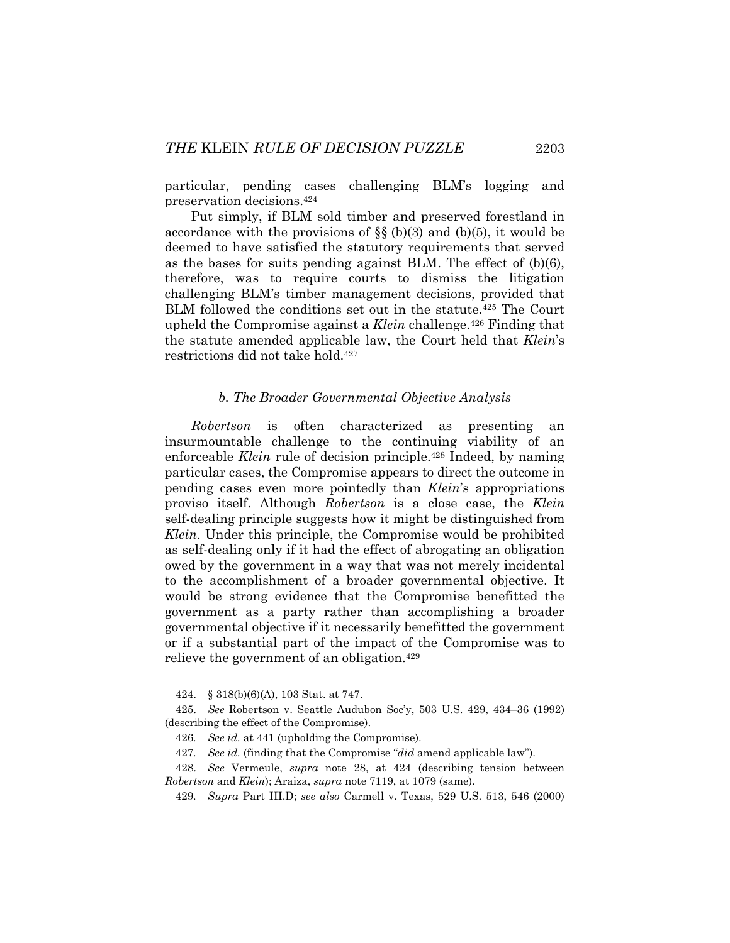particular, pending cases challenging BLM's logging and preservation decisions.424

Put simply, if BLM sold timber and preserved forestland in accordance with the provisions of  $\S$  (b)(3) and (b)(5), it would be deemed to have satisfied the statutory requirements that served as the bases for suits pending against BLM. The effect of (b)(6), therefore, was to require courts to dismiss the litigation challenging BLM's timber management decisions, provided that BLM followed the conditions set out in the statute.425 The Court upheld the Compromise against a *Klein* challenge.426 Finding that the statute amended applicable law, the Court held that *Klein*'s restrictions did not take hold.427

### *b. The Broader Governmental Objective Analysis*

*Robertson* is often characterized as presenting an insurmountable challenge to the continuing viability of an enforceable *Klein* rule of decision principle.<sup>428</sup> Indeed, by naming particular cases, the Compromise appears to direct the outcome in pending cases even more pointedly than *Klein*'s appropriations proviso itself. Although *Robertson* is a close case, the *Klein* self-dealing principle suggests how it might be distinguished from *Klein*. Under this principle, the Compromise would be prohibited as self-dealing only if it had the effect of abrogating an obligation owed by the government in a way that was not merely incidental to the accomplishment of a broader governmental objective. It would be strong evidence that the Compromise benefitted the government as a party rather than accomplishing a broader governmental objective if it necessarily benefitted the government or if a substantial part of the impact of the Compromise was to relieve the government of an obligation.429

 <sup>424. § 318(</sup>b)(6)(A), 103 Stat. at 747.

 <sup>425.</sup> *See* Robertson v. Seattle Audubon Soc'y, 503 U.S. 429, 434–36 (1992) (describing the effect of the Compromise).

<sup>426</sup>*. See id.* at 441 (upholding the Compromise).

<sup>427</sup>*. See id.* (finding that the Compromise "*did* amend applicable law").

 <sup>428.</sup> *See* Vermeule, *supra* note 28, at 424 (describing tension between *Robertson* and *Klein*); Araiza, *supra* note 7119, at 1079 (same).

<sup>429</sup>*. Supra* Part III.D; *see also* Carmell v. Texas, 529 U.S. 513, 546 (2000)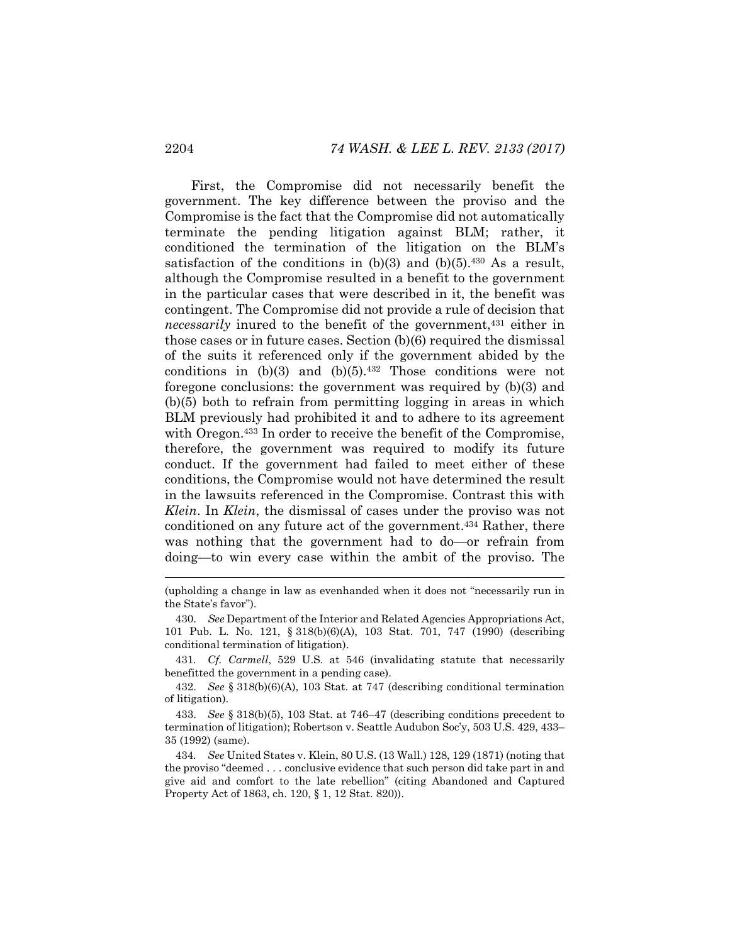First, the Compromise did not necessarily benefit the government. The key difference between the proviso and the Compromise is the fact that the Compromise did not automatically terminate the pending litigation against BLM; rather, it conditioned the termination of the litigation on the BLM's satisfaction of the conditions in  $(b)(3)$  and  $(b)(5)$ .<sup>430</sup> As a result, although the Compromise resulted in a benefit to the government in the particular cases that were described in it, the benefit was contingent. The Compromise did not provide a rule of decision that *necessarily* inured to the benefit of the government,<sup>431</sup> either in those cases or in future cases. Section (b)(6) required the dismissal of the suits it referenced only if the government abided by the conditions in  $(b)(3)$  and  $(b)(5).432$  Those conditions were not foregone conclusions: the government was required by (b)(3) and (b)(5) both to refrain from permitting logging in areas in which BLM previously had prohibited it and to adhere to its agreement with Oregon.<sup>433</sup> In order to receive the benefit of the Compromise, therefore, the government was required to modify its future conduct. If the government had failed to meet either of these conditions, the Compromise would not have determined the result in the lawsuits referenced in the Compromise. Contrast this with *Klein*. In *Klein*, the dismissal of cases under the proviso was not conditioned on any future act of the government.434 Rather, there was nothing that the government had to do—or refrain from doing—to win every case within the ambit of the proviso. The

<sup>(</sup>upholding a change in law as evenhanded when it does not "necessarily run in the State's favor").

 <sup>430.</sup> *See* Department of the Interior and Related Agencies Appropriations Act, 101 Pub. L. No. 121, § 318(b)(6)(A), 103 Stat. 701, 747 (1990) (describing conditional termination of litigation).

<sup>431</sup>*. Cf. Carmell*, 529 U.S. at 546 (invalidating statute that necessarily benefitted the government in a pending case).

 <sup>432.</sup> *See* § 318(b)(6)(A), 103 Stat. at 747 (describing conditional termination of litigation).

 <sup>433.</sup> *See* § 318(b)(5), 103 Stat. at 746–47 (describing conditions precedent to termination of litigation); Robertson v. Seattle Audubon Soc'y, 503 U.S. 429, 433– 35 (1992) (same).

<sup>434</sup>*. See* United States v. Klein, 80 U.S. (13 Wall.) 128, 129 (1871) (noting that the proviso "deemed . . . conclusive evidence that such person did take part in and give aid and comfort to the late rebellion" (citing Abandoned and Captured Property Act of 1863, ch. 120, § 1, 12 Stat. 820)).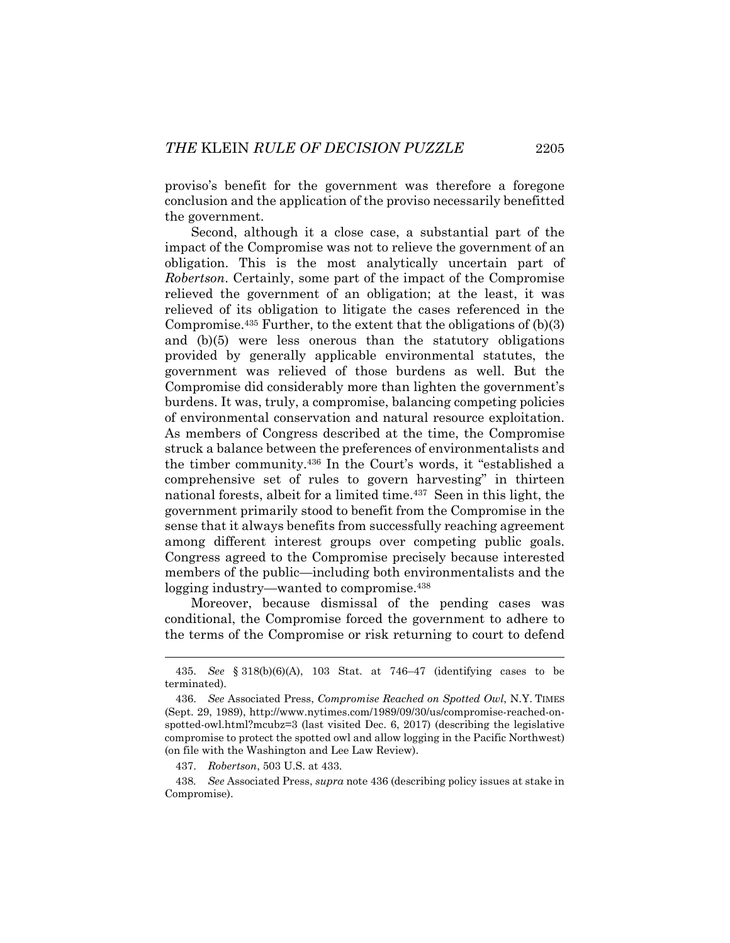proviso's benefit for the government was therefore a foregone conclusion and the application of the proviso necessarily benefitted the government.

Second, although it a close case, a substantial part of the impact of the Compromise was not to relieve the government of an obligation. This is the most analytically uncertain part of *Robertson*. Certainly, some part of the impact of the Compromise relieved the government of an obligation; at the least, it was relieved of its obligation to litigate the cases referenced in the Compromise.<sup>435</sup> Further, to the extent that the obligations of  $(b)(3)$ and (b)(5) were less onerous than the statutory obligations provided by generally applicable environmental statutes, the government was relieved of those burdens as well. But the Compromise did considerably more than lighten the government's burdens. It was, truly, a compromise, balancing competing policies of environmental conservation and natural resource exploitation. As members of Congress described at the time, the Compromise struck a balance between the preferences of environmentalists and the timber community.436 In the Court's words, it "established a comprehensive set of rules to govern harvesting" in thirteen national forests, albeit for a limited time.437 Seen in this light, the government primarily stood to benefit from the Compromise in the sense that it always benefits from successfully reaching agreement among different interest groups over competing public goals. Congress agreed to the Compromise precisely because interested members of the public—including both environmentalists and the logging industry—wanted to compromise.<sup>438</sup>

Moreover, because dismissal of the pending cases was conditional, the Compromise forced the government to adhere to the terms of the Compromise or risk returning to court to defend

437. *Robertson*, 503 U.S. at 433.

438*. See* Associated Press, *supra* note 436 (describing policy issues at stake in Compromise).

 <sup>435.</sup> *See* § 318(b)(6)(A), 103 Stat. at 746–47 (identifying cases to be terminated).

 <sup>436.</sup> *See* Associated Press, *Compromise Reached on Spotted Owl*, N.Y. TIMES (Sept. 29, 1989), http://www.nytimes.com/1989/09/30/us/compromise-reached-onspotted-owl.html?mcubz=3 (last visited Dec. 6, 2017) (describing the legislative compromise to protect the spotted owl and allow logging in the Pacific Northwest) (on file with the Washington and Lee Law Review).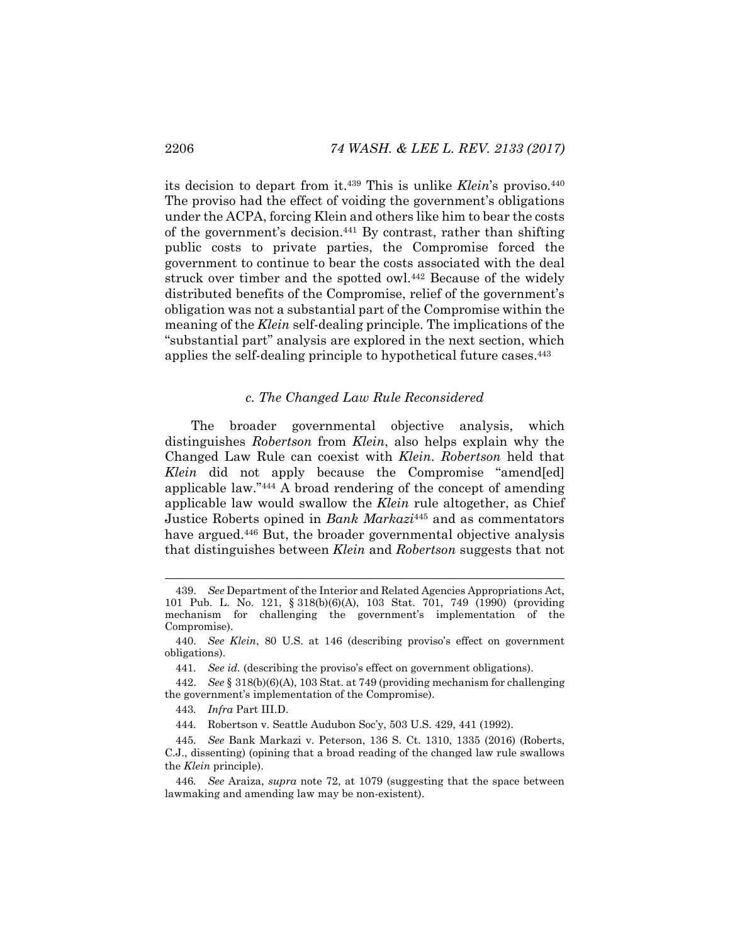its decision to depart from it.439 This is unlike *Klein*'s proviso.440 The proviso had the effect of voiding the government's obligations under the ACPA, forcing Klein and others like him to bear the costs of the government's decision.441 By contrast, rather than shifting public costs to private parties, the Compromise forced the government to continue to bear the costs associated with the deal struck over timber and the spotted owl.442 Because of the widely distributed benefits of the Compromise, relief of the government's obligation was not a substantial part of the Compromise within the meaning of the *Klein* self-dealing principle. The implications of the "substantial part" analysis are explored in the next section, which applies the self-dealing principle to hypothetical future cases.443

#### *c. The Changed Law Rule Reconsidered*

The broader governmental objective analysis, which distinguishes *Robertson* from *Klein*, also helps explain why the Changed Law Rule can coexist with *Klein*. *Robertson* held that *Klein* did not apply because the Compromise "amend[ed] applicable law."444 A broad rendering of the concept of amending applicable law would swallow the *Klein* rule altogether, as Chief Justice Roberts opined in *Bank Markazi*445 and as commentators have argued.<sup>446</sup> But, the broader governmental objective analysis that distinguishes between *Klein* and *Robertson* suggests that not

 <sup>439.</sup> *See* Department of the Interior and Related Agencies Appropriations Act, 101 Pub. L. No. 121, § 318(b)(6)(A), 103 Stat. 701, 749 (1990) (providing mechanism for challenging the government's implementation of the Compromise).

 <sup>440.</sup> *See Klein*, 80 U.S. at 146 (describing proviso's effect on government obligations).

<sup>441</sup>*. See id.* (describing the proviso's effect on government obligations).

 <sup>442.</sup> *See* § 318(b)(6)(A), 103 Stat. at 749 (providing mechanism for challenging the government's implementation of the Compromise).

<sup>443</sup>*. Infra* Part III.D.

<sup>444</sup>*.* Robertson v. Seattle Audubon Soc'y, 503 U.S. 429, 441 (1992).

<sup>445</sup>*. See* Bank Markazi v. Peterson, 136 S. Ct. 1310, 1335 (2016) (Roberts,

C.J., dissenting) (opining that a broad reading of the changed law rule swallows the *Klein* principle).

<sup>446</sup>*. See* Araiza, *supra* note 72, at 1079 (suggesting that the space between lawmaking and amending law may be non-existent).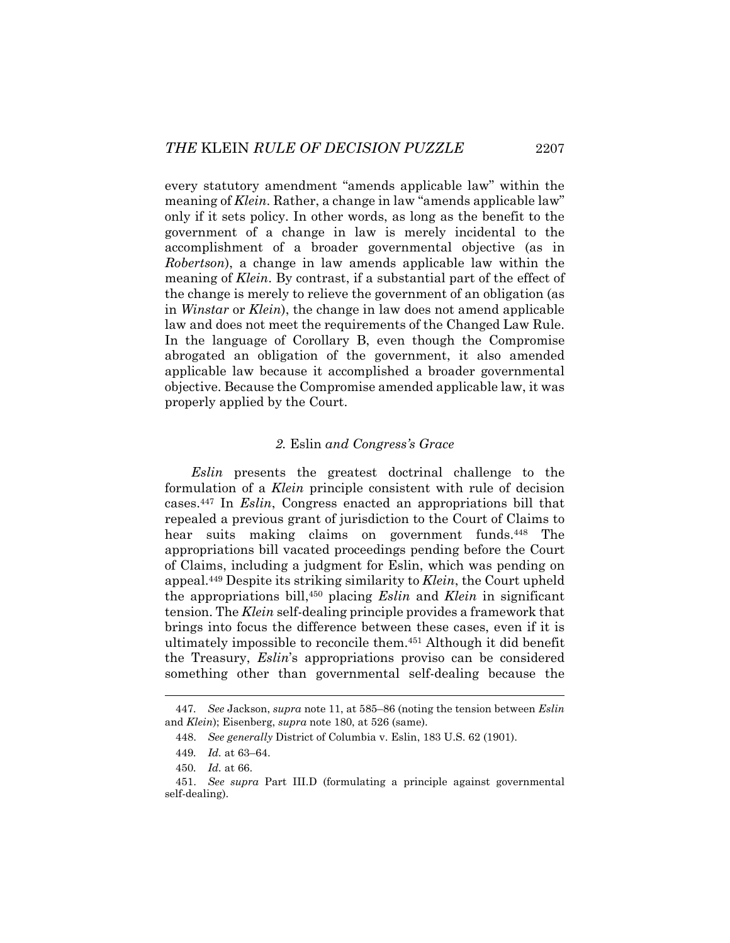every statutory amendment "amends applicable law" within the meaning of *Klein*. Rather, a change in law "amends applicable law" only if it sets policy. In other words, as long as the benefit to the government of a change in law is merely incidental to the accomplishment of a broader governmental objective (as in *Robertson*), a change in law amends applicable law within the meaning of *Klein*. By contrast, if a substantial part of the effect of the change is merely to relieve the government of an obligation (as in *Winstar* or *Klein*), the change in law does not amend applicable law and does not meet the requirements of the Changed Law Rule. In the language of Corollary B, even though the Compromise abrogated an obligation of the government, it also amended applicable law because it accomplished a broader governmental objective. Because the Compromise amended applicable law, it was properly applied by the Court.

## *2.* Eslin *and Congress's Grace*

*Eslin* presents the greatest doctrinal challenge to the formulation of a *Klein* principle consistent with rule of decision cases.447 In *Eslin*, Congress enacted an appropriations bill that repealed a previous grant of jurisdiction to the Court of Claims to hear suits making claims on government funds.<sup>448</sup> The appropriations bill vacated proceedings pending before the Court of Claims, including a judgment for Eslin, which was pending on appeal.449 Despite its striking similarity to *Klein*, the Court upheld the appropriations bill,450 placing *Eslin* and *Klein* in significant tension. The *Klein* self-dealing principle provides a framework that brings into focus the difference between these cases, even if it is ultimately impossible to reconcile them.451 Although it did benefit the Treasury, *Eslin*'s appropriations proviso can be considered something other than governmental self-dealing because the

<sup>447</sup>*. See* Jackson, *supra* note 11, at 585–86 (noting the tension between *Eslin*  and *Klein*); Eisenberg, *supra* note 180, at 526 (same).

 <sup>448.</sup> *See generally* District of Columbia v. Eslin, 183 U.S. 62 (1901).

<sup>449</sup>*. Id.* at 63–64.

<sup>450</sup>*. Id.* at 66.

 <sup>451.</sup> *See supra* Part III.D (formulating a principle against governmental self-dealing).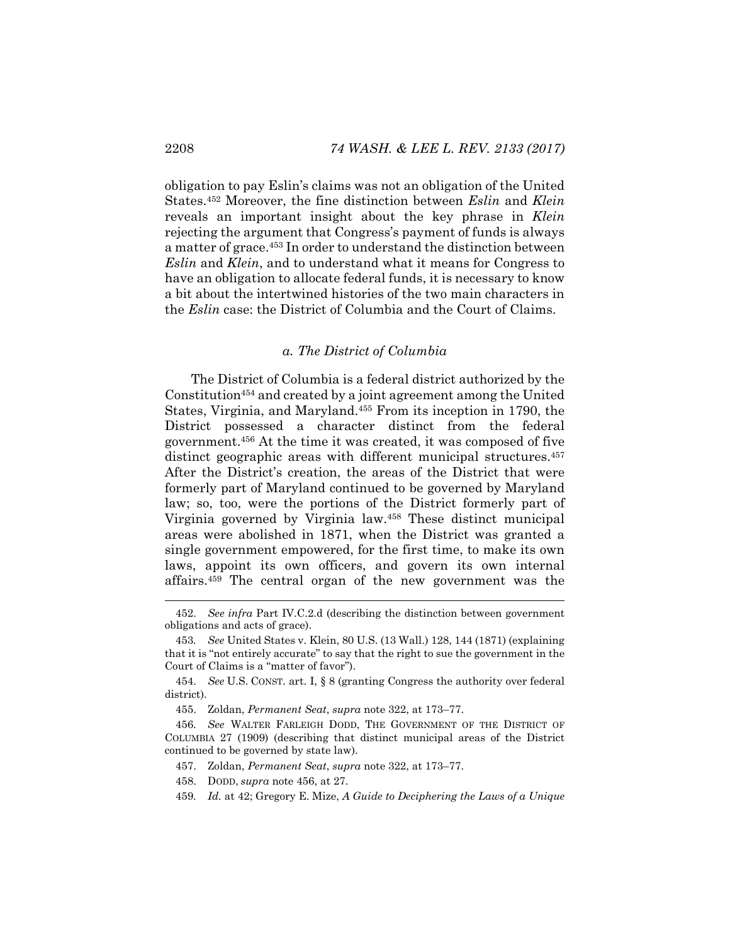obligation to pay Eslin's claims was not an obligation of the United States.452 Moreover, the fine distinction between *Eslin* and *Klein* reveals an important insight about the key phrase in *Klein*  rejecting the argument that Congress's payment of funds is always a matter of grace.453 In order to understand the distinction between *Eslin* and *Klein*, and to understand what it means for Congress to have an obligation to allocate federal funds, it is necessary to know a bit about the intertwined histories of the two main characters in the *Eslin* case: the District of Columbia and the Court of Claims.

### *a. The District of Columbia*

The District of Columbia is a federal district authorized by the Constitution454 and created by a joint agreement among the United States, Virginia, and Maryland.455 From its inception in 1790, the District possessed a character distinct from the federal government.456 At the time it was created, it was composed of five distinct geographic areas with different municipal structures.<sup>457</sup> After the District's creation, the areas of the District that were formerly part of Maryland continued to be governed by Maryland law; so, too, were the portions of the District formerly part of Virginia governed by Virginia law.458 These distinct municipal areas were abolished in 1871, when the District was granted a single government empowered, for the first time, to make its own laws, appoint its own officers, and govern its own internal affairs.459 The central organ of the new government was the

 <sup>452.</sup> *See infra* Part IV.C.2.d (describing the distinction between government obligations and acts of grace).

<sup>453</sup>*. See* United States v. Klein, 80 U.S. (13 Wall.) 128, 144 (1871) (explaining that it is "not entirely accurate" to say that the right to sue the government in the Court of Claims is a "matter of favor").

 <sup>454.</sup> *See* U.S. CONST. art. I, § 8 (granting Congress the authority over federal district).

 <sup>455.</sup> Zoldan, *Permanent Seat*, *supra* note 322, at 173–77.

<sup>456</sup>*. See* WALTER FARLEIGH DODD, THE GOVERNMENT OF THE DISTRICT OF COLUMBIA 27 (1909) (describing that distinct municipal areas of the District continued to be governed by state law).

 <sup>457.</sup> Zoldan, *Permanent Seat*, *supra* note 322, at 173–77.

 <sup>458.</sup> DODD, *supra* note 456, at 27.

<sup>459</sup>*. Id.* at 42; Gregory E. Mize, *A Guide to Deciphering the Laws of a Unique*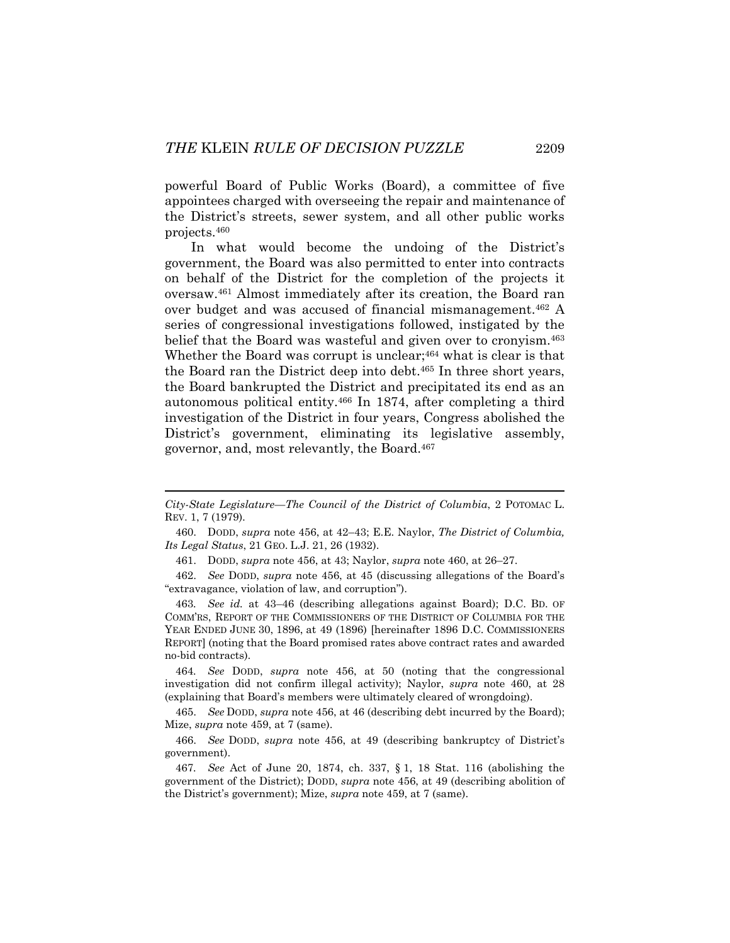powerful Board of Public Works (Board), a committee of five appointees charged with overseeing the repair and maintenance of the District's streets, sewer system, and all other public works projects.460

In what would become the undoing of the District's government, the Board was also permitted to enter into contracts on behalf of the District for the completion of the projects it oversaw.461 Almost immediately after its creation, the Board ran over budget and was accused of financial mismanagement.462 A series of congressional investigations followed, instigated by the belief that the Board was wasteful and given over to cronyism.<sup>463</sup> Whether the Board was corrupt is unclear;<sup>464</sup> what is clear is that the Board ran the District deep into debt.465 In three short years, the Board bankrupted the District and precipitated its end as an autonomous political entity.466 In 1874, after completing a third investigation of the District in four years, Congress abolished the District's government, eliminating its legislative assembly, governor, and, most relevantly, the Board.467

464*. See* DODD, *supra* note 456, at 50 (noting that the congressional investigation did not confirm illegal activity); Naylor, *supra* note 460, at 28 (explaining that Board's members were ultimately cleared of wrongdoing).

 465. *See* DODD, *supra* note 456, at 46 (describing debt incurred by the Board); Mize, *supra* note 459, at 7 (same).

*City-State Legislature—The Council of the District of Columbia*, 2 POTOMAC L. REV. 1, 7 (1979).

 <sup>460.</sup> DODD, *supra* note 456, at 42–43; E.E. Naylor, *The District of Columbia, Its Legal Status*, 21 GEO. L.J. 21, 26 (1932).

 <sup>461.</sup> DODD, *supra* note 456, at 43; Naylor, *supra* note 460, at 26–27.

 <sup>462.</sup> *See* DODD, *supra* note 456, at 45 (discussing allegations of the Board's "extravagance, violation of law, and corruption").

<sup>463</sup>*. See id.* at 43–46 (describing allegations against Board); D.C. BD. OF COMM'RS, REPORT OF THE COMMISSIONERS OF THE DISTRICT OF COLUMBIA FOR THE YEAR ENDED JUNE 30, 1896, at 49 (1896) [hereinafter 1896 D.C. COMMISSIONERS REPORT] (noting that the Board promised rates above contract rates and awarded no-bid contracts).

 <sup>466.</sup> *See* DODD, *supra* note 456, at 49 (describing bankruptcy of District's government).

<sup>467</sup>*. See* Act of June 20, 1874, ch. 337, § 1, 18 Stat. 116 (abolishing the government of the District); DODD, *supra* note 456, at 49 (describing abolition of the District's government); Mize, *supra* note 459, at 7 (same).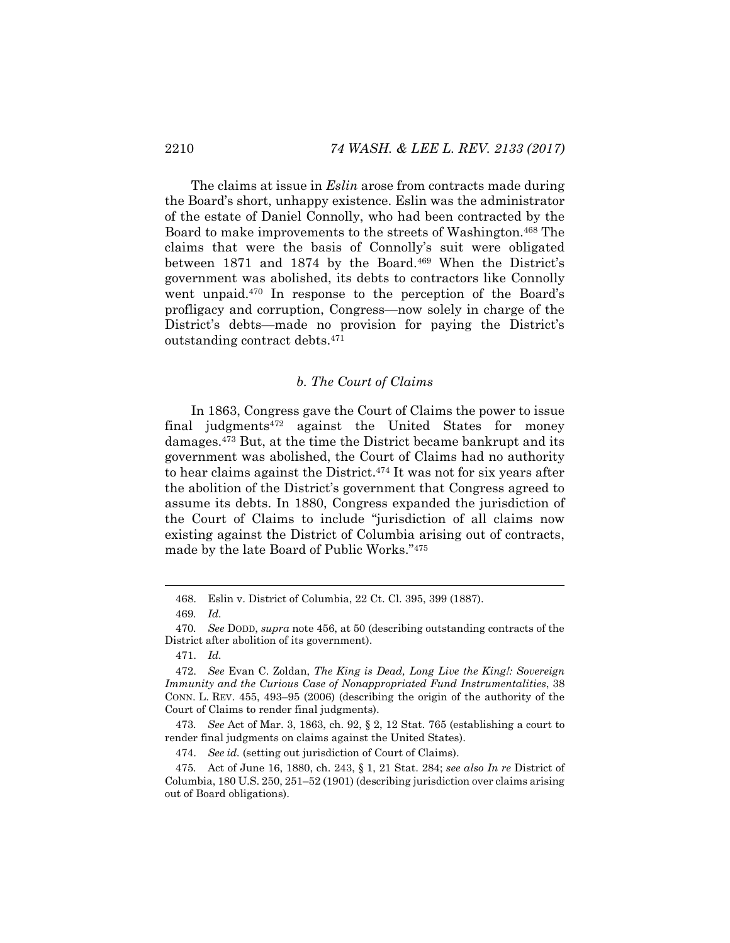The claims at issue in *Eslin* arose from contracts made during the Board's short, unhappy existence. Eslin was the administrator of the estate of Daniel Connolly, who had been contracted by the Board to make improvements to the streets of Washington.<sup>468</sup> The claims that were the basis of Connolly's suit were obligated between 1871 and 1874 by the Board.<sup>469</sup> When the District's government was abolished, its debts to contractors like Connolly went unpaid.470 In response to the perception of the Board's profligacy and corruption, Congress—now solely in charge of the District's debts—made no provision for paying the District's outstanding contract debts.471

## *b. The Court of Claims*

In 1863, Congress gave the Court of Claims the power to issue final judgments472 against the United States for money damages.473 But, at the time the District became bankrupt and its government was abolished, the Court of Claims had no authority to hear claims against the District.474 It was not for six years after the abolition of the District's government that Congress agreed to assume its debts. In 1880, Congress expanded the jurisdiction of the Court of Claims to include "jurisdiction of all claims now existing against the District of Columbia arising out of contracts, made by the late Board of Public Works."475

 <sup>468.</sup> Eslin v. District of Columbia, 22 Ct. Cl. 395, 399 (1887).

<sup>469</sup>*. Id.*

<sup>470</sup>*. See* DODD, *supra* note 456, at 50 (describing outstanding contracts of the District after abolition of its government).

 <sup>471.</sup> *Id.*

 <sup>472.</sup> *See* Evan C. Zoldan, *The King is Dead, Long Live the King!: Sovereign Immunity and the Curious Case of Nonappropriated Fund Instrumentalities*, 38 CONN. L. REV. 455, 493–95 (2006) (describing the origin of the authority of the Court of Claims to render final judgments).

<sup>473</sup>*. See* Act of Mar. 3, 1863, ch. 92, § 2, 12 Stat. 765 (establishing a court to render final judgments on claims against the United States).

 <sup>474.</sup> *See id.* (setting out jurisdiction of Court of Claims).

<sup>475</sup>*.* Act of June 16, 1880, ch. 243, § 1, 21 Stat. 284; *see also In re* District of Columbia, 180 U.S. 250, 251–52 (1901) (describing jurisdiction over claims arising out of Board obligations).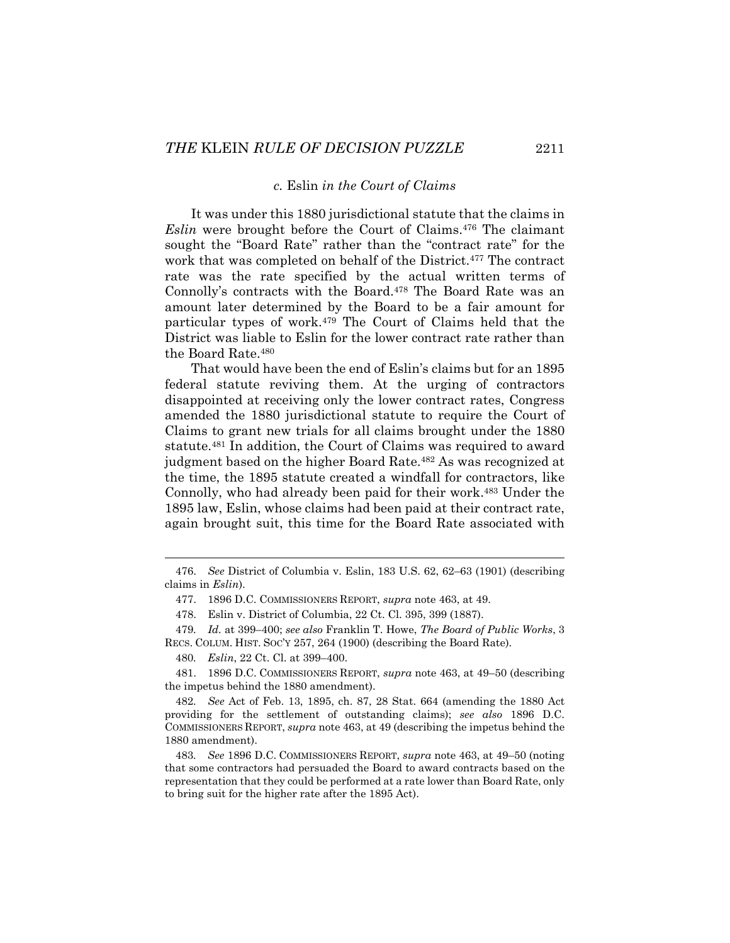#### *c.* Eslin *in the Court of Claims*

It was under this 1880 jurisdictional statute that the claims in *Eslin* were brought before the Court of Claims.476 The claimant sought the "Board Rate" rather than the "contract rate" for the work that was completed on behalf of the District.477 The contract rate was the rate specified by the actual written terms of Connolly's contracts with the Board.478 The Board Rate was an amount later determined by the Board to be a fair amount for particular types of work.479 The Court of Claims held that the District was liable to Eslin for the lower contract rate rather than the Board Rate.480

That would have been the end of Eslin's claims but for an 1895 federal statute reviving them. At the urging of contractors disappointed at receiving only the lower contract rates, Congress amended the 1880 jurisdictional statute to require the Court of Claims to grant new trials for all claims brought under the 1880 statute.481 In addition, the Court of Claims was required to award judgment based on the higher Board Rate.482 As was recognized at the time, the 1895 statute created a windfall for contractors, like Connolly, who had already been paid for their work.483 Under the 1895 law, Eslin, whose claims had been paid at their contract rate, again brought suit, this time for the Board Rate associated with

 <sup>476.</sup> *See* District of Columbia v. Eslin, 183 U.S. 62, 62–63 (1901) (describing claims in *Eslin*).

 <sup>477. 1896</sup> D.C. COMMISSIONERS REPORT, *supra* note 463, at 49.

 <sup>478.</sup> Eslin v. District of Columbia, 22 Ct. Cl. 395, 399 (1887).

<sup>479</sup>*. Id.* at 399–400; *see also* Franklin T. Howe, *The Board of Public Works*, 3 RECS. COLUM. HIST. SOC'Y 257, 264 (1900) (describing the Board Rate).

<sup>480</sup>*. Eslin*, 22 Ct. Cl. at 399–400.

 <sup>481. 1896</sup> D.C. COMMISSIONERS REPORT, *supra* note 463, at 49–50 (describing the impetus behind the 1880 amendment).

<sup>482</sup>*. See* Act of Feb. 13, 1895, ch. 87, 28 Stat. 664 (amending the 1880 Act providing for the settlement of outstanding claims); *see also* 1896 D.C. COMMISSIONERS REPORT, *supra* note 463, at 49 (describing the impetus behind the 1880 amendment).

<sup>483</sup>*. See* 1896 D.C. COMMISSIONERS REPORT, *supra* note 463, at 49–50 (noting that some contractors had persuaded the Board to award contracts based on the representation that they could be performed at a rate lower than Board Rate, only to bring suit for the higher rate after the 1895 Act).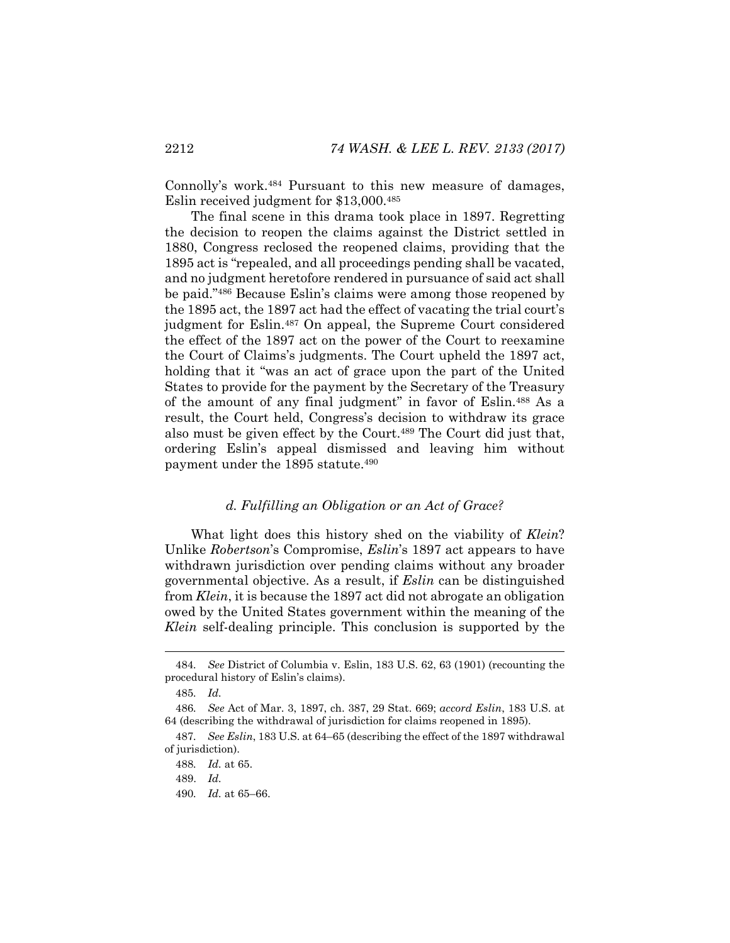Connolly's work.484 Pursuant to this new measure of damages, Eslin received judgment for \$13,000.485

The final scene in this drama took place in 1897. Regretting the decision to reopen the claims against the District settled in 1880, Congress reclosed the reopened claims, providing that the 1895 act is "repealed, and all proceedings pending shall be vacated, and no judgment heretofore rendered in pursuance of said act shall be paid."486 Because Eslin's claims were among those reopened by the 1895 act, the 1897 act had the effect of vacating the trial court's judgment for Eslin.487 On appeal, the Supreme Court considered the effect of the 1897 act on the power of the Court to reexamine the Court of Claims's judgments. The Court upheld the 1897 act, holding that it "was an act of grace upon the part of the United States to provide for the payment by the Secretary of the Treasury of the amount of any final judgment" in favor of Eslin.488 As a result, the Court held, Congress's decision to withdraw its grace also must be given effect by the Court.<sup>489</sup> The Court did just that, ordering Eslin's appeal dismissed and leaving him without payment under the 1895 statute.490

### *d. Fulfilling an Obligation or an Act of Grace?*

What light does this history shed on the viability of *Klein*? Unlike *Robertson*'s Compromise, *Eslin*'s 1897 act appears to have withdrawn jurisdiction over pending claims without any broader governmental objective. As a result, if *Eslin* can be distinguished from *Klein*, it is because the 1897 act did not abrogate an obligation owed by the United States government within the meaning of the *Klein* self-dealing principle. This conclusion is supported by the

<sup>484</sup>*. See* District of Columbia v. Eslin, 183 U.S. 62, 63 (1901) (recounting the procedural history of Eslin's claims).

<sup>485</sup>*. Id.*

<sup>486</sup>*. See* Act of Mar. 3, 1897, ch. 387, 29 Stat. 669; *accord Eslin*, 183 U.S. at 64 (describing the withdrawal of jurisdiction for claims reopened in 1895).

<sup>487</sup>*. See Eslin*, 183 U.S. at 64–65 (describing the effect of the 1897 withdrawal of jurisdiction).

<sup>488</sup>*. Id.* at 65.

 <sup>489.</sup> *Id.*

<sup>490</sup>*. Id.* at 65–66.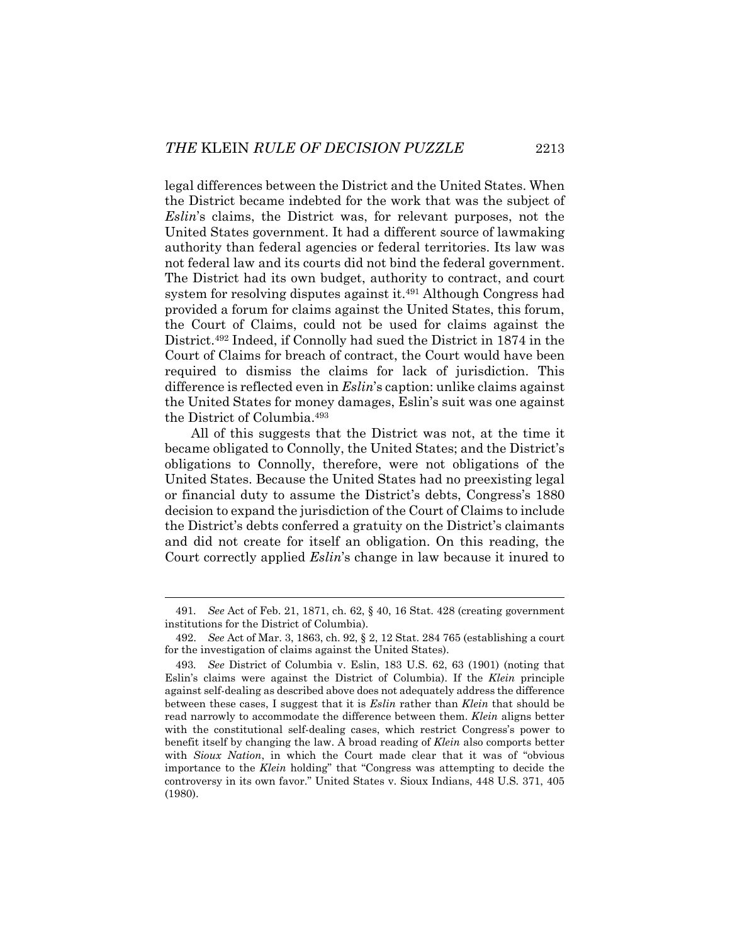legal differences between the District and the United States. When the District became indebted for the work that was the subject of *Eslin*'s claims, the District was, for relevant purposes, not the United States government. It had a different source of lawmaking authority than federal agencies or federal territories. Its law was not federal law and its courts did not bind the federal government. The District had its own budget, authority to contract, and court system for resolving disputes against it.491 Although Congress had provided a forum for claims against the United States, this forum, the Court of Claims, could not be used for claims against the District.492 Indeed, if Connolly had sued the District in 1874 in the Court of Claims for breach of contract, the Court would have been required to dismiss the claims for lack of jurisdiction. This difference is reflected even in *Eslin*'s caption: unlike claims against the United States for money damages, Eslin's suit was one against the District of Columbia.493

All of this suggests that the District was not, at the time it became obligated to Connolly, the United States; and the District's obligations to Connolly, therefore, were not obligations of the United States. Because the United States had no preexisting legal or financial duty to assume the District's debts, Congress's 1880 decision to expand the jurisdiction of the Court of Claims to include the District's debts conferred a gratuity on the District's claimants and did not create for itself an obligation. On this reading, the Court correctly applied *Eslin*'s change in law because it inured to

<sup>491</sup>*. See* Act of Feb. 21, 1871, ch. 62, § 40, 16 Stat. 428 (creating government institutions for the District of Columbia).

 <sup>492.</sup> *See* Act of Mar. 3, 1863, ch. 92, § 2, 12 Stat. 284 765 (establishing a court for the investigation of claims against the United States).

<sup>493</sup>*. See* District of Columbia v. Eslin, 183 U.S. 62, 63 (1901) (noting that Eslin's claims were against the District of Columbia). If the *Klein* principle against self-dealing as described above does not adequately address the difference between these cases, I suggest that it is *Eslin* rather than *Klein* that should be read narrowly to accommodate the difference between them. *Klein* aligns better with the constitutional self-dealing cases, which restrict Congress's power to benefit itself by changing the law. A broad reading of *Klein* also comports better with *Sioux Nation*, in which the Court made clear that it was of "obvious importance to the *Klein* holding" that "Congress was attempting to decide the controversy in its own favor." United States v. Sioux Indians, 448 U.S. 371, 405 (1980).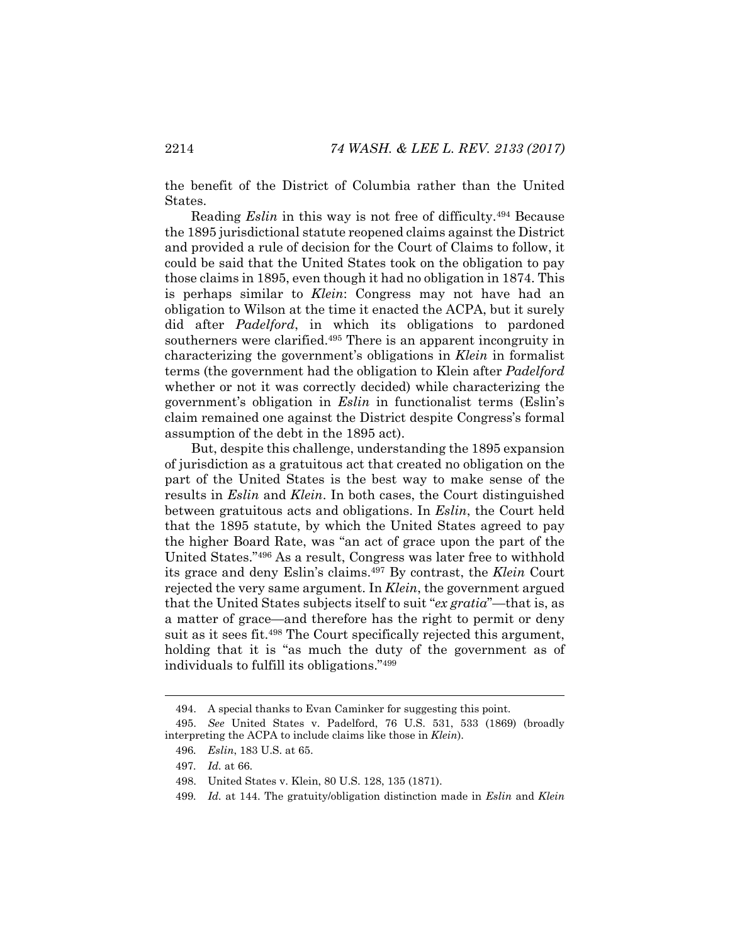the benefit of the District of Columbia rather than the United States.

Reading *Eslin* in this way is not free of difficulty.494 Because the 1895 jurisdictional statute reopened claims against the District and provided a rule of decision for the Court of Claims to follow, it could be said that the United States took on the obligation to pay those claims in 1895, even though it had no obligation in 1874. This is perhaps similar to *Klein*: Congress may not have had an obligation to Wilson at the time it enacted the ACPA, but it surely did after *Padelford*, in which its obligations to pardoned southerners were clarified.<sup>495</sup> There is an apparent incongruity in characterizing the government's obligations in *Klein* in formalist terms (the government had the obligation to Klein after *Padelford* whether or not it was correctly decided) while characterizing the government's obligation in *Eslin* in functionalist terms (Eslin's claim remained one against the District despite Congress's formal assumption of the debt in the 1895 act).

But, despite this challenge, understanding the 1895 expansion of jurisdiction as a gratuitous act that created no obligation on the part of the United States is the best way to make sense of the results in *Eslin* and *Klein*. In both cases, the Court distinguished between gratuitous acts and obligations. In *Eslin*, the Court held that the 1895 statute, by which the United States agreed to pay the higher Board Rate, was "an act of grace upon the part of the United States."496 As a result, Congress was later free to withhold its grace and deny Eslin's claims.497 By contrast, the *Klein* Court rejected the very same argument. In *Klein*, the government argued that the United States subjects itself to suit "*ex gratia*"—that is, as a matter of grace—and therefore has the right to permit or deny suit as it sees fit.498 The Court specifically rejected this argument, holding that it is "as much the duty of the government as of individuals to fulfill its obligations."499

 <sup>494.</sup> A special thanks to Evan Caminker for suggesting this point.

 <sup>495.</sup> *See* United States v. Padelford, 76 U.S. 531, 533 (1869) (broadly interpreting the ACPA to include claims like those in *Klein*).

<sup>496</sup>*. Eslin*, 183 U.S. at 65.

<sup>497</sup>*. Id.* at 66.

 <sup>498.</sup> United States v. Klein, 80 U.S. 128, 135 (1871).

<sup>499</sup>*. Id.* at 144. The gratuity/obligation distinction made in *Eslin* and *Klein*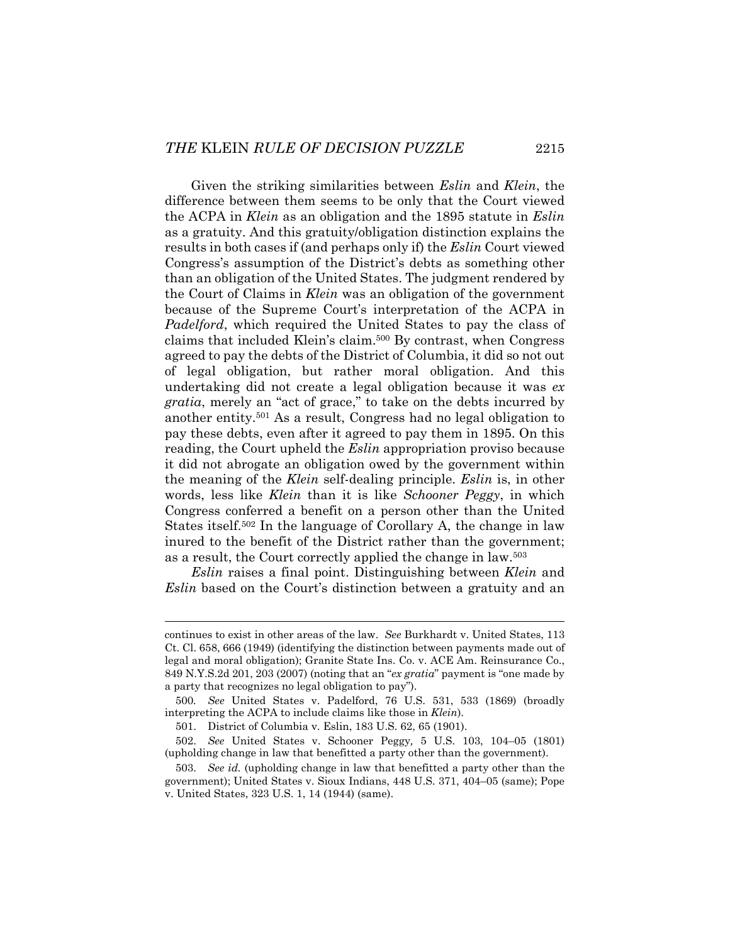Given the striking similarities between *Eslin* and *Klein*, the difference between them seems to be only that the Court viewed the ACPA in *Klein* as an obligation and the 1895 statute in *Eslin*  as a gratuity. And this gratuity/obligation distinction explains the results in both cases if (and perhaps only if) the *Eslin* Court viewed Congress's assumption of the District's debts as something other than an obligation of the United States. The judgment rendered by the Court of Claims in *Klein* was an obligation of the government because of the Supreme Court's interpretation of the ACPA in *Padelford*, which required the United States to pay the class of claims that included Klein's claim.500 By contrast, when Congress agreed to pay the debts of the District of Columbia, it did so not out of legal obligation, but rather moral obligation. And this undertaking did not create a legal obligation because it was *ex gratia*, merely an "act of grace," to take on the debts incurred by another entity.501 As a result, Congress had no legal obligation to pay these debts, even after it agreed to pay them in 1895. On this reading, the Court upheld the *Eslin* appropriation proviso because it did not abrogate an obligation owed by the government within the meaning of the *Klein* self-dealing principle. *Eslin* is, in other words, less like *Klein* than it is like *Schooner Peggy*, in which Congress conferred a benefit on a person other than the United States itself.502 In the language of Corollary A, the change in law inured to the benefit of the District rather than the government; as a result, the Court correctly applied the change in law.503

*Eslin* raises a final point. Distinguishing between *Klein* and *Eslin* based on the Court's distinction between a gratuity and an

continues to exist in other areas of the law. *See* Burkhardt v. United States, 113 Ct. Cl. 658, 666 (1949) (identifying the distinction between payments made out of legal and moral obligation); Granite State Ins. Co. v. ACE Am. Reinsurance Co., 849 N.Y.S.2d 201, 203 (2007) (noting that an "*ex gratia*" payment is "one made by a party that recognizes no legal obligation to pay").

<sup>500</sup>*. See* United States v. Padelford, 76 U.S. 531, 533 (1869) (broadly interpreting the ACPA to include claims like those in *Klein*).

 <sup>501.</sup> District of Columbia v. Eslin, 183 U.S. 62, 65 (1901).

 <sup>502.</sup> *See* United States v. Schooner Peggy*,* 5 U.S. 103, 104–05 (1801) (upholding change in law that benefitted a party other than the government).

 <sup>503.</sup> *See id.* (upholding change in law that benefitted a party other than the government); United States v. Sioux Indians, 448 U.S. 371, 404–05 (same); Pope v. United States, 323 U.S. 1, 14 (1944) (same).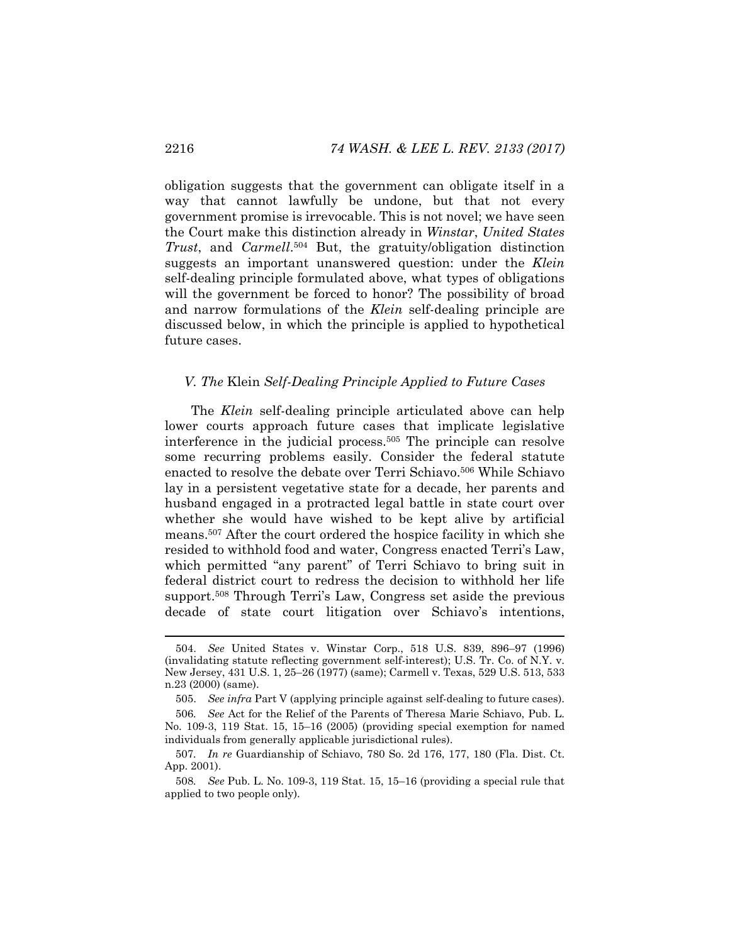obligation suggests that the government can obligate itself in a way that cannot lawfully be undone, but that not every government promise is irrevocable. This is not novel; we have seen the Court make this distinction already in *Winstar*, *United States Trust*, and *Carmell*.504 But, the gratuity/obligation distinction suggests an important unanswered question: under the *Klein* self-dealing principle formulated above, what types of obligations will the government be forced to honor? The possibility of broad and narrow formulations of the *Klein* self-dealing principle are discussed below, in which the principle is applied to hypothetical future cases.

## *V. The* Klein *Self-Dealing Principle Applied to Future Cases*

The *Klein* self-dealing principle articulated above can help lower courts approach future cases that implicate legislative interference in the judicial process.505 The principle can resolve some recurring problems easily. Consider the federal statute enacted to resolve the debate over Terri Schiavo.<sup>506</sup> While Schiavo lay in a persistent vegetative state for a decade, her parents and husband engaged in a protracted legal battle in state court over whether she would have wished to be kept alive by artificial means.507 After the court ordered the hospice facility in which she resided to withhold food and water, Congress enacted Terri's Law, which permitted "any parent" of Terri Schiavo to bring suit in federal district court to redress the decision to withhold her life support.508 Through Terri's Law, Congress set aside the previous decade of state court litigation over Schiavo's intentions,

 <sup>504.</sup> *See* United States v. Winstar Corp., 518 U.S. 839, 896–97 (1996) (invalidating statute reflecting government self-interest); U.S. Tr. Co. of N.Y. v. New Jersey, 431 U.S. 1, 25–26 (1977) (same); Carmell v. Texas, 529 U.S. 513, 533 n.23 (2000) (same).

 <sup>505.</sup> *See infra* Part V (applying principle against self-dealing to future cases).

<sup>506</sup>*. See* Act for the Relief of the Parents of Theresa Marie Schiavo, Pub. L. No. 109-3, 119 Stat. 15, 15–16 (2005) (providing special exemption for named individuals from generally applicable jurisdictional rules).

<sup>507</sup>*. In re* Guardianship of Schiavo, 780 So. 2d 176, 177, 180 (Fla. Dist. Ct. App. 2001).

<sup>508</sup>*. See* Pub. L. No. 109-3, 119 Stat. 15, 15–16 (providing a special rule that applied to two people only).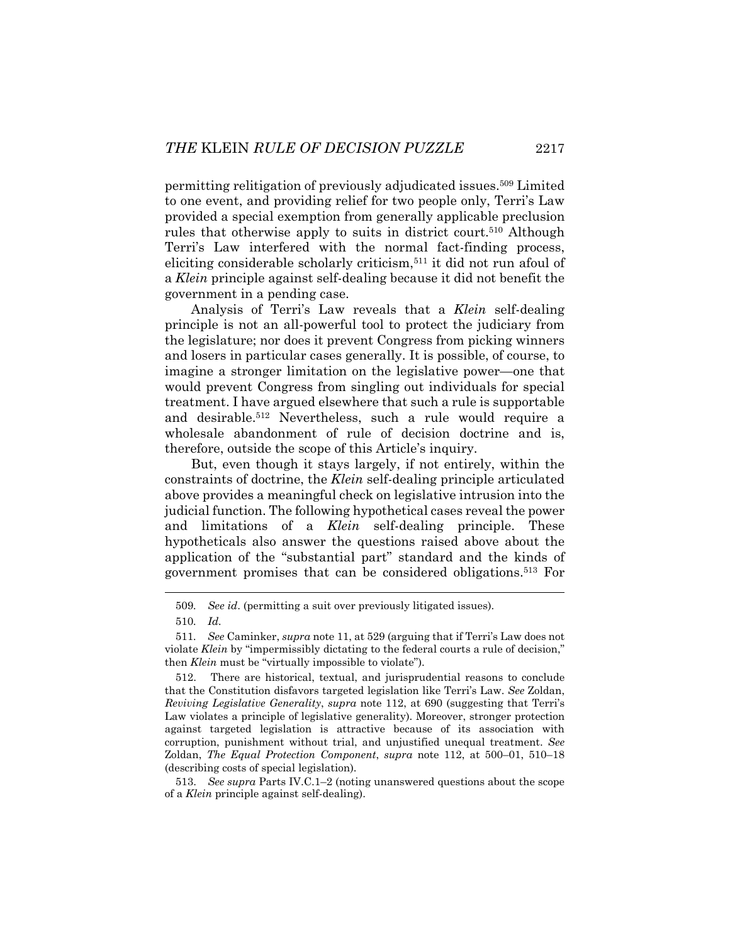permitting relitigation of previously adjudicated issues.509 Limited to one event, and providing relief for two people only, Terri's Law provided a special exemption from generally applicable preclusion rules that otherwise apply to suits in district court.<sup>510</sup> Although Terri's Law interfered with the normal fact-finding process, eliciting considerable scholarly criticism,511 it did not run afoul of a *Klein* principle against self-dealing because it did not benefit the government in a pending case.

Analysis of Terri's Law reveals that a *Klein* self-dealing principle is not an all-powerful tool to protect the judiciary from the legislature; nor does it prevent Congress from picking winners and losers in particular cases generally. It is possible, of course, to imagine a stronger limitation on the legislative power—one that would prevent Congress from singling out individuals for special treatment. I have argued elsewhere that such a rule is supportable and desirable.512 Nevertheless, such a rule would require a wholesale abandonment of rule of decision doctrine and is, therefore, outside the scope of this Article's inquiry.

But, even though it stays largely, if not entirely, within the constraints of doctrine, the *Klein* self-dealing principle articulated above provides a meaningful check on legislative intrusion into the judicial function. The following hypothetical cases reveal the power and limitations of a *Klein* self-dealing principle. These hypotheticals also answer the questions raised above about the application of the "substantial part" standard and the kinds of government promises that can be considered obligations.513 For

<sup>509</sup>*. See id*. (permitting a suit over previously litigated issues).

<sup>510</sup>*. Id.*

<sup>511</sup>*. See* Caminker, *supra* note 11, at 529 (arguing that if Terri's Law does not violate *Klein* by "impermissibly dictating to the federal courts a rule of decision," then *Klein* must be "virtually impossible to violate").

 <sup>512.</sup> There are historical, textual, and jurisprudential reasons to conclude that the Constitution disfavors targeted legislation like Terri's Law. *See* Zoldan, *Reviving Legislative Generality*, *supra* note 112, at 690 (suggesting that Terri's Law violates a principle of legislative generality). Moreover, stronger protection against targeted legislation is attractive because of its association with corruption, punishment without trial, and unjustified unequal treatment. *See*  Zoldan, *The Equal Protection Component*, *supra* note 112, at 500–01, 510–18 (describing costs of special legislation).

 <sup>513.</sup> *See supra* Parts IV.C.1–2 (noting unanswered questions about the scope of a *Klein* principle against self-dealing).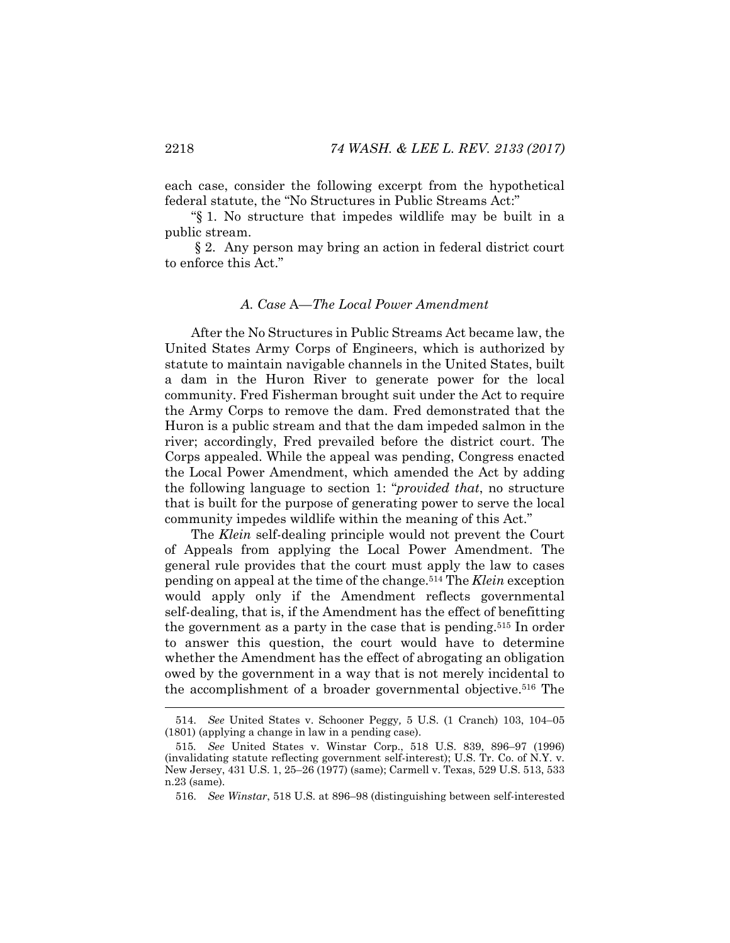each case, consider the following excerpt from the hypothetical federal statute, the "No Structures in Public Streams Act:"

"§ 1. No structure that impedes wildlife may be built in a public stream.

 § 2. Any person may bring an action in federal district court to enforce this Act."

### *A. Case* A*—The Local Power Amendment*

After the No Structures in Public Streams Act became law, the United States Army Corps of Engineers, which is authorized by statute to maintain navigable channels in the United States, built a dam in the Huron River to generate power for the local community. Fred Fisherman brought suit under the Act to require the Army Corps to remove the dam. Fred demonstrated that the Huron is a public stream and that the dam impeded salmon in the river; accordingly, Fred prevailed before the district court. The Corps appealed. While the appeal was pending, Congress enacted the Local Power Amendment, which amended the Act by adding the following language to section 1: "*provided that*, no structure that is built for the purpose of generating power to serve the local community impedes wildlife within the meaning of this Act."

The *Klein* self-dealing principle would not prevent the Court of Appeals from applying the Local Power Amendment. The general rule provides that the court must apply the law to cases pending on appeal at the time of the change.514 The *Klein* exception would apply only if the Amendment reflects governmental self-dealing, that is, if the Amendment has the effect of benefitting the government as a party in the case that is pending.515 In order to answer this question, the court would have to determine whether the Amendment has the effect of abrogating an obligation owed by the government in a way that is not merely incidental to the accomplishment of a broader governmental objective.516 The

 <sup>514.</sup> *See* United States v. Schooner Peggy*,* 5 U.S. (1 Cranch) 103, 104–05 (1801) (applying a change in law in a pending case).

<sup>515</sup>*. See* United States v. Winstar Corp., 518 U.S. 839, 896–97 (1996) (invalidating statute reflecting government self-interest); U.S. Tr. Co. of N.Y. v. New Jersey, 431 U.S. 1, 25–26 (1977) (same); Carmell v. Texas, 529 U.S. 513, 533 n.23 (same).

 <sup>516.</sup> *See Winstar*, 518 U.S. at 896–98 (distinguishing between self-interested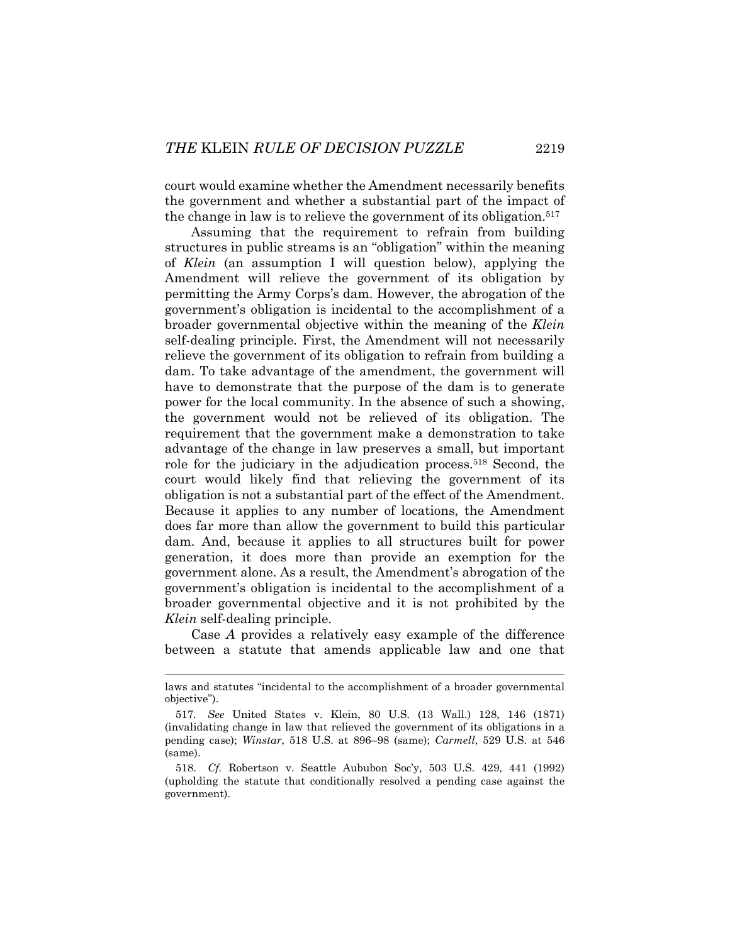court would examine whether the Amendment necessarily benefits the government and whether a substantial part of the impact of the change in law is to relieve the government of its obligation.517

Assuming that the requirement to refrain from building structures in public streams is an "obligation" within the meaning of *Klein* (an assumption I will question below), applying the Amendment will relieve the government of its obligation by permitting the Army Corps's dam. However, the abrogation of the government's obligation is incidental to the accomplishment of a broader governmental objective within the meaning of the *Klein* self-dealing principle. First, the Amendment will not necessarily relieve the government of its obligation to refrain from building a dam. To take advantage of the amendment, the government will have to demonstrate that the purpose of the dam is to generate power for the local community. In the absence of such a showing, the government would not be relieved of its obligation. The requirement that the government make a demonstration to take advantage of the change in law preserves a small, but important role for the judiciary in the adjudication process.<sup>518</sup> Second, the court would likely find that relieving the government of its obligation is not a substantial part of the effect of the Amendment. Because it applies to any number of locations, the Amendment does far more than allow the government to build this particular dam. And, because it applies to all structures built for power generation, it does more than provide an exemption for the government alone. As a result, the Amendment's abrogation of the government's obligation is incidental to the accomplishment of a broader governmental objective and it is not prohibited by the *Klein* self-dealing principle.

Case *A* provides a relatively easy example of the difference between a statute that amends applicable law and one that

laws and statutes "incidental to the accomplishment of a broader governmental objective").

<sup>517</sup>*. See* United States v. Klein, 80 U.S. (13 Wall.) 128, 146 (1871) (invalidating change in law that relieved the government of its obligations in a pending case); *Winstar*, 518 U.S. at 896–98 (same); *Carmell*, 529 U.S. at 546 (same).

 <sup>518.</sup> *Cf.* Robertson v. Seattle Aububon Soc'y, 503 U.S. 429, 441 (1992) (upholding the statute that conditionally resolved a pending case against the government).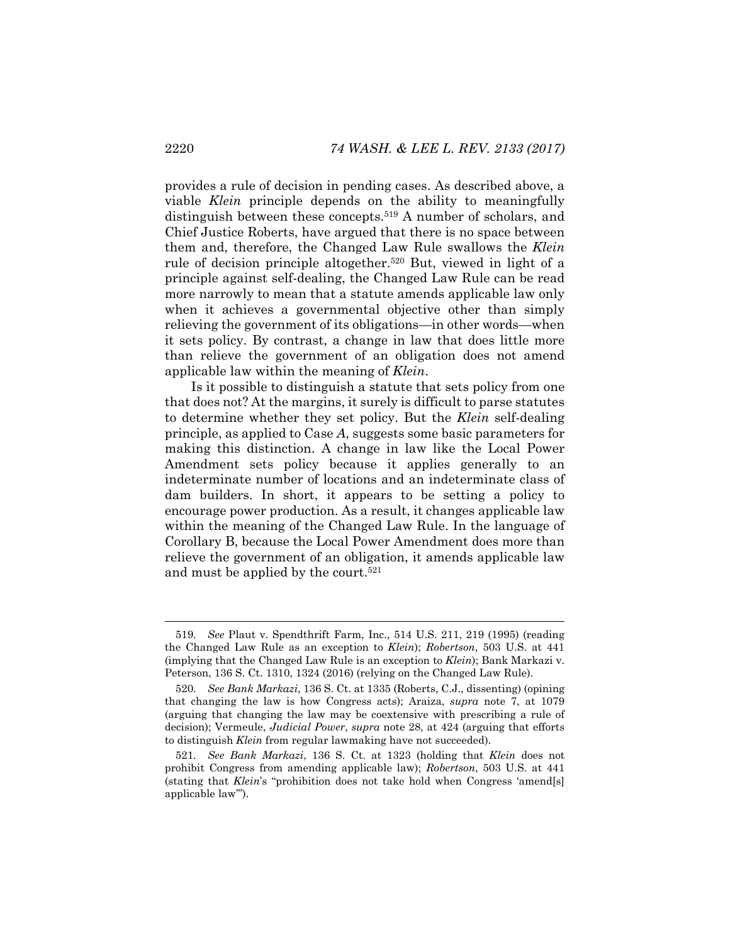provides a rule of decision in pending cases. As described above, a viable *Klein* principle depends on the ability to meaningfully distinguish between these concepts.<sup>519</sup> A number of scholars, and Chief Justice Roberts, have argued that there is no space between them and, therefore, the Changed Law Rule swallows the *Klein*  rule of decision principle altogether.520 But, viewed in light of a principle against self-dealing, the Changed Law Rule can be read more narrowly to mean that a statute amends applicable law only when it achieves a governmental objective other than simply relieving the government of its obligations—in other words—when it sets policy. By contrast, a change in law that does little more than relieve the government of an obligation does not amend applicable law within the meaning of *Klein*.

Is it possible to distinguish a statute that sets policy from one that does not? At the margins, it surely is difficult to parse statutes to determine whether they set policy. But the *Klein* self-dealing principle, as applied to Case *A*, suggests some basic parameters for making this distinction. A change in law like the Local Power Amendment sets policy because it applies generally to an indeterminate number of locations and an indeterminate class of dam builders. In short, it appears to be setting a policy to encourage power production. As a result, it changes applicable law within the meaning of the Changed Law Rule. In the language of Corollary B, because the Local Power Amendment does more than relieve the government of an obligation, it amends applicable law and must be applied by the court.<sup>521</sup>

<sup>519</sup>*. See* Plaut v. Spendthrift Farm, Inc., 514 U.S. 211, 219 (1995) (reading the Changed Law Rule as an exception to *Klein*); *Robertson*, 503 U.S. at 441 (implying that the Changed Law Rule is an exception to *Klein*); Bank Markazi v. Peterson, 136 S. Ct. 1310, 1324 (2016) (relying on the Changed Law Rule).

<sup>520</sup>*. See Bank Markazi*, 136 S. Ct. at 1335 (Roberts, C.J., dissenting) (opining that changing the law is how Congress acts); Araiza, *supra* note 7, at 1079 (arguing that changing the law may be coextensive with prescribing a rule of decision); Vermeule, *Judicial Power*, *supra* note 28, at 424 (arguing that efforts to distinguish *Klein* from regular lawmaking have not succeeded).

<sup>521</sup>*. See Bank Markazi*, 136 S. Ct. at 1323 (holding that *Klein* does not prohibit Congress from amending applicable law); *Robertson*, 503 U.S. at 441 (stating that *Klein*'s "prohibition does not take hold when Congress 'amend[s] applicable law'").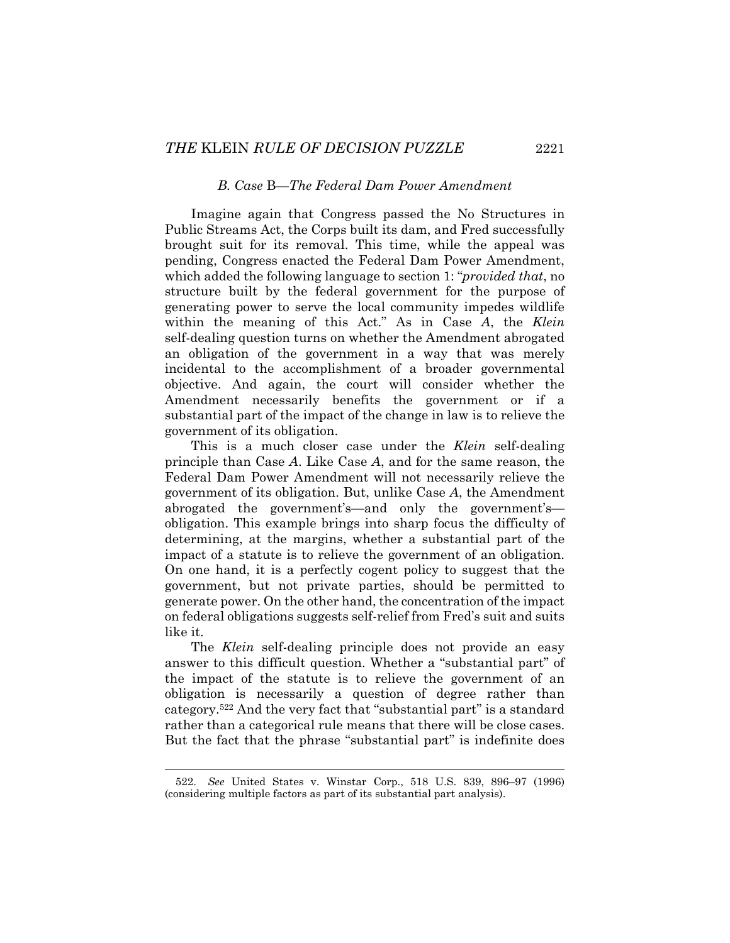#### *B. Case* B*—The Federal Dam Power Amendment*

Imagine again that Congress passed the No Structures in Public Streams Act, the Corps built its dam, and Fred successfully brought suit for its removal. This time, while the appeal was pending, Congress enacted the Federal Dam Power Amendment, which added the following language to section 1: "*provided that*, no structure built by the federal government for the purpose of generating power to serve the local community impedes wildlife within the meaning of this Act." As in Case *A*, the *Klein* self-dealing question turns on whether the Amendment abrogated an obligation of the government in a way that was merely incidental to the accomplishment of a broader governmental objective. And again, the court will consider whether the Amendment necessarily benefits the government or if a substantial part of the impact of the change in law is to relieve the government of its obligation.

This is a much closer case under the *Klein* self-dealing principle than Case *A*. Like Case *A*, and for the same reason, the Federal Dam Power Amendment will not necessarily relieve the government of its obligation. But, unlike Case *A*, the Amendment abrogated the government's—and only the government's obligation. This example brings into sharp focus the difficulty of determining, at the margins, whether a substantial part of the impact of a statute is to relieve the government of an obligation. On one hand, it is a perfectly cogent policy to suggest that the government, but not private parties, should be permitted to generate power. On the other hand, the concentration of the impact on federal obligations suggests self-relief from Fred's suit and suits like it.

The *Klein* self-dealing principle does not provide an easy answer to this difficult question. Whether a "substantial part" of the impact of the statute is to relieve the government of an obligation is necessarily a question of degree rather than category.522 And the very fact that "substantial part" is a standard rather than a categorical rule means that there will be close cases. But the fact that the phrase "substantial part" is indefinite does

 <sup>522.</sup> *See* United States v. Winstar Corp., 518 U.S. 839, 896–97 (1996) (considering multiple factors as part of its substantial part analysis).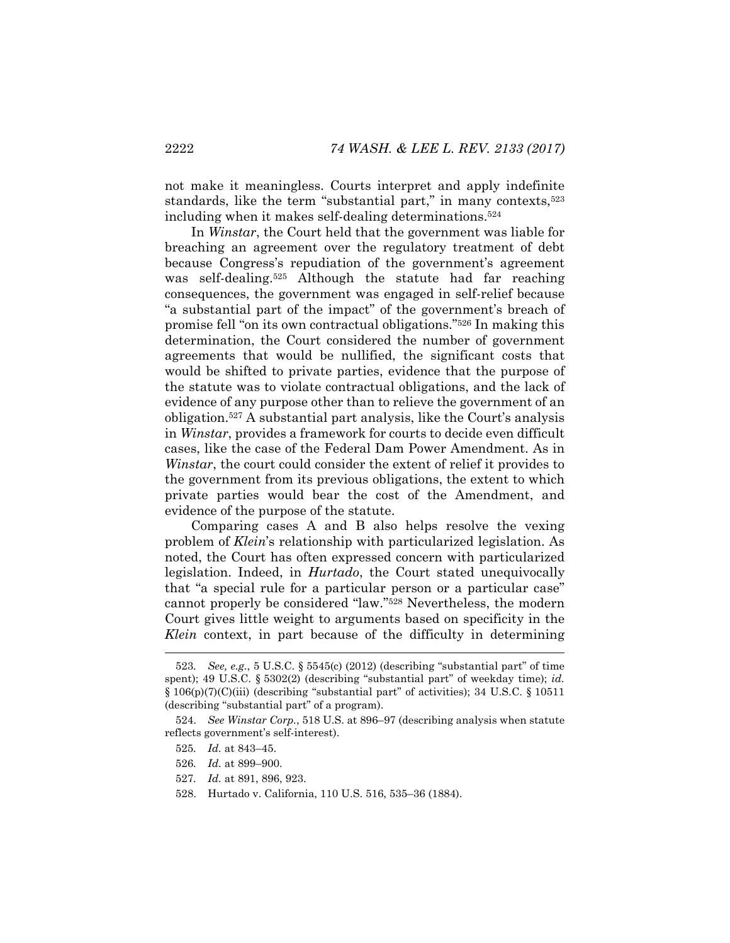not make it meaningless. Courts interpret and apply indefinite standards, like the term "substantial part," in many contexts,<sup>523</sup> including when it makes self-dealing determinations.524

In *Winstar*, the Court held that the government was liable for breaching an agreement over the regulatory treatment of debt because Congress's repudiation of the government's agreement was self-dealing.525 Although the statute had far reaching consequences, the government was engaged in self-relief because "a substantial part of the impact" of the government's breach of promise fell "on its own contractual obligations."526 In making this determination, the Court considered the number of government agreements that would be nullified, the significant costs that would be shifted to private parties, evidence that the purpose of the statute was to violate contractual obligations, and the lack of evidence of any purpose other than to relieve the government of an obligation.527 A substantial part analysis, like the Court's analysis in *Winstar*, provides a framework for courts to decide even difficult cases, like the case of the Federal Dam Power Amendment. As in *Winstar*, the court could consider the extent of relief it provides to the government from its previous obligations, the extent to which private parties would bear the cost of the Amendment, and evidence of the purpose of the statute.

Comparing cases A and B also helps resolve the vexing problem of *Klein*'s relationship with particularized legislation. As noted, the Court has often expressed concern with particularized legislation. Indeed, in *Hurtado*, the Court stated unequivocally that "a special rule for a particular person or a particular case" cannot properly be considered "law."528 Nevertheless, the modern Court gives little weight to arguments based on specificity in the *Klein* context, in part because of the difficulty in determining

<sup>523</sup>*. See, e.g.*, 5 U.S.C. § 5545(c) (2012) (describing "substantial part" of time spent); 49 U.S.C. § 5302(2) (describing "substantial part" of weekday time); *id.*   $\S 106(p)(7)(C)(iii)$  (describing "substantial part" of activities); 34 U.S.C.  $\S 10511$ (describing "substantial part" of a program).

 <sup>524.</sup> *See Winstar Corp.*, 518 U.S. at 896–97 (describing analysis when statute reflects government's self-interest).

<sup>525</sup>*. Id.* at 843–45.

<sup>526</sup>*. Id.* at 899–900.

<sup>527</sup>*. Id.* at 891, 896, 923.

 <sup>528.</sup> Hurtado v. California, 110 U.S. 516, 535–36 (1884).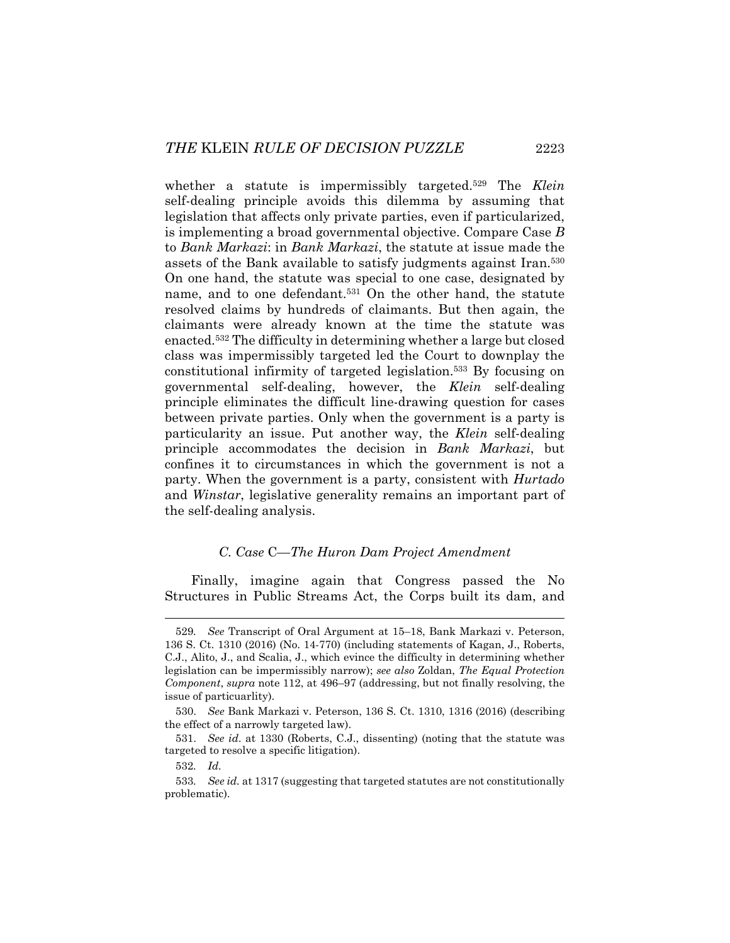whether a statute is impermissibly targeted.529 The *Klein* self-dealing principle avoids this dilemma by assuming that legislation that affects only private parties, even if particularized, is implementing a broad governmental objective. Compare Case *B* to *Bank Markazi*: in *Bank Markazi*, the statute at issue made the assets of the Bank available to satisfy judgments against Iran.530 On one hand, the statute was special to one case, designated by name, and to one defendant.531 On the other hand, the statute resolved claims by hundreds of claimants. But then again, the claimants were already known at the time the statute was enacted.532 The difficulty in determining whether a large but closed class was impermissibly targeted led the Court to downplay the constitutional infirmity of targeted legislation.533 By focusing on governmental self-dealing, however, the *Klein* self-dealing principle eliminates the difficult line-drawing question for cases between private parties. Only when the government is a party is particularity an issue. Put another way, the *Klein* self-dealing principle accommodates the decision in *Bank Markazi*, but confines it to circumstances in which the government is not a party. When the government is a party, consistent with *Hurtado*  and *Winstar*, legislative generality remains an important part of the self-dealing analysis.

## *C. Case* C*—The Huron Dam Project Amendment*

Finally, imagine again that Congress passed the No Structures in Public Streams Act, the Corps built its dam, and

<sup>529</sup>*. See* Transcript of Oral Argument at 15–18, Bank Markazi v. Peterson, 136 S. Ct. 1310 (2016) (No. 14-770) (including statements of Kagan, J., Roberts, C.J., Alito, J., and Scalia, J., which evince the difficulty in determining whether legislation can be impermissibly narrow); *see also* Zoldan, *The Equal Protection Component*, *supra* note 112, at 496–97 (addressing, but not finally resolving, the issue of particuarlity).

 <sup>530.</sup> *See* Bank Markazi v. Peterson, 136 S. Ct. 1310, 1316 (2016) (describing the effect of a narrowly targeted law).

 <sup>531.</sup> *See id*. at 1330 (Roberts, C.J., dissenting) (noting that the statute was targeted to resolve a specific litigation).

<sup>532</sup>*. Id.*

<sup>533</sup>*. See id.* at 1317 (suggesting that targeted statutes are not constitutionally problematic).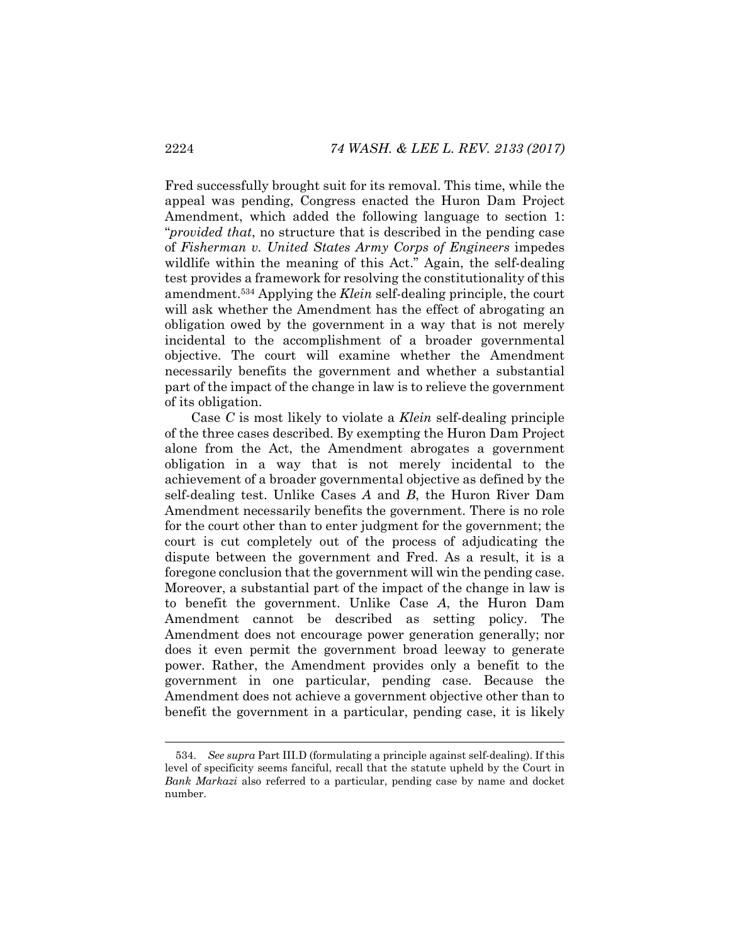Fred successfully brought suit for its removal. This time, while the appeal was pending, Congress enacted the Huron Dam Project Amendment, which added the following language to section 1: "*provided that*, no structure that is described in the pending case of *Fisherman v. United States Army Corps of Engineers* impedes wildlife within the meaning of this Act." Again, the self-dealing test provides a framework for resolving the constitutionality of this amendment.534 Applying the *Klein* self-dealing principle, the court will ask whether the Amendment has the effect of abrogating an obligation owed by the government in a way that is not merely incidental to the accomplishment of a broader governmental objective. The court will examine whether the Amendment necessarily benefits the government and whether a substantial part of the impact of the change in law is to relieve the government of its obligation.

Case *C* is most likely to violate a *Klein* self-dealing principle of the three cases described. By exempting the Huron Dam Project alone from the Act, the Amendment abrogates a government obligation in a way that is not merely incidental to the achievement of a broader governmental objective as defined by the self-dealing test. Unlike Cases *A* and *B*, the Huron River Dam Amendment necessarily benefits the government. There is no role for the court other than to enter judgment for the government; the court is cut completely out of the process of adjudicating the dispute between the government and Fred. As a result, it is a foregone conclusion that the government will win the pending case. Moreover, a substantial part of the impact of the change in law is to benefit the government. Unlike Case *A*, the Huron Dam Amendment cannot be described as setting policy. The Amendment does not encourage power generation generally; nor does it even permit the government broad leeway to generate power. Rather, the Amendment provides only a benefit to the government in one particular, pending case. Because the Amendment does not achieve a government objective other than to benefit the government in a particular, pending case, it is likely

 <sup>534.</sup> *See supra* Part III.D (formulating a principle against self-dealing). If this level of specificity seems fanciful, recall that the statute upheld by the Court in *Bank Markazi* also referred to a particular, pending case by name and docket number.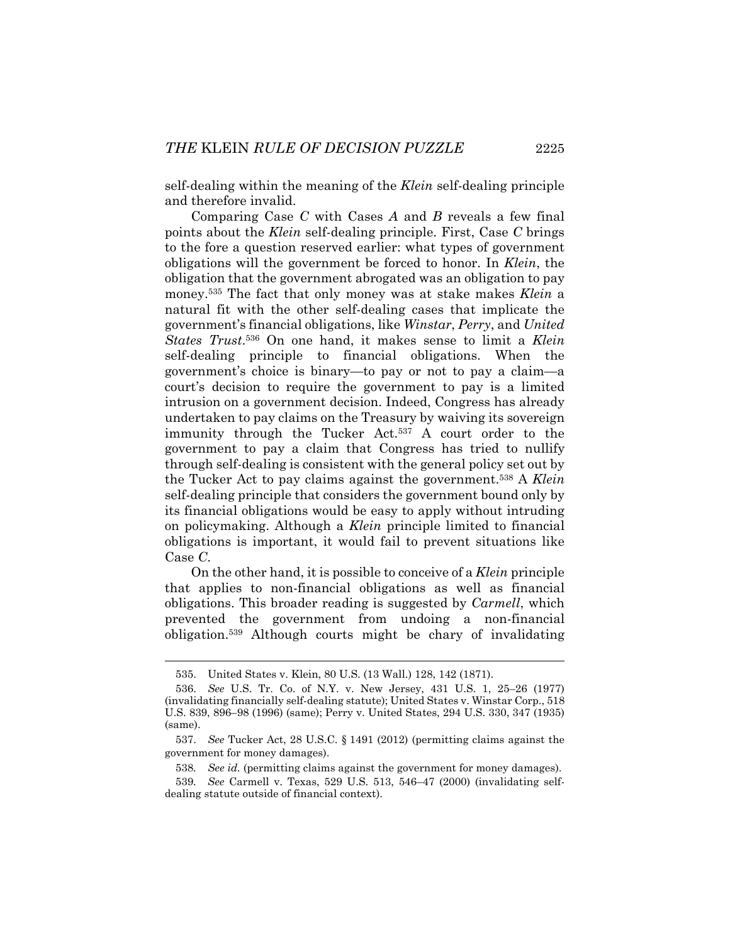self-dealing within the meaning of the *Klein* self-dealing principle and therefore invalid.

Comparing Case *C* with Cases *A* and *B* reveals a few final points about the *Klein* self-dealing principle. First, Case *C* brings to the fore a question reserved earlier: what types of government obligations will the government be forced to honor. In *Klein*, the obligation that the government abrogated was an obligation to pay money.535 The fact that only money was at stake makes *Klein* a natural fit with the other self-dealing cases that implicate the government's financial obligations, like *Winstar*, *Perry*, and *United States Trust*.536 On one hand, it makes sense to limit a *Klein* self-dealing principle to financial obligations. When the government's choice is binary—to pay or not to pay a claim—a court's decision to require the government to pay is a limited intrusion on a government decision. Indeed, Congress has already undertaken to pay claims on the Treasury by waiving its sovereign immunity through the Tucker Act.537 A court order to the government to pay a claim that Congress has tried to nullify through self-dealing is consistent with the general policy set out by the Tucker Act to pay claims against the government.538 A *Klein* self-dealing principle that considers the government bound only by its financial obligations would be easy to apply without intruding on policymaking. Although a *Klein* principle limited to financial obligations is important, it would fail to prevent situations like Case *C*.

On the other hand, it is possible to conceive of a *Klein* principle that applies to non-financial obligations as well as financial obligations. This broader reading is suggested by *Carmell*, which prevented the government from undoing a non-financial obligation.539 Although courts might be chary of invalidating

 <sup>535.</sup> United States v. Klein, 80 U.S. (13 Wall.) 128, 142 (1871).

 <sup>536.</sup> *See* U.S. Tr. Co. of N.Y. v. New Jersey, 431 U.S. 1, 25–26 (1977) (invalidating financially self-dealing statute); United States v. Winstar Corp., 518 U.S. 839, 896–98 (1996) (same); Perry v. United States, 294 U.S. 330, 347 (1935) (same).

 <sup>537.</sup> *See* Tucker Act, 28 U.S.C. § 1491 (2012) (permitting claims against the government for money damages).

<sup>538</sup>*. See id.* (permitting claims against the government for money damages).

<sup>539</sup>*. See* Carmell v. Texas, 529 U.S. 513, 546–47 (2000) (invalidating selfdealing statute outside of financial context).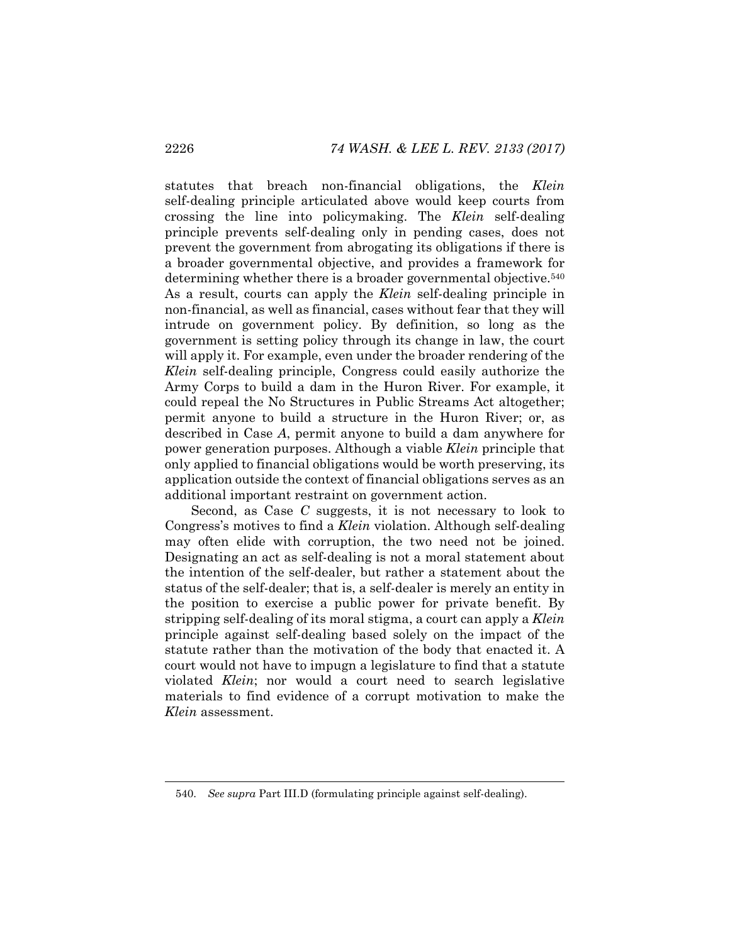statutes that breach non-financial obligations, the *Klein* self-dealing principle articulated above would keep courts from crossing the line into policymaking. The *Klein* self-dealing principle prevents self-dealing only in pending cases, does not prevent the government from abrogating its obligations if there is a broader governmental objective, and provides a framework for determining whether there is a broader governmental objective.540 As a result, courts can apply the *Klein* self-dealing principle in non-financial, as well as financial, cases without fear that they will intrude on government policy. By definition, so long as the government is setting policy through its change in law, the court will apply it. For example, even under the broader rendering of the *Klein* self-dealing principle, Congress could easily authorize the Army Corps to build a dam in the Huron River. For example, it could repeal the No Structures in Public Streams Act altogether; permit anyone to build a structure in the Huron River; or, as described in Case *A*, permit anyone to build a dam anywhere for power generation purposes. Although a viable *Klein* principle that only applied to financial obligations would be worth preserving, its application outside the context of financial obligations serves as an additional important restraint on government action.

Second, as Case *C* suggests, it is not necessary to look to Congress's motives to find a *Klein* violation. Although self-dealing may often elide with corruption, the two need not be joined. Designating an act as self-dealing is not a moral statement about the intention of the self-dealer, but rather a statement about the status of the self-dealer; that is, a self-dealer is merely an entity in the position to exercise a public power for private benefit. By stripping self-dealing of its moral stigma, a court can apply a *Klein* principle against self-dealing based solely on the impact of the statute rather than the motivation of the body that enacted it. A court would not have to impugn a legislature to find that a statute violated *Klein*; nor would a court need to search legislative materials to find evidence of a corrupt motivation to make the *Klein* assessment.

 <sup>540.</sup> *See supra* Part III.D (formulating principle against self-dealing).